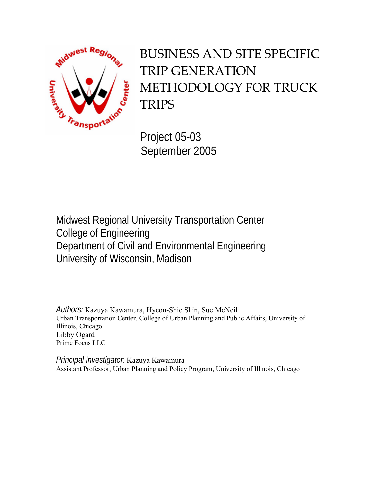

BUSINESS AND SITE SPECIFIC TRIP GENERATION METHODOLOGY FOR TRUCK TRIPS

Project 05-03 September 2005

Midwest Regional University Transportation Center College of Engineering Department of Civil and Environmental Engineering University of Wisconsin, Madison

*Authors:* Kazuya Kawamura, Hyeon-Shic Shin, Sue McNeil Urban Transportation Center, College of Urban Planning and Public Affairs, University of Illinois, Chicago Libby Ogard Prime Focus LLC

*Principal Investigator*: Kazuya Kawamura Assistant Professor, Urban Planning and Policy Program, University of Illinois, Chicago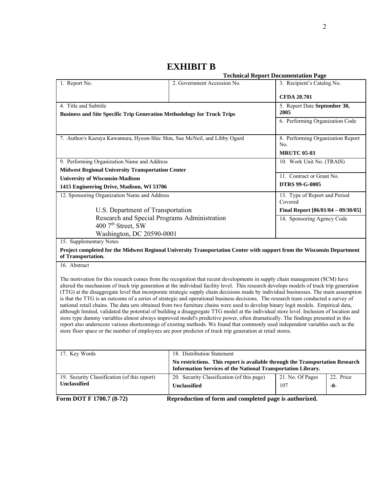# **EXHIBIT B**

|                                                                               | EXHIBIT B<br><b>Technical Report Documentation Page</b>                                                                                                                                                                                                                                                                                                                                                                                                                                                                                                                                                                                                                                                                                                                                                                                                                                                                                                                                                                                                                                                                                                                                                                |                                          |           |
|-------------------------------------------------------------------------------|------------------------------------------------------------------------------------------------------------------------------------------------------------------------------------------------------------------------------------------------------------------------------------------------------------------------------------------------------------------------------------------------------------------------------------------------------------------------------------------------------------------------------------------------------------------------------------------------------------------------------------------------------------------------------------------------------------------------------------------------------------------------------------------------------------------------------------------------------------------------------------------------------------------------------------------------------------------------------------------------------------------------------------------------------------------------------------------------------------------------------------------------------------------------------------------------------------------------|------------------------------------------|-----------|
| 1. Report No.                                                                 | 2. Government Accession No.                                                                                                                                                                                                                                                                                                                                                                                                                                                                                                                                                                                                                                                                                                                                                                                                                                                                                                                                                                                                                                                                                                                                                                                            | 3. Recipient's Catalog No.               |           |
|                                                                               |                                                                                                                                                                                                                                                                                                                                                                                                                                                                                                                                                                                                                                                                                                                                                                                                                                                                                                                                                                                                                                                                                                                                                                                                                        | <b>CFDA 20.701</b>                       |           |
| 4. Title and Subtitle                                                         |                                                                                                                                                                                                                                                                                                                                                                                                                                                                                                                                                                                                                                                                                                                                                                                                                                                                                                                                                                                                                                                                                                                                                                                                                        | 5. Report Date September 30,             |           |
| <b>Business and Site Specific Trip Generation Methodology for Truck Trips</b> |                                                                                                                                                                                                                                                                                                                                                                                                                                                                                                                                                                                                                                                                                                                                                                                                                                                                                                                                                                                                                                                                                                                                                                                                                        | 2005                                     |           |
|                                                                               |                                                                                                                                                                                                                                                                                                                                                                                                                                                                                                                                                                                                                                                                                                                                                                                                                                                                                                                                                                                                                                                                                                                                                                                                                        | 6. Performing Organization Code          |           |
| 7. Author/s Kazuya Kawamura, Hyeon-Shic Shin, Sue McNeil, and Libby Ogard     |                                                                                                                                                                                                                                                                                                                                                                                                                                                                                                                                                                                                                                                                                                                                                                                                                                                                                                                                                                                                                                                                                                                                                                                                                        | 8. Performing Organization Report        |           |
|                                                                               |                                                                                                                                                                                                                                                                                                                                                                                                                                                                                                                                                                                                                                                                                                                                                                                                                                                                                                                                                                                                                                                                                                                                                                                                                        | No.                                      |           |
|                                                                               |                                                                                                                                                                                                                                                                                                                                                                                                                                                                                                                                                                                                                                                                                                                                                                                                                                                                                                                                                                                                                                                                                                                                                                                                                        | <b>MRUTC 05-03</b>                       |           |
| 9. Performing Organization Name and Address                                   | 10. Work Unit No. (TRAIS)                                                                                                                                                                                                                                                                                                                                                                                                                                                                                                                                                                                                                                                                                                                                                                                                                                                                                                                                                                                                                                                                                                                                                                                              |                                          |           |
| <b>Midwest Regional University Transportation Center</b>                      |                                                                                                                                                                                                                                                                                                                                                                                                                                                                                                                                                                                                                                                                                                                                                                                                                                                                                                                                                                                                                                                                                                                                                                                                                        |                                          |           |
| <b>University of Wisconsin-Madison</b>                                        | 11. Contract or Grant No.                                                                                                                                                                                                                                                                                                                                                                                                                                                                                                                                                                                                                                                                                                                                                                                                                                                                                                                                                                                                                                                                                                                                                                                              |                                          |           |
| 1415 Engineering Drive, Madison, WI 53706                                     |                                                                                                                                                                                                                                                                                                                                                                                                                                                                                                                                                                                                                                                                                                                                                                                                                                                                                                                                                                                                                                                                                                                                                                                                                        | <b>DTRS 99-G-0005</b>                    |           |
| 12. Sponsoring Organization Name and Address                                  |                                                                                                                                                                                                                                                                                                                                                                                                                                                                                                                                                                                                                                                                                                                                                                                                                                                                                                                                                                                                                                                                                                                                                                                                                        | 13. Type of Report and Period<br>Covered |           |
| U.S. Department of Transportation                                             |                                                                                                                                                                                                                                                                                                                                                                                                                                                                                                                                                                                                                                                                                                                                                                                                                                                                                                                                                                                                                                                                                                                                                                                                                        | Final Report $[06/01/04 - 09/30/05]$     |           |
| Research and Special Programs Administration                                  | 14. Sponsoring Agency Code                                                                                                                                                                                                                                                                                                                                                                                                                                                                                                                                                                                                                                                                                                                                                                                                                                                                                                                                                                                                                                                                                                                                                                                             |                                          |           |
| 400 $7th$ Street, SW                                                          |                                                                                                                                                                                                                                                                                                                                                                                                                                                                                                                                                                                                                                                                                                                                                                                                                                                                                                                                                                                                                                                                                                                                                                                                                        |                                          |           |
| Washington, DC 20590-0001                                                     |                                                                                                                                                                                                                                                                                                                                                                                                                                                                                                                                                                                                                                                                                                                                                                                                                                                                                                                                                                                                                                                                                                                                                                                                                        |                                          |           |
| 15. Supplementary Notes                                                       |                                                                                                                                                                                                                                                                                                                                                                                                                                                                                                                                                                                                                                                                                                                                                                                                                                                                                                                                                                                                                                                                                                                                                                                                                        |                                          |           |
| of Transportation.                                                            | Project completed for the Midwest Regional University Transportation Center with support from the Wisconsin Department                                                                                                                                                                                                                                                                                                                                                                                                                                                                                                                                                                                                                                                                                                                                                                                                                                                                                                                                                                                                                                                                                                 |                                          |           |
| 16. Abstract                                                                  |                                                                                                                                                                                                                                                                                                                                                                                                                                                                                                                                                                                                                                                                                                                                                                                                                                                                                                                                                                                                                                                                                                                                                                                                                        |                                          |           |
|                                                                               | The motivation for this research comes from the recognition that recent developments in supply chain management (SCM) have<br>altered the mechanism of truck trip generation at the individual facility level. This research develops models of truck trip generation<br>(TTG) at the disaggregate level that incorporate strategic supply chain decisions made by individual businesses. The main assumption<br>is that the TTG is an outcome of a series of strategic and operational business decisions. The research team conducted a survey of<br>national retail chains. The data sets obtained from two furniture chains were used to develop binary logit models. Empirical data,<br>although limited, validated the potential of building a disaggregate TTG model at the individual store level. Inclusion of location and<br>store type dummy variables almost always improved model's predictive power, often dramatically. The findings presented in this<br>report also underscore various shortcomings of existing methods. We found that commonly used independent variables such as the<br>store floor space or the number of employees are poor predictor of truck trip generation at retail stores. |                                          |           |
| 17. Key Words                                                                 | 18. Distribution Statement                                                                                                                                                                                                                                                                                                                                                                                                                                                                                                                                                                                                                                                                                                                                                                                                                                                                                                                                                                                                                                                                                                                                                                                             |                                          |           |
|                                                                               | No restrictions. This report is available through the Transportation Research<br>Information Services of the National Transportation Library.                                                                                                                                                                                                                                                                                                                                                                                                                                                                                                                                                                                                                                                                                                                                                                                                                                                                                                                                                                                                                                                                          |                                          |           |
| 19. Security Classification (of this report)                                  | 20. Security Classification (of this page)                                                                                                                                                                                                                                                                                                                                                                                                                                                                                                                                                                                                                                                                                                                                                                                                                                                                                                                                                                                                                                                                                                                                                                             | 21. No. Of Pages                         | 22. Price |
| Unclassified                                                                  | Unclassified                                                                                                                                                                                                                                                                                                                                                                                                                                                                                                                                                                                                                                                                                                                                                                                                                                                                                                                                                                                                                                                                                                                                                                                                           | 107                                      | -0-       |
| Form DOT F 1700.7 (8-72)                                                      | Reproduction of form and completed page is authorized.                                                                                                                                                                                                                                                                                                                                                                                                                                                                                                                                                                                                                                                                                                                                                                                                                                                                                                                                                                                                                                                                                                                                                                 |                                          |           |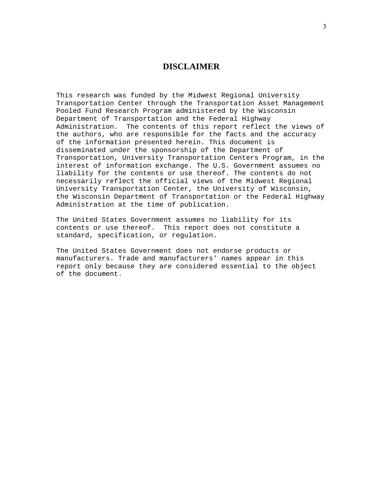## **DISCLAIMER**

This research was funded by the Midwest Regional University Transportation Center through the Transportation Asset Management Pooled Fund Research Program administered by the Wisconsin Department of Transportation and the Federal Highway Administration. The contents of this report reflect the views of the authors, who are responsible for the facts and the accuracy of the information presented herein. This document is disseminated under the sponsorship of the Department of Transportation, University Transportation Centers Program, in the interest of information exchange. The U.S. Government assumes no liability for the contents or use thereof. The contents do not necessarily reflect the official views of the Midwest Regional University Transportation Center, the University of Wisconsin, the Wisconsin Department of Transportation or the Federal Highway Administration at the time of publication.

The United States Government assumes no liability for its contents or use thereof. This report does not constitute a standard, specification, or regulation.

The United States Government does not endorse products or manufacturers. Trade and manufacturers' names appear in this report only because they are considered essential to the object of the document.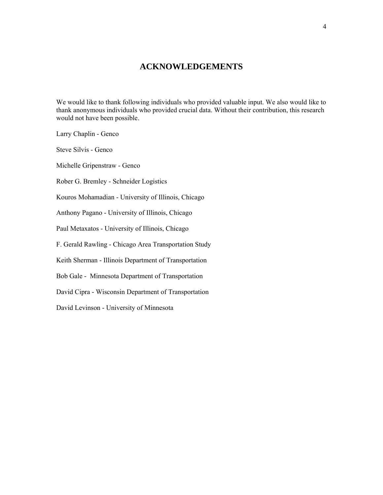# **ACKNOWLEDGEMENTS**

We would like to thank following individuals who provided valuable input. We also would like to thank anonymous individuals who provided crucial data. Without their contribution, this research would not have been possible.

Larry Chaplin - Genco

Steve Silvis - Genco

Michelle Gripenstraw - Genco

Rober G. Bremley - Schneider Logistics

Kouros Mohamadian - University of Illinois, Chicago

Anthony Pagano - University of Illinois, Chicago

Paul Metaxatos - University of Illinois, Chicago

F. Gerald Rawling - Chicago Area Transportation Study

Keith Sherman - Illinois Department of Transportation

Bob Gale - Minnesota Department of Transportation

David Cipra - Wisconsin Department of Transportation

David Levinson - University of Minnesota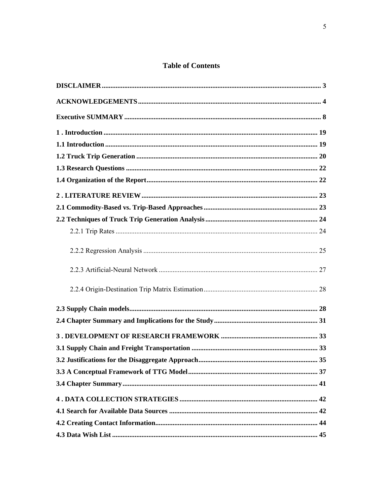# **Table of Contents**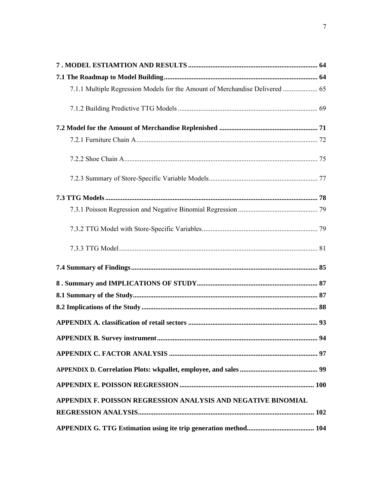| 7.1.1 Multiple Regression Models for the Amount of Merchandise Delivered  65 |  |
|------------------------------------------------------------------------------|--|
|                                                                              |  |
|                                                                              |  |
|                                                                              |  |
|                                                                              |  |
|                                                                              |  |
|                                                                              |  |
|                                                                              |  |
|                                                                              |  |
|                                                                              |  |
|                                                                              |  |
|                                                                              |  |
|                                                                              |  |
|                                                                              |  |
|                                                                              |  |
|                                                                              |  |
|                                                                              |  |
|                                                                              |  |
|                                                                              |  |
| APPENDIX F. POISSON REGRESSION ANALYSIS AND NEGATIVE BINOMIAL                |  |
|                                                                              |  |
|                                                                              |  |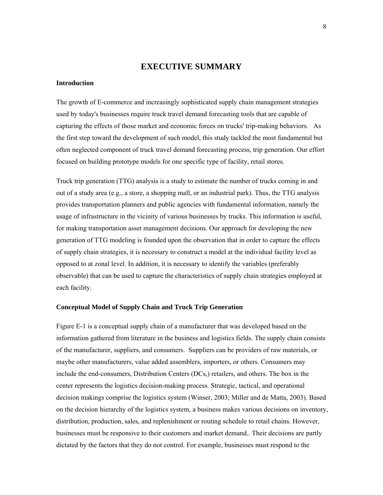## **EXECUTIVE SUMMARY**

#### **Introduction**

The growth of E-commerce and increasingly sophisticated supply chain management strategies used by today's businesses require truck travel demand forecasting tools that are capable of capturing the effects of those market and economic forces on trucks' trip-making behaviors. As the first step toward the development of such model, this study tackled the most fundamental but often neglected component of truck travel demand forecasting process, trip generation. Our effort focused on building prototype models for one specific type of facility, retail stores.

Truck trip generation (TTG) analysis is a study to estimate the number of trucks coming in and out of a study area (e.g., a store, a shopping mall, or an industrial park). Thus, the TTG analysis provides transportation planners and public agencies with fundamental information, namely the usage of infrastructure in the vicinity of various businesses by trucks. This information is useful, for making transportation asset management decisions. Our approach for developing the new generation of TTG modeling is founded upon the observation that in order to capture the effects of supply chain strategies, it is necessary to construct a model at the individual facility level as opposed to at zonal level. In addition, it is necessary to identify the variables (preferably observable) that can be used to capture the characteristics of supply chain strategies employed at each facility.

#### **Conceptual Model of Supply Chain and Truck Trip Generation**

Figure E-1 is a conceptual supply chain of a manufacturer that was developed based on the information gathered from literature in the business and logistics fields. The supply chain consists of the manufacturer, suppliers, and consumers. Suppliers can be providers of raw materials, or maybe other manufacturers, value added assemblers, importers, or others. Consumers may include the end-consumers, Distribution Centers (DCs,) retailers, and others. The box in the center represents the logistics decision-making process. Strategic, tactical, and operational decision makings comprise the logistics system (Winser, 2003; Miller and de Matta, 2003). Based on the decision hierarchy of the logistics system, a business makes various decisions on inventory, distribution, production, sales, and replenishment or routing schedule to retail chains. However, businesses must be responsive to their customers and market demand.. Their decisions are partly dictated by the factors that they do not control. For example, businesses must respond to the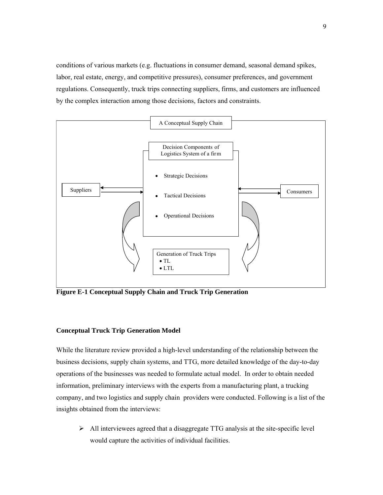conditions of various markets (e.g. fluctuations in consumer demand, seasonal demand spikes, labor, real estate, energy, and competitive pressures), consumer preferences, and government regulations. Consequently, truck trips connecting suppliers, firms, and customers are influenced by the complex interaction among those decisions, factors and constraints.



**Figure E-1 Conceptual Supply Chain and Truck Trip Generation** 

### **Conceptual Truck Trip Generation Model**

While the literature review provided a high-level understanding of the relationship between the business decisions, supply chain systems, and TTG, more detailed knowledge of the day-to-day operations of the businesses was needed to formulate actual model. In order to obtain needed information, preliminary interviews with the experts from a manufacturing plant, a trucking company, and two logistics and supply chain providers were conducted. Following is a list of the insights obtained from the interviews:

 $\triangleright$  All interviewees agreed that a disaggregate TTG analysis at the site-specific level would capture the activities of individual facilities.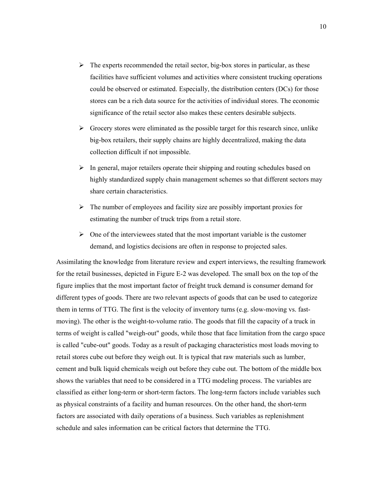- $\triangleright$  The experts recommended the retail sector, big-box stores in particular, as these facilities have sufficient volumes and activities where consistent trucking operations could be observed or estimated. Especially, the distribution centers (DCs) for those stores can be a rich data source for the activities of individual stores. The economic significance of the retail sector also makes these centers desirable subjects.
- $\triangleright$  Grocery stores were eliminated as the possible target for this research since, unlike big-box retailers, their supply chains are highly decentralized, making the data collection difficult if not impossible.
- $\triangleright$  In general, major retailers operate their shipping and routing schedules based on highly standardized supply chain management schemes so that different sectors may share certain characteristics.
- $\triangleright$  The number of employees and facility size are possibly important proxies for estimating the number of truck trips from a retail store.
- $\triangleright$  One of the interviewees stated that the most important variable is the customer demand, and logistics decisions are often in response to projected sales.

Assimilating the knowledge from literature review and expert interviews, the resulting framework for the retail businesses, depicted in Figure E-2 was developed. The small box on the top of the figure implies that the most important factor of freight truck demand is consumer demand for different types of goods. There are two relevant aspects of goods that can be used to categorize them in terms of TTG. The first is the velocity of inventory turns (e.g. slow-moving vs. fastmoving). The other is the weight-to-volume ratio. The goods that fill the capacity of a truck in terms of weight is called "weigh-out" goods, while those that face limitation from the cargo space is called "cube-out" goods. Today as a result of packaging characteristics most loads moving to retail stores cube out before they weigh out. It is typical that raw materials such as lumber, cement and bulk liquid chemicals weigh out before they cube out. The bottom of the middle box shows the variables that need to be considered in a TTG modeling process. The variables are classified as either long-term or short-term factors. The long-term factors include variables such as physical constraints of a facility and human resources. On the other hand, the short-term factors are associated with daily operations of a business. Such variables as replenishment schedule and sales information can be critical factors that determine the TTG.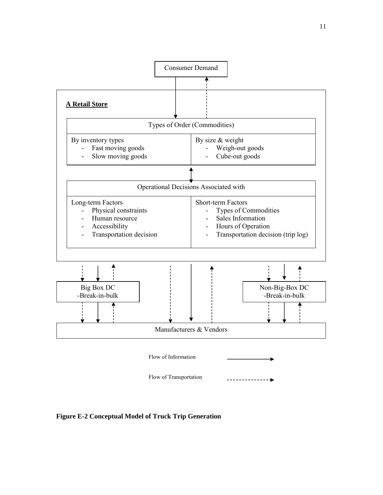

**Figure E-2 Conceptual Model of Truck Trip Generation**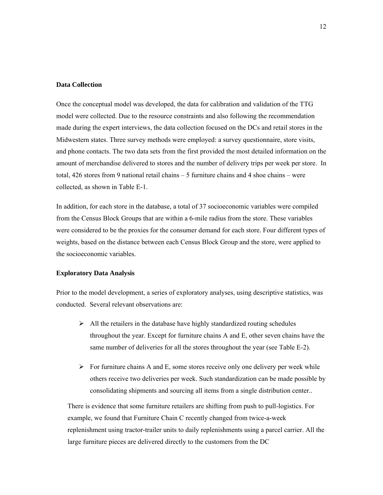#### **Data Collection**

Once the conceptual model was developed, the data for calibration and validation of the TTG model were collected. Due to the resource constraints and also following the recommendation made during the expert interviews, the data collection focused on the DCs and retail stores in the Midwestern states. Three survey methods were employed: a survey questionnaire, store visits, and phone contacts. The two data sets from the first provided the most detailed information on the amount of merchandise delivered to stores and the number of delivery trips per week per store. In total, 426 stores from 9 national retail chains – 5 furniture chains and 4 shoe chains – were collected, as shown in Table E-1.

In addition, for each store in the database, a total of 37 socioeconomic variables were compiled from the Census Block Groups that are within a 6-mile radius from the store. These variables were considered to be the proxies for the consumer demand for each store. Four different types of weights, based on the distance between each Census Block Group and the store, were applied to the socioeconomic variables.

#### **Exploratory Data Analysis**

Prior to the model development, a series of exploratory analyses, using descriptive statistics, was conducted. Several relevant observations are:

- $\triangleright$  All the retailers in the database have highly standardized routing schedules throughout the year. Except for furniture chains A and E, other seven chains have the same number of deliveries for all the stores throughout the year (see Table E-2).
- $\triangleright$  For furniture chains A and E, some stores receive only one delivery per week while others receive two deliveries per week. Such standardization can be made possible by consolidating shipments and sourcing all items from a single distribution center..

There is evidence that some furniture retailers are shifting from push to pull-logistics. For example, we found that Furniture Chain C recently changed from twice-a-week replenishment using tractor-trailer units to daily replenishments using a parcel carrier. All the large furniture pieces are delivered directly to the customers from the DC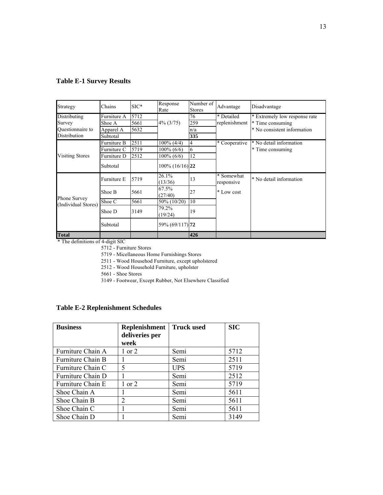### **Table E-1 Survey Results**

| Strategy                            | Chains      | $SIC*$ | Response<br>Rate | Number of<br><b>Stores</b> | Advantage                | Disadvantage                  |
|-------------------------------------|-------------|--------|------------------|----------------------------|--------------------------|-------------------------------|
| Distributing                        | Furniture A | 5712   |                  | 76                         | * Detailed               | * Extremely low response rate |
| Survey                              | Shoe A      | 5661   | $4\%$ (3/75)     | 259                        | replenishment            | * Time consuming              |
| <b>Ouestionnaire</b> to             | Apparel A   | 5632   |                  | n/a                        |                          | * No consistent information   |
| Distribution                        | Subtotal    |        |                  | 335                        |                          |                               |
|                                     | Furniture B | 2511   | $100\%$ (4/4)    | 4                          | * Cooperative            | * No detail information       |
|                                     | Furniture C | 5719   | 100% (6/6)       | 6                          |                          | * Time consuming              |
| <b>Visiting Stores</b>              | Furniture D | 2512   | 100% (6/6)       | 12                         |                          |                               |
|                                     | Subtotal    |        | 100% (16/16) 22  |                            |                          |                               |
|                                     | Furniture E | 5719   | 26.1%<br>(13/36) | 13                         | * Somewhat<br>responsive | * No detail information       |
| Phone Survey<br>(Individual Stores) | Shoe B      | 5661   | 67.5%<br>(27/40) | 27                         | * Low cost               |                               |
|                                     | Shoe C      | 5661   | 50% (10/20)      | 10                         |                          |                               |
|                                     | Shoe D      | 3149   | 79.2%<br>(19/24) | 19                         |                          |                               |
|                                     | Subtotal    |        | 59% (69/117) 72  |                            |                          |                               |
| <b>Total</b>                        |             |        |                  | 426                        |                          |                               |

\* The definitions of 4-digit SIC

5712 - Furniture Stores

5719 - Micellaneous Home Furnishings Stores

2511 - Wood Househod Furniture, except upholstered

2512 - Wood Household Furniture, upholster

5661 - Shoe Stores

3149 - Footwear, Except Rubber, Not Elsewhere Classified

### **Table E-2 Replenishment Schedules**

| <b>Business</b>   | <b>Replenishment</b> | <b>Truck used</b> | <b>SIC</b> |
|-------------------|----------------------|-------------------|------------|
|                   | deliveries per       |                   |            |
|                   | week                 |                   |            |
| Furniture Chain A | 1 or 2               | Semi              | 5712       |
| Furniture Chain B |                      | Semi              | 2511       |
| Furniture Chain C | 5                    | <b>UPS</b>        | 5719       |
| Furniture Chain D |                      | Semi              | 2512       |
| Furniture Chain E | $1$ or $2$           | Semi              | 5719       |
| Shoe Chain A      |                      | Semi              | 5611       |
| Shoe Chain B      | 2                    | Semi              | 5611       |
| Shoe Chain C      |                      | Semi              | 5611       |
| Shoe Chain D      |                      | Semi              | 3149       |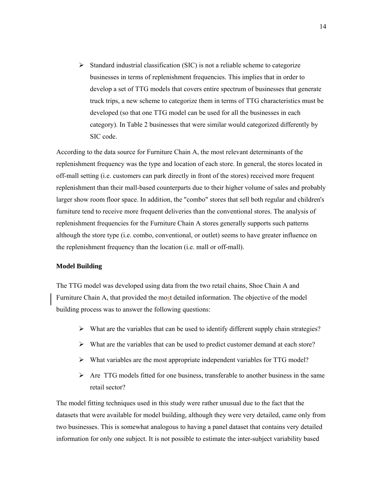$\triangleright$  Standard industrial classification (SIC) is not a reliable scheme to categorize businesses in terms of replenishment frequencies. This implies that in order to develop a set of TTG models that covers entire spectrum of businesses that generate truck trips, a new scheme to categorize them in terms of TTG characteristics must be developed (so that one TTG model can be used for all the businesses in each category). In Table 2 businesses that were similar would categorized differently by SIC code.

According to the data source for Furniture Chain A, the most relevant determinants of the replenishment frequency was the type and location of each store. In general, the stores located in off-mall setting (i.e. customers can park directly in front of the stores) received more frequent replenishment than their mall-based counterparts due to their higher volume of sales and probably larger show room floor space. In addition, the "combo" stores that sell both regular and children's furniture tend to receive more frequent deliveries than the conventional stores. The analysis of replenishment frequencies for the Furniture Chain A stores generally supports such patterns although the store type (i.e. combo, conventional, or outlet) seems to have greater influence on the replenishment frequency than the location (i.e. mall or off-mall).

#### **Model Building**

The TTG model was developed using data from the two retail chains, Shoe Chain A and Furniture Chain A, that provided the most detailed information. The objective of the model building process was to answer the following questions:

- $\triangleright$  What are the variables that can be used to identify different supply chain strategies?
- $\triangleright$  What are the variables that can be used to predict customer demand at each store?
- ¾ What variables are the most appropriate independent variables for TTG model?
- $\triangleright$  Are TTG models fitted for one business, transferable to another business in the same retail sector?

The model fitting techniques used in this study were rather unusual due to the fact that the datasets that were available for model building, although they were very detailed, came only from two businesses. This is somewhat analogous to having a panel dataset that contains very detailed information for only one subject. It is not possible to estimate the inter-subject variability based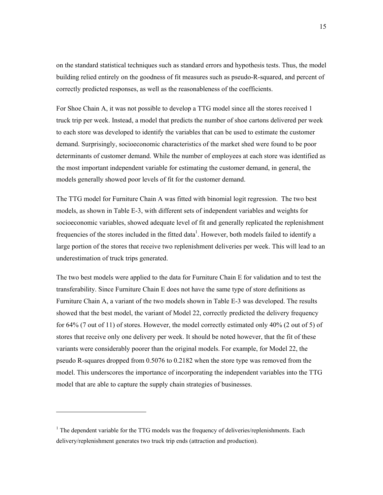on the standard statistical techniques such as standard errors and hypothesis tests. Thus, the model building relied entirely on the goodness of fit measures such as pseudo-R-squared, and percent of correctly predicted responses, as well as the reasonableness of the coefficients.

For Shoe Chain A, it was not possible to develop a TTG model since all the stores received 1 truck trip per week. Instead, a model that predicts the number of shoe cartons delivered per week to each store was developed to identify the variables that can be used to estimate the customer demand. Surprisingly, socioeconomic characteristics of the market shed were found to be poor determinants of customer demand. While the number of employees at each store was identified as the most important independent variable for estimating the customer demand, in general, the models generally showed poor levels of fit for the customer demand.

The TTG model for Furniture Chain A was fitted with binomial logit regression. The two best models, as shown in Table E-3, with different sets of independent variables and weights for socioeconomic variables, showed adequate level of fit and generally replicated the replenishment frequencies of the stores included in the fitted data<sup>1</sup>. However, both models failed to identify a large portion of the stores that receive two replenishment deliveries per week. This will lead to an underestimation of truck trips generated.

The two best models were applied to the data for Furniture Chain E for validation and to test the transferability. Since Furniture Chain E does not have the same type of store definitions as Furniture Chain A, a variant of the two models shown in Table E-3 was developed. The results showed that the best model, the variant of Model 22, correctly predicted the delivery frequency for 64% (7 out of 11) of stores. However, the model correctly estimated only 40% (2 out of 5) of stores that receive only one delivery per week. It should be noted however, that the fit of these variants were considerably poorer than the original models. For example, for Model 22, the pseudo R-squares dropped from 0.5076 to 0.2182 when the store type was removed from the model. This underscores the importance of incorporating the independent variables into the TTG model that are able to capture the supply chain strategies of businesses.

1

 $<sup>1</sup>$  The dependent variable for the TTG models was the frequency of deliveries/replenishments. Each</sup> delivery/replenishment generates two truck trip ends (attraction and production).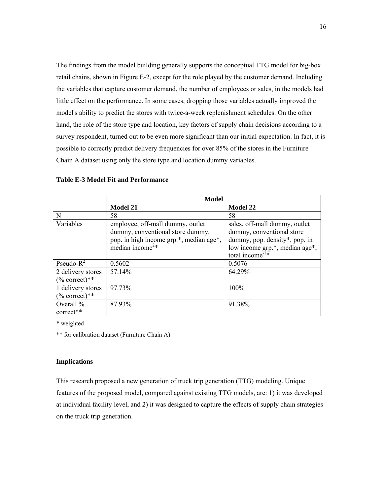The findings from the model building generally supports the conceptual TTG model for big-box retail chains, shown in Figure E-2, except for the role played by the customer demand. Including the variables that capture customer demand, the number of employees or sales, in the models had little effect on the performance. In some cases, dropping those variables actually improved the model's ability to predict the stores with twice-a-week replenishment schedules. On the other hand, the role of the store type and location, key factors of supply chain decisions according to a survey respondent, turned out to be even more significant than our initial expectation. In fact, it is possible to correctly predict delivery frequencies for over 85% of the stores in the Furniture Chain A dataset using only the store type and location dummy variables.

|                                       | Model                                                                                                                                          |                                                                                                                                                              |  |
|---------------------------------------|------------------------------------------------------------------------------------------------------------------------------------------------|--------------------------------------------------------------------------------------------------------------------------------------------------------------|--|
|                                       | <b>Model 21</b>                                                                                                                                | Model 22                                                                                                                                                     |  |
| N                                     | 58                                                                                                                                             | 58                                                                                                                                                           |  |
| Variables                             | employee, off-mall dummy, outlet<br>dummy, conventional store dummy,<br>pop. in high income grp.*, median age*,<br>median income <sup>2*</sup> | sales, off-mall dummy, outlet<br>dummy, conventional store<br>dummy, pop. density*, pop. in<br>low income grp.*, median age*,<br>total income <sup>-1*</sup> |  |
| Pseudo- $R^2$                         | 0.5602                                                                                                                                         | 0.5076                                                                                                                                                       |  |
| 2 delivery stores<br>$(\%$ correct)** | 57.14%                                                                                                                                         | 64.29%                                                                                                                                                       |  |
| 1 delivery stores<br>$(\%$ correct)** | 97.73%                                                                                                                                         | 100%                                                                                                                                                         |  |
| Overall %<br>correct**                | 87.93%                                                                                                                                         | 91.38%                                                                                                                                                       |  |

\* weighted

\*\* for calibration dataset (Furniture Chain A)

#### **Implications**

This research proposed a new generation of truck trip generation (TTG) modeling. Unique features of the proposed model, compared against existing TTG models, are: 1) it was developed at individual facility level, and 2) it was designed to capture the effects of supply chain strategies on the truck trip generation.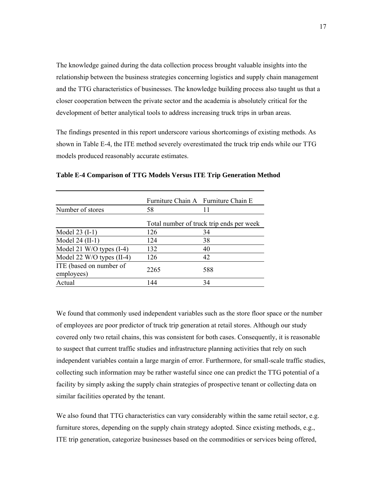The knowledge gained during the data collection process brought valuable insights into the relationship between the business strategies concerning logistics and supply chain management and the TTG characteristics of businesses. The knowledge building process also taught us that a closer cooperation between the private sector and the academia is absolutely critical for the development of better analytical tools to address increasing truck trips in urban areas.

The findings presented in this report underscore various shortcomings of existing methods. As shown in Table E-4, the ITE method severely overestimated the truck trip ends while our TTG models produced reasonably accurate estimates.

|                                       |      | Furniture Chain A Furniture Chain E      |
|---------------------------------------|------|------------------------------------------|
| Number of stores                      | 58   | 11                                       |
|                                       |      | Total number of truck trip ends per week |
| Model $23$ (I-1)                      | 126  | 34                                       |
| Model $24$ (II-1)                     | 124  | 38                                       |
| Model 21 W/O types (I-4)              | 132  | 40                                       |
| Model 22 W/O types (II-4)             | 126  | 42                                       |
| ITE (based on number of<br>employees) | 2265 | 588                                      |
| Actual                                | 144  | 34                                       |

**Table E-4 Comparison of TTG Models Versus ITE Trip Generation Method** 

We found that commonly used independent variables such as the store floor space or the number of employees are poor predictor of truck trip generation at retail stores. Although our study covered only two retail chains, this was consistent for both cases. Consequently, it is reasonable to suspect that current traffic studies and infrastructure planning activities that rely on such independent variables contain a large margin of error. Furthermore, for small-scale traffic studies, collecting such information may be rather wasteful since one can predict the TTG potential of a facility by simply asking the supply chain strategies of prospective tenant or collecting data on similar facilities operated by the tenant.

We also found that TTG characteristics can vary considerably within the same retail sector, e.g. furniture stores, depending on the supply chain strategy adopted. Since existing methods, e.g., ITE trip generation, categorize businesses based on the commodities or services being offered,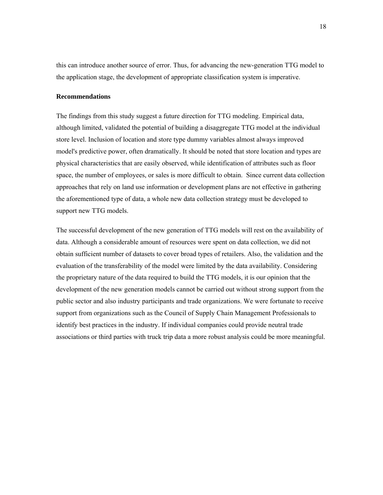this can introduce another source of error. Thus, for advancing the new-generation TTG model to the application stage, the development of appropriate classification system is imperative.

### **Recommendations**

The findings from this study suggest a future direction for TTG modeling. Empirical data, although limited, validated the potential of building a disaggregate TTG model at the individual store level. Inclusion of location and store type dummy variables almost always improved model's predictive power, often dramatically. It should be noted that store location and types are physical characteristics that are easily observed, while identification of attributes such as floor space, the number of employees, or sales is more difficult to obtain. Since current data collection approaches that rely on land use information or development plans are not effective in gathering the aforementioned type of data, a whole new data collection strategy must be developed to support new TTG models.

The successful development of the new generation of TTG models will rest on the availability of data. Although a considerable amount of resources were spent on data collection, we did not obtain sufficient number of datasets to cover broad types of retailers. Also, the validation and the evaluation of the transferability of the model were limited by the data availability. Considering the proprietary nature of the data required to build the TTG models, it is our opinion that the development of the new generation models cannot be carried out without strong support from the public sector and also industry participants and trade organizations. We were fortunate to receive support from organizations such as the Council of Supply Chain Management Professionals to identify best practices in the industry. If individual companies could provide neutral trade associations or third parties with truck trip data a more robust analysis could be more meaningful.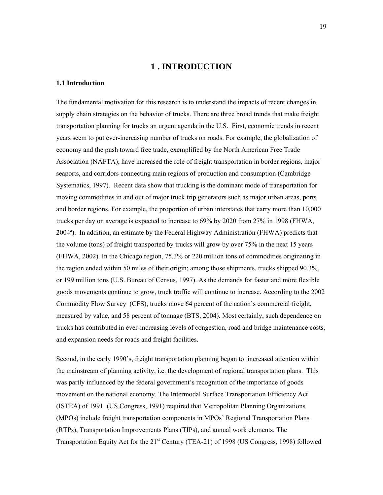### **1 . INTRODUCTION**

#### **1.1 Introduction**

The fundamental motivation for this research is to understand the impacts of recent changes in supply chain strategies on the behavior of trucks. There are three broad trends that make freight transportation planning for trucks an urgent agenda in the U.S. First, economic trends in recent years seem to put ever-increasing number of trucks on roads. For example, the globalization of economy and the push toward free trade, exemplified by the North American Free Trade Association (NAFTA), have increased the role of freight transportation in border regions, major seaports, and corridors connecting main regions of production and consumption (Cambridge Systematics, 1997). Recent data show that trucking is the dominant mode of transportation for moving commodities in and out of major truck trip generators such as major urban areas, ports and border regions. For example, the proportion of urban interstates that carry more than 10,000 trucks per day on average is expected to increase to 69% by 2020 from 27% in 1998 (FHWA, 2004<sup>a</sup>). In addition, an estimate by the Federal Highway Administration (FHWA) predicts that the volume (tons) of freight transported by trucks will grow by over 75% in the next 15 years (FHWA, 2002). In the Chicago region, 75.3% or 220 million tons of commodities originating in the region ended within 50 miles of their origin; among those shipments, trucks shipped 90.3%, or 199 million tons (U.S. Bureau of Census, 1997). As the demands for faster and more flexible goods movements continue to grow, truck traffic will continue to increase. According to the 2002 Commodity Flow Survey (CFS), trucks move 64 percent of the nation's commercial freight, measured by value, and 58 percent of tonnage (BTS, 2004). Most certainly, such dependence on trucks has contributed in ever-increasing levels of congestion, road and bridge maintenance costs, and expansion needs for roads and freight facilities.

Second, in the early 1990's, freight transportation planning began to increased attention within the mainstream of planning activity, i.e. the development of regional transportation plans. This was partly influenced by the federal government's recognition of the importance of goods movement on the national economy. The Intermodal Surface Transportation Efficiency Act (ISTEA) of 1991 (US Congress, 1991) required that Metropolitan Planning Organizations (MPOs) include freight transportation components in MPOs' Regional Transportation Plans (RTPs), Transportation Improvements Plans (TIPs), and annual work elements. The Transportation Equity Act for the  $21<sup>st</sup>$  Century (TEA-21) of 1998 (US Congress, 1998) followed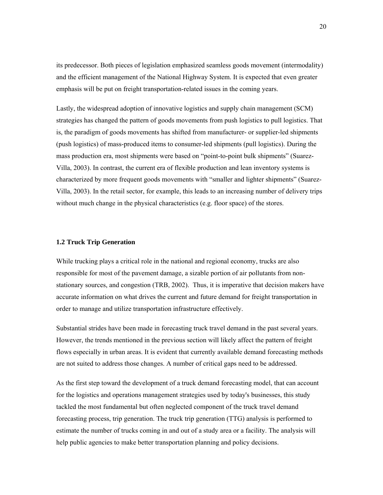its predecessor. Both pieces of legislation emphasized seamless goods movement (intermodality) and the efficient management of the National Highway System. It is expected that even greater emphasis will be put on freight transportation-related issues in the coming years.

Lastly, the widespread adoption of innovative logistics and supply chain management (SCM) strategies has changed the pattern of goods movements from push logistics to pull logistics. That is, the paradigm of goods movements has shifted from manufacturer- or supplier-led shipments (push logistics) of mass-produced items to consumer-led shipments (pull logistics). During the mass production era, most shipments were based on "point-to-point bulk shipments" (Suarez-Villa, 2003). In contrast, the current era of flexible production and lean inventory systems is characterized by more frequent goods movements with "smaller and lighter shipments" (Suarez-Villa, 2003). In the retail sector, for example, this leads to an increasing number of delivery trips without much change in the physical characteristics (e.g. floor space) of the stores.

#### **1.2 Truck Trip Generation**

While trucking plays a critical role in the national and regional economy, trucks are also responsible for most of the pavement damage, a sizable portion of air pollutants from nonstationary sources, and congestion (TRB, 2002). Thus, it is imperative that decision makers have accurate information on what drives the current and future demand for freight transportation in order to manage and utilize transportation infrastructure effectively.

Substantial strides have been made in forecasting truck travel demand in the past several years. However, the trends mentioned in the previous section will likely affect the pattern of freight flows especially in urban areas. It is evident that currently available demand forecasting methods are not suited to address those changes. A number of critical gaps need to be addressed.

As the first step toward the development of a truck demand forecasting model, that can account for the logistics and operations management strategies used by today's businesses, this study tackled the most fundamental but often neglected component of the truck travel demand forecasting process, trip generation. The truck trip generation (TTG) analysis is performed to estimate the number of trucks coming in and out of a study area or a facility. The analysis will help public agencies to make better transportation planning and policy decisions.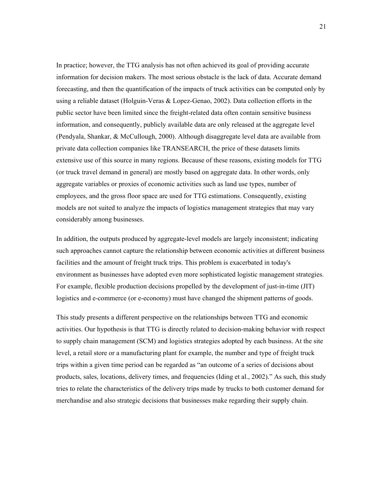In practice; however, the TTG analysis has not often achieved its goal of providing accurate information for decision makers. The most serious obstacle is the lack of data. Accurate demand forecasting, and then the quantification of the impacts of truck activities can be computed only by using a reliable dataset (Holguin-Veras & Lopez-Genao, 2002). Data collection efforts in the public sector have been limited since the freight-related data often contain sensitive business information, and consequently, publicly available data are only released at the aggregate level (Pendyala, Shankar, & McCullough, 2000). Although disaggregate level data are available from private data collection companies like TRANSEARCH, the price of these datasets limits extensive use of this source in many regions. Because of these reasons, existing models for TTG (or truck travel demand in general) are mostly based on aggregate data. In other words, only aggregate variables or proxies of economic activities such as land use types, number of employees, and the gross floor space are used for TTG estimations. Consequently, existing models are not suited to analyze the impacts of logistics management strategies that may vary considerably among businesses.

In addition, the outputs produced by aggregate-level models are largely inconsistent; indicating such approaches cannot capture the relationship between economic activities at different business facilities and the amount of freight truck trips. This problem is exacerbated in today's environment as businesses have adopted even more sophisticated logistic management strategies. For example, flexible production decisions propelled by the development of just-in-time (JIT) logistics and e-commerce (or e-economy) must have changed the shipment patterns of goods.

This study presents a different perspective on the relationships between TTG and economic activities. Our hypothesis is that TTG is directly related to decision-making behavior with respect to supply chain management (SCM) and logistics strategies adopted by each business. At the site level, a retail store or a manufacturing plant for example, the number and type of freight truck trips within a given time period can be regarded as "an outcome of a series of decisions about products, sales, locations, delivery times, and frequencies (Iding et al., 2002)." As such, this study tries to relate the characteristics of the delivery trips made by trucks to both customer demand for merchandise and also strategic decisions that businesses make regarding their supply chain.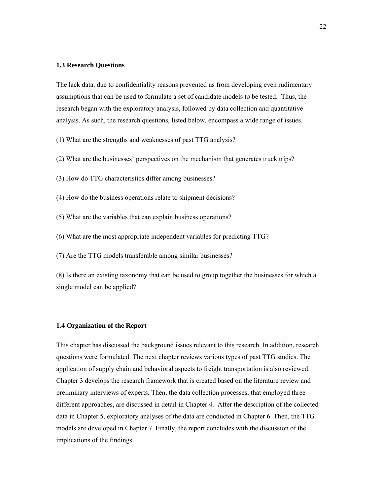#### **1.3 Research Questions**

The lack data, due to confidentiality reasons prevented us from developing even rudimentary assumptions that can be used to formulate a set of candidate models to be tested. Thus, the research began with the exploratory analysis, followed by data collection and quantitative analysis. As such, the research questions, listed below, encompass a wide range of issues.

- (1) What are the strengths and weaknesses of past TTG analysis?
- (2) What are the businesses' perspectives on the mechanism that generates truck trips?
- (3) How do TTG characteristics differ among businesses?
- (4) How do the business operations relate to shipment decisions?
- (5) What are the variables that can explain business operations?
- (6) What are the most appropriate independent variables for predicting TTG?
- (7) Are the TTG models transferable among similar businesses?

(8) Is there an existing taxonomy that can be used to group together the businesses for which a single model can be applied?

#### **1.4 Organization of the Report**

This chapter has discussed the background issues relevant to this research. In addition, research questions were formulated. The next chapter reviews various types of past TTG studies. The application of supply chain and behavioral aspects to freight transportation is also reviewed. Chapter 3 develops the research framework that is created based on the literature review and preliminary interviews of experts. Then, the data collection processes, that employed three different approaches, are discussed in detail in Chapter 4. After the description of the collected data in Chapter 5, exploratory analyses of the data are conducted in Chapter 6. Then, the TTG models are developed in Chapter 7. Finally, the report concludes with the discussion of the implications of the findings.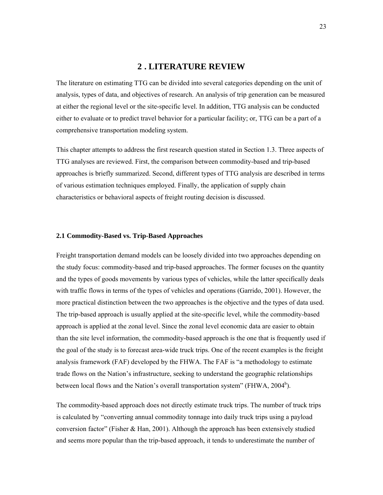### **2 . LITERATURE REVIEW**

The literature on estimating TTG can be divided into several categories depending on the unit of analysis, types of data, and objectives of research. An analysis of trip generation can be measured at either the regional level or the site-specific level. In addition, TTG analysis can be conducted either to evaluate or to predict travel behavior for a particular facility; or, TTG can be a part of a comprehensive transportation modeling system.

This chapter attempts to address the first research question stated in Section 1.3. Three aspects of TTG analyses are reviewed. First, the comparison between commodity-based and trip-based approaches is briefly summarized. Second, different types of TTG analysis are described in terms of various estimation techniques employed. Finally, the application of supply chain characteristics or behavioral aspects of freight routing decision is discussed.

#### **2.1 Commodity-Based vs. Trip-Based Approaches**

Freight transportation demand models can be loosely divided into two approaches depending on the study focus: commodity-based and trip-based approaches. The former focuses on the quantity and the types of goods movements by various types of vehicles, while the latter specifically deals with traffic flows in terms of the types of vehicles and operations (Garrido, 2001). However, the more practical distinction between the two approaches is the objective and the types of data used. The trip-based approach is usually applied at the site-specific level, while the commodity-based approach is applied at the zonal level. Since the zonal level economic data are easier to obtain than the site level information, the commodity-based approach is the one that is frequently used if the goal of the study is to forecast area-wide truck trips. One of the recent examples is the freight analysis framework (FAF) developed by the FHWA. The FAF is "a methodology to estimate trade flows on the Nation's infrastructure, seeking to understand the geographic relationships between local flows and the Nation's overall transportation system" (FHWA, 2004<sup>b</sup>).

The commodity-based approach does not directly estimate truck trips. The number of truck trips is calculated by "converting annual commodity tonnage into daily truck trips using a payload conversion factor" (Fisher  $\&$  Han, 2001). Although the approach has been extensively studied and seems more popular than the trip-based approach, it tends to underestimate the number of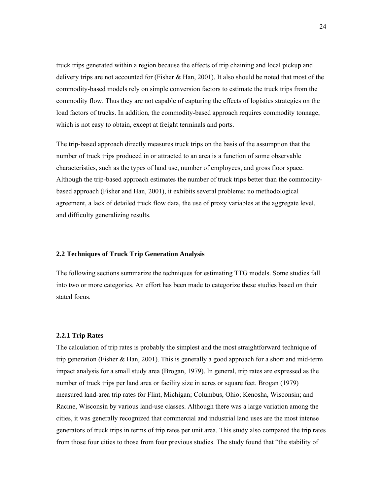truck trips generated within a region because the effects of trip chaining and local pickup and delivery trips are not accounted for (Fisher & Han, 2001). It also should be noted that most of the commodity-based models rely on simple conversion factors to estimate the truck trips from the commodity flow. Thus they are not capable of capturing the effects of logistics strategies on the load factors of trucks. In addition, the commodity-based approach requires commodity tonnage, which is not easy to obtain, except at freight terminals and ports.

The trip-based approach directly measures truck trips on the basis of the assumption that the number of truck trips produced in or attracted to an area is a function of some observable characteristics, such as the types of land use, number of employees, and gross floor space. Although the trip-based approach estimates the number of truck trips better than the commoditybased approach (Fisher and Han, 2001), it exhibits several problems: no methodological agreement, a lack of detailed truck flow data, the use of proxy variables at the aggregate level, and difficulty generalizing results.

#### **2.2 Techniques of Truck Trip Generation Analysis**

The following sections summarize the techniques for estimating TTG models. Some studies fall into two or more categories. An effort has been made to categorize these studies based on their stated focus.

#### **2.2.1 Trip Rates**

The calculation of trip rates is probably the simplest and the most straightforward technique of trip generation (Fisher & Han, 2001). This is generally a good approach for a short and mid-term impact analysis for a small study area (Brogan, 1979). In general, trip rates are expressed as the number of truck trips per land area or facility size in acres or square feet. Brogan (1979) measured land-area trip rates for Flint, Michigan; Columbus, Ohio; Kenosha, Wisconsin; and Racine, Wisconsin by various land-use classes. Although there was a large variation among the cities, it was generally recognized that commercial and industrial land uses are the most intense generators of truck trips in terms of trip rates per unit area. This study also compared the trip rates from those four cities to those from four previous studies. The study found that "the stability of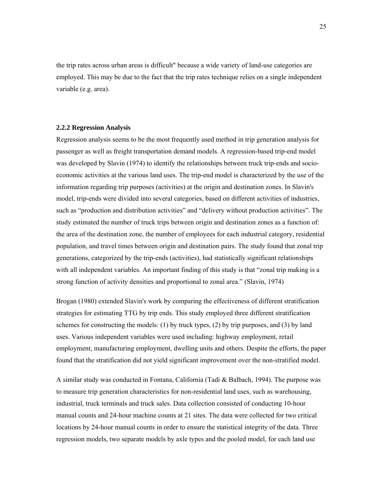the trip rates across urban areas is difficult" because a wide variety of land-use categories are employed. This may be due to the fact that the trip rates technique relies on a single independent variable (e.g. area).

#### **2.2.2 Regression Analysis**

Regression analysis seems to be the most frequently used method in trip generation analysis for passenger as well as freight transportation demand models. A regression-based trip-end model was developed by Slavin (1974) to identify the relationships between truck trip-ends and socioeconomic activities at the various land uses. The trip-end model is characterized by the use of the information regarding trip purposes (activities) at the origin and destination zones. In Slavin's model, trip-ends were divided into several categories, based on different activities of industries, such as "production and distribution activities" and "delivery without production activities". The study estimated the number of truck trips between origin and destination zones as a function of: the area of the destination zone, the number of employees for each industrial category, residential population, and travel times between origin and destination pairs. The study found that zonal trip generations, categorized by the trip-ends (activities), had statistically significant relationships with all independent variables. An important finding of this study is that "zonal trip making is a strong function of activity densities and proportional to zonal area." (Slavin, 1974)

Brogan (1980) extended Slavin's work by comparing the effectiveness of different stratification strategies for estimating TTG by trip ends. This study employed three different stratification schemes for constructing the models: (1) by truck types, (2) by trip purposes, and (3) by land uses. Various independent variables were used including: highway employment, retail employment, manufacturing employment, dwelling units and others. Despite the efforts, the paper found that the stratification did not yield significant improvement over the non-stratified model.

A similar study was conducted in Fontana, California (Tadi & Balbach, 1994). The purpose was to measure trip generation characteristics for non-residential land uses, such as warehousing, industrial, truck terminals and truck sales. Data collection consisted of conducting 10-hour manual counts and 24-hour machine counts at 21 sites. The data were collected for two critical locations by 24-hour manual counts in order to ensure the statistical integrity of the data. Three regression models, two separate models by axle types and the pooled model, for each land use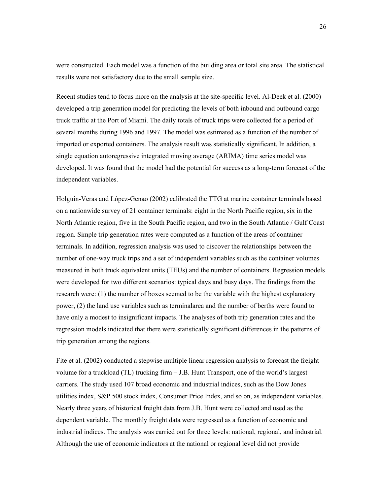were constructed. Each model was a function of the building area or total site area. The statistical results were not satisfactory due to the small sample size.

Recent studies tend to focus more on the analysis at the site-specific level. Al-Deek et al. (2000) developed a trip generation model for predicting the levels of both inbound and outbound cargo truck traffic at the Port of Miami. The daily totals of truck trips were collected for a period of several months during 1996 and 1997. The model was estimated as a function of the number of imported or exported containers. The analysis result was statistically significant. In addition, a single equation autoregressive integrated moving average (ARIMA) time series model was developed. It was found that the model had the potential for success as a long-term forecast of the independent variables.

Holguín-Veras and Lόpez-Genao (2002) calibrated the TTG at marine container terminals based on a nationwide survey of 21 container terminals: eight in the North Pacific region, six in the North Atlantic region, five in the South Pacific region, and two in the South Atlantic / Gulf Coast region. Simple trip generation rates were computed as a function of the areas of container terminals. In addition, regression analysis was used to discover the relationships between the number of one-way truck trips and a set of independent variables such as the container volumes measured in both truck equivalent units (TEUs) and the number of containers. Regression models were developed for two different scenarios: typical days and busy days. The findings from the research were: (1) the number of boxes seemed to be the variable with the highest explanatory power, (2) the land use variables such as terminalarea and the number of berths were found to have only a modest to insignificant impacts. The analyses of both trip generation rates and the regression models indicated that there were statistically significant differences in the patterns of trip generation among the regions.

Fite et al. (2002) conducted a stepwise multiple linear regression analysis to forecast the freight volume for a truckload (TL) trucking firm – J.B. Hunt Transport, one of the world's largest carriers. The study used 107 broad economic and industrial indices, such as the Dow Jones utilities index, S&P 500 stock index, Consumer Price Index, and so on, as independent variables. Nearly three years of historical freight data from J.B. Hunt were collected and used as the dependent variable. The monthly freight data were regressed as a function of economic and industrial indices. The analysis was carried out for three levels: national, regional, and industrial. Although the use of economic indicators at the national or regional level did not provide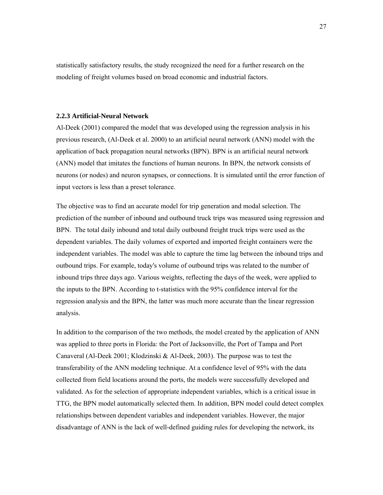statistically satisfactory results, the study recognized the need for a further research on the modeling of freight volumes based on broad economic and industrial factors.

#### **2.2.3 Artificial-Neural Network**

Al-Deek (2001) compared the model that was developed using the regression analysis in his previous research, (Al-Deek et al. 2000) to an artificial neural network (ANN) model with the application of back propagation neural networks (BPN). BPN is an artificial neural network (ANN) model that imitates the functions of human neurons. In BPN, the network consists of neurons (or nodes) and neuron synapses, or connections. It is simulated until the error function of input vectors is less than a preset tolerance.

The objective was to find an accurate model for trip generation and modal selection. The prediction of the number of inbound and outbound truck trips was measured using regression and BPN. The total daily inbound and total daily outbound freight truck trips were used as the dependent variables. The daily volumes of exported and imported freight containers were the independent variables. The model was able to capture the time lag between the inbound trips and outbound trips. For example, today's volume of outbound trips was related to the number of inbound trips three days ago. Various weights, reflecting the days of the week, were applied to the inputs to the BPN. According to t-statistics with the 95% confidence interval for the regression analysis and the BPN, the latter was much more accurate than the linear regression analysis.

In addition to the comparison of the two methods, the model created by the application of ANN was applied to three ports in Florida: the Port of Jacksonville, the Port of Tampa and Port Canaveral (Al-Deek 2001; Klodzinski & Al-Deek, 2003). The purpose was to test the transferability of the ANN modeling technique. At a confidence level of 95% with the data collected from field locations around the ports, the models were successfully developed and validated. As for the selection of appropriate independent variables, which is a critical issue in TTG, the BPN model automatically selected them. In addition, BPN model could detect complex relationships between dependent variables and independent variables. However, the major disadvantage of ANN is the lack of well-defined guiding rules for developing the network, its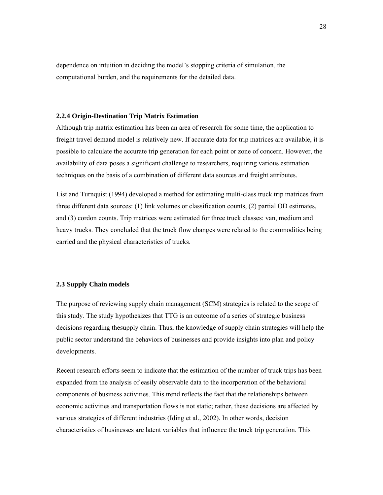dependence on intuition in deciding the model's stopping criteria of simulation, the computational burden, and the requirements for the detailed data.

#### **2.2.4 Origin-Destination Trip Matrix Estimation**

Although trip matrix estimation has been an area of research for some time, the application to freight travel demand model is relatively new. If accurate data for trip matrices are available, it is possible to calculate the accurate trip generation for each point or zone of concern. However, the availability of data poses a significant challenge to researchers, requiring various estimation techniques on the basis of a combination of different data sources and freight attributes.

List and Turnquist (1994) developed a method for estimating multi-class truck trip matrices from three different data sources: (1) link volumes or classification counts, (2) partial OD estimates, and (3) cordon counts. Trip matrices were estimated for three truck classes: van, medium and heavy trucks. They concluded that the truck flow changes were related to the commodities being carried and the physical characteristics of trucks.

#### **2.3 Supply Chain models**

The purpose of reviewing supply chain management (SCM) strategies is related to the scope of this study. The study hypothesizes that TTG is an outcome of a series of strategic business decisions regarding thesupply chain. Thus, the knowledge of supply chain strategies will help the public sector understand the behaviors of businesses and provide insights into plan and policy developments.

Recent research efforts seem to indicate that the estimation of the number of truck trips has been expanded from the analysis of easily observable data to the incorporation of the behavioral components of business activities. This trend reflects the fact that the relationships between economic activities and transportation flows is not static; rather, these decisions are affected by various strategies of different industries (Iding et al., 2002). In other words, decision characteristics of businesses are latent variables that influence the truck trip generation. This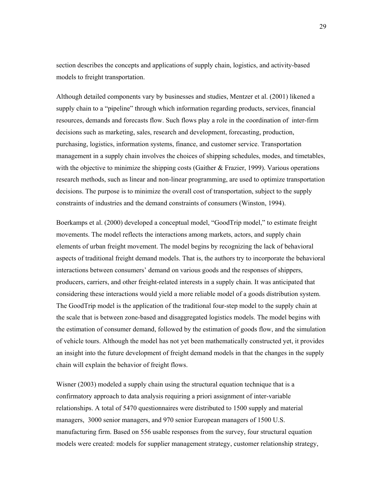section describes the concepts and applications of supply chain, logistics, and activity-based models to freight transportation.

Although detailed components vary by businesses and studies, Mentzer et al. (2001) likened a supply chain to a "pipeline" through which information regarding products, services, financial resources, demands and forecasts flow. Such flows play a role in the coordination of inter-firm decisions such as marketing, sales, research and development, forecasting, production, purchasing, logistics, information systems, finance, and customer service. Transportation management in a supply chain involves the choices of shipping schedules, modes, and timetables, with the objective to minimize the shipping costs (Gaither & Frazier, 1999). Various operations research methods, such as linear and non-linear programming, are used to optimize transportation decisions. The purpose is to minimize the overall cost of transportation, subject to the supply constraints of industries and the demand constraints of consumers (Winston, 1994).

Boerkamps et al. (2000) developed a conceptual model, "GoodTrip model," to estimate freight movements. The model reflects the interactions among markets, actors, and supply chain elements of urban freight movement. The model begins by recognizing the lack of behavioral aspects of traditional freight demand models. That is, the authors try to incorporate the behavioral interactions between consumers' demand on various goods and the responses of shippers, producers, carriers, and other freight-related interests in a supply chain. It was anticipated that considering these interactions would yield a more reliable model of a goods distribution system. The GoodTrip model is the application of the traditional four-step model to the supply chain at the scale that is between zone-based and disaggregated logistics models. The model begins with the estimation of consumer demand, followed by the estimation of goods flow, and the simulation of vehicle tours. Although the model has not yet been mathematically constructed yet, it provides an insight into the future development of freight demand models in that the changes in the supply chain will explain the behavior of freight flows.

Wisner (2003) modeled a supply chain using the structural equation technique that is a confirmatory approach to data analysis requiring a priori assignment of inter-variable relationships. A total of 5470 questionnaires were distributed to 1500 supply and material managers, 3000 senior managers, and 970 senior European managers of 1500 U.S. manufacturing firm. Based on 556 usable responses from the survey, four structural equation models were created: models for supplier management strategy, customer relationship strategy,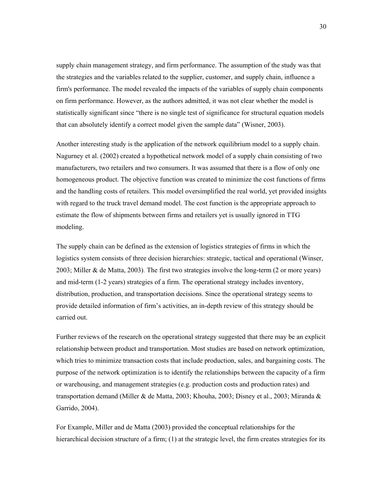supply chain management strategy, and firm performance. The assumption of the study was that the strategies and the variables related to the supplier, customer, and supply chain, influence a firm's performance. The model revealed the impacts of the variables of supply chain components on firm performance. However, as the authors admitted, it was not clear whether the model is statistically significant since "there is no single test of significance for structural equation models that can absolutely identify a correct model given the sample data" (Wisner, 2003).

Another interesting study is the application of the network equilibrium model to a supply chain. Nagurney et al. (2002) created a hypothetical network model of a supply chain consisting of two manufacturers, two retailers and two consumers. It was assumed that there is a flow of only one homogeneous product. The objective function was created to minimize the cost functions of firms and the handling costs of retailers. This model oversimplified the real world, yet provided insights with regard to the truck travel demand model. The cost function is the appropriate approach to estimate the flow of shipments between firms and retailers yet is usually ignored in TTG modeling.

The supply chain can be defined as the extension of logistics strategies of firms in which the logistics system consists of three decision hierarchies: strategic, tactical and operational (Winser, 2003; Miller & de Matta, 2003). The first two strategies involve the long-term (2 or more years) and mid-term (1-2 years) strategies of a firm. The operational strategy includes inventory, distribution, production, and transportation decisions. Since the operational strategy seems to provide detailed information of firm's activities, an in-depth review of this strategy should be carried out.

Further reviews of the research on the operational strategy suggested that there may be an explicit relationship between product and transportation. Most studies are based on network optimization, which tries to minimize transaction costs that include production, sales, and bargaining costs. The purpose of the network optimization is to identify the relationships between the capacity of a firm or warehousing, and management strategies (e.g. production costs and production rates) and transportation demand (Miller & de Matta, 2003; Khouha, 2003; Disney et al., 2003; Miranda & Garrido, 2004).

For Example, Miller and de Matta (2003) provided the conceptual relationships for the hierarchical decision structure of a firm; (1) at the strategic level, the firm creates strategies for its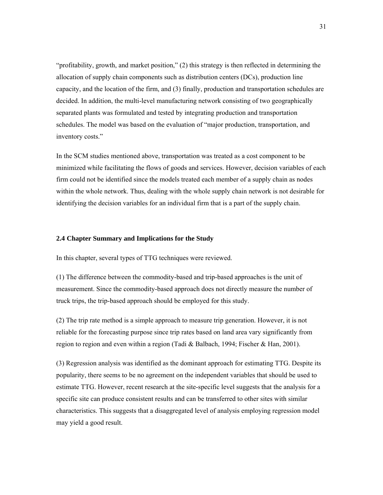"profitability, growth, and market position," (2) this strategy is then reflected in determining the allocation of supply chain components such as distribution centers (DCs), production line capacity, and the location of the firm, and (3) finally, production and transportation schedules are decided. In addition, the multi-level manufacturing network consisting of two geographically separated plants was formulated and tested by integrating production and transportation schedules. The model was based on the evaluation of "major production, transportation, and inventory costs."

In the SCM studies mentioned above, transportation was treated as a cost component to be minimized while facilitating the flows of goods and services. However, decision variables of each firm could not be identified since the models treated each member of a supply chain as nodes within the whole network. Thus, dealing with the whole supply chain network is not desirable for identifying the decision variables for an individual firm that is a part of the supply chain.

#### **2.4 Chapter Summary and Implications for the Study**

In this chapter, several types of TTG techniques were reviewed.

(1) The difference between the commodity-based and trip-based approaches is the unit of measurement. Since the commodity-based approach does not directly measure the number of truck trips, the trip-based approach should be employed for this study.

(2) The trip rate method is a simple approach to measure trip generation. However, it is not reliable for the forecasting purpose since trip rates based on land area vary significantly from region to region and even within a region (Tadi & Balbach, 1994; Fischer & Han, 2001).

(3) Regression analysis was identified as the dominant approach for estimating TTG. Despite its popularity, there seems to be no agreement on the independent variables that should be used to estimate TTG. However, recent research at the site-specific level suggests that the analysis for a specific site can produce consistent results and can be transferred to other sites with similar characteristics. This suggests that a disaggregated level of analysis employing regression model may yield a good result.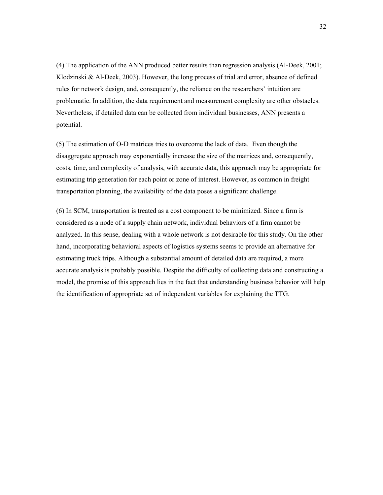(4) The application of the ANN produced better results than regression analysis (Al-Deek, 2001; Klodzinski & Al-Deek, 2003). However, the long process of trial and error, absence of defined rules for network design, and, consequently, the reliance on the researchers' intuition are problematic. In addition, the data requirement and measurement complexity are other obstacles. Nevertheless, if detailed data can be collected from individual businesses, ANN presents a potential.

(5) The estimation of O-D matrices tries to overcome the lack of data. Even though the disaggregate approach may exponentially increase the size of the matrices and, consequently, costs, time, and complexity of analysis, with accurate data, this approach may be appropriate for estimating trip generation for each point or zone of interest. However, as common in freight transportation planning, the availability of the data poses a significant challenge.

(6) In SCM, transportation is treated as a cost component to be minimized. Since a firm is considered as a node of a supply chain network, individual behaviors of a firm cannot be analyzed. In this sense, dealing with a whole network is not desirable for this study. On the other hand, incorporating behavioral aspects of logistics systems seems to provide an alternative for estimating truck trips. Although a substantial amount of detailed data are required, a more accurate analysis is probably possible. Despite the difficulty of collecting data and constructing a model, the promise of this approach lies in the fact that understanding business behavior will help the identification of appropriate set of independent variables for explaining the TTG.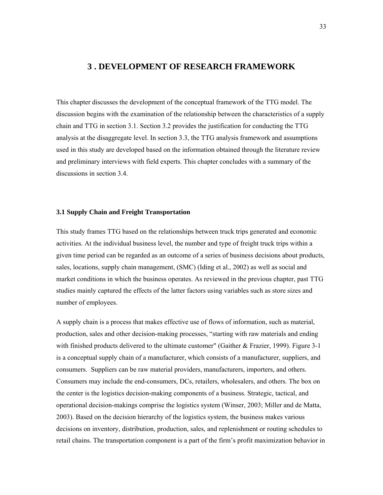## **3 . DEVELOPMENT OF RESEARCH FRAMEWORK**

This chapter discusses the development of the conceptual framework of the TTG model. The discussion begins with the examination of the relationship between the characteristics of a supply chain and TTG in section 3.1. Section 3.2 provides the justification for conducting the TTG analysis at the disaggregate level. In section 3.3, the TTG analysis framework and assumptions used in this study are developed based on the information obtained through the literature review and preliminary interviews with field experts. This chapter concludes with a summary of the discussions in section 3.4.

#### **3.1 Supply Chain and Freight Transportation**

This study frames TTG based on the relationships between truck trips generated and economic activities. At the individual business level, the number and type of freight truck trips within a given time period can be regarded as an outcome of a series of business decisions about products, sales, locations, supply chain management, (SMC) (Iding et al., 2002) as well as social and market conditions in which the business operates. As reviewed in the previous chapter, past TTG studies mainly captured the effects of the latter factors using variables such as store sizes and number of employees.

A supply chain is a process that makes effective use of flows of information, such as material, production, sales and other decision-making processes, "starting with raw materials and ending with finished products delivered to the ultimate customer" (Gaither & Frazier, 1999). Figure 3-1 is a conceptual supply chain of a manufacturer, which consists of a manufacturer, suppliers, and consumers. Suppliers can be raw material providers, manufacturers, importers, and others. Consumers may include the end-consumers, DCs, retailers, wholesalers, and others. The box on the center is the logistics decision-making components of a business. Strategic, tactical, and operational decision-makings comprise the logistics system (Winser, 2003; Miller and de Matta, 2003). Based on the decision hierarchy of the logistics system, the business makes various decisions on inventory, distribution, production, sales, and replenishment or routing schedules to retail chains. The transportation component is a part of the firm's profit maximization behavior in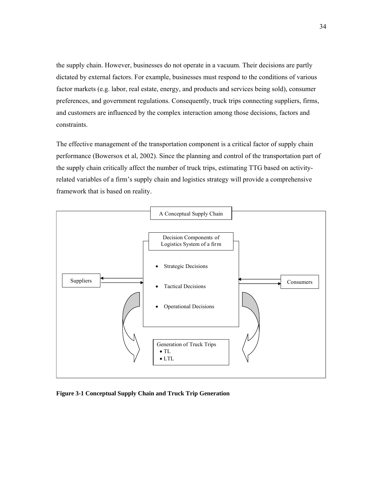the supply chain. However, businesses do not operate in a vacuum. Their decisions are partly dictated by external factors. For example, businesses must respond to the conditions of various factor markets (e.g. labor, real estate, energy, and products and services being sold), consumer preferences, and government regulations. Consequently, truck trips connecting suppliers, firms, and customers are influenced by the complex interaction among those decisions, factors and constraints.

The effective management of the transportation component is a critical factor of supply chain performance (Bowersox et al, 2002). Since the planning and control of the transportation part of the supply chain critically affect the number of truck trips, estimating TTG based on activityrelated variables of a firm's supply chain and logistics strategy will provide a comprehensive framework that is based on reality.



**Figure 3-1 Conceptual Supply Chain and Truck Trip Generation**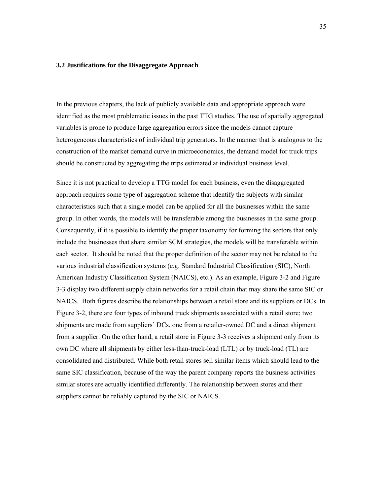#### **3.2 Justifications for the Disaggregate Approach**

In the previous chapters, the lack of publicly available data and appropriate approach were identified as the most problematic issues in the past TTG studies. The use of spatially aggregated variables is prone to produce large aggregation errors since the models cannot capture heterogeneous characteristics of individual trip generators. In the manner that is analogous to the construction of the market demand curve in microeconomics, the demand model for truck trips should be constructed by aggregating the trips estimated at individual business level.

Since it is not practical to develop a TTG model for each business, even the disaggregated approach requires some type of aggregation scheme that identify the subjects with similar characteristics such that a single model can be applied for all the businesses within the same group. In other words, the models will be transferable among the businesses in the same group. Consequently, if it is possible to identify the proper taxonomy for forming the sectors that only include the businesses that share similar SCM strategies, the models will be transferable within each sector. It should be noted that the proper definition of the sector may not be related to the various industrial classification systems (e.g. Standard Industrial Classification (SIC), North American Industry Classification System (NAICS), etc.). As an example, Figure 3-2 and Figure 3-3 display two different supply chain networks for a retail chain that may share the same SIC or NAICS. Both figures describe the relationships between a retail store and its suppliers or DCs. In Figure 3-2, there are four types of inbound truck shipments associated with a retail store; two shipments are made from suppliers' DCs, one from a retailer-owned DC and a direct shipment from a supplier. On the other hand, a retail store in Figure 3-3 receives a shipment only from its own DC where all shipments by either less-than-truck-load (LTL) or by truck-load (TL) are consolidated and distributed. While both retail stores sell similar items which should lead to the same SIC classification, because of the way the parent company reports the business activities similar stores are actually identified differently. The relationship between stores and their suppliers cannot be reliably captured by the SIC or NAICS.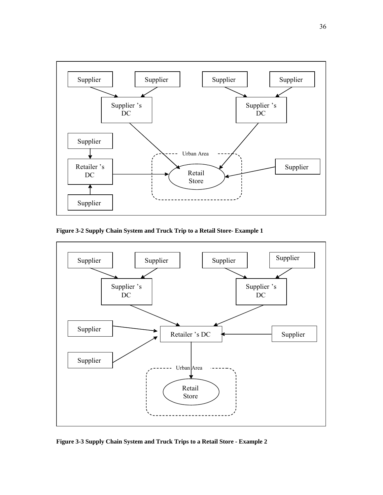

**Figure 3-2 Supply Chain System and Truck Trip to a Retail Store- Example 1** 



**Figure 3-3 Supply Chain System and Truck Trips to a Retail Store - Example 2**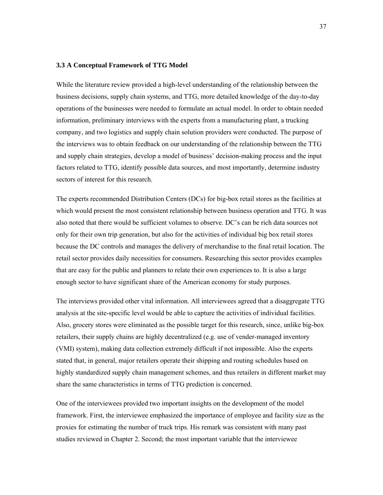### **3.3 A Conceptual Framework of TTG Model**

While the literature review provided a high-level understanding of the relationship between the business decisions, supply chain systems, and TTG, more detailed knowledge of the day-to-day operations of the businesses were needed to formulate an actual model. In order to obtain needed information, preliminary interviews with the experts from a manufacturing plant, a trucking company, and two logistics and supply chain solution providers were conducted. The purpose of the interviews was to obtain feedback on our understanding of the relationship between the TTG and supply chain strategies, develop a model of business' decision-making process and the input factors related to TTG, identify possible data sources, and most importantly, determine industry sectors of interest for this research.

The experts recommended Distribution Centers (DCs) for big-box retail stores as the facilities at which would present the most consistent relationship between business operation and TTG. It was also noted that there would be sufficient volumes to observe. DC's can be rich data sources not only for their own trip generation, but also for the activities of individual big box retail stores because the DC controls and manages the delivery of merchandise to the final retail location. The retail sector provides daily necessities for consumers. Researching this sector provides examples that are easy for the public and planners to relate their own experiences to. It is also a large enough sector to have significant share of the American economy for study purposes.

The interviews provided other vital information. All interviewees agreed that a disaggregate TTG analysis at the site-specific level would be able to capture the activities of individual facilities. Also, grocery stores were eliminated as the possible target for this research, since, unlike big-box retailers, their supply chains are highly decentralized (e.g. use of vender-managed inventory (VMI) system), making data collection extremely difficult if not impossible. Also the experts stated that, in general, major retailers operate their shipping and routing schedules based on highly standardized supply chain management schemes, and thus retailers in different market may share the same characteristics in terms of TTG prediction is concerned.

One of the interviewees provided two important insights on the development of the model framework. First, the interviewee emphasized the importance of employee and facility size as the proxies for estimating the number of truck trips. His remark was consistent with many past studies reviewed in Chapter 2. Second; the most important variable that the interviewee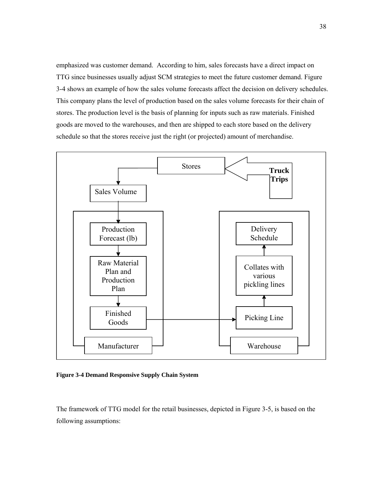emphasized was customer demand. According to him, sales forecasts have a direct impact on TTG since businesses usually adjust SCM strategies to meet the future customer demand. Figure 3-4 shows an example of how the sales volume forecasts affect the decision on delivery schedules. This company plans the level of production based on the sales volume forecasts for their chain of stores. The production level is the basis of planning for inputs such as raw materials. Finished goods are moved to the warehouses, and then are shipped to each store based on the delivery schedule so that the stores receive just the right (or projected) amount of merchandise.



**Figure 3-4 Demand Responsive Supply Chain System** 

The framework of TTG model for the retail businesses, depicted in Figure 3-5, is based on the following assumptions: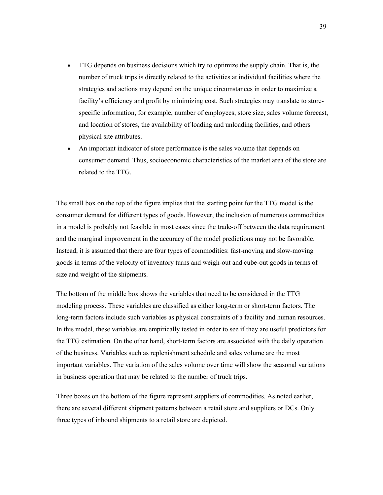- TTG depends on business decisions which try to optimize the supply chain. That is, the number of truck trips is directly related to the activities at individual facilities where the strategies and actions may depend on the unique circumstances in order to maximize a facility's efficiency and profit by minimizing cost. Such strategies may translate to storespecific information, for example, number of employees, store size, sales volume forecast, and location of stores, the availability of loading and unloading facilities, and others physical site attributes.
- An important indicator of store performance is the sales volume that depends on consumer demand. Thus, socioeconomic characteristics of the market area of the store are related to the TTG.

The small box on the top of the figure implies that the starting point for the TTG model is the consumer demand for different types of goods. However, the inclusion of numerous commodities in a model is probably not feasible in most cases since the trade-off between the data requirement and the marginal improvement in the accuracy of the model predictions may not be favorable. Instead, it is assumed that there are four types of commodities: fast-moving and slow-moving goods in terms of the velocity of inventory turns and weigh-out and cube-out goods in terms of size and weight of the shipments.

The bottom of the middle box shows the variables that need to be considered in the TTG modeling process. These variables are classified as either long-term or short-term factors. The long-term factors include such variables as physical constraints of a facility and human resources. In this model, these variables are empirically tested in order to see if they are useful predictors for the TTG estimation. On the other hand, short-term factors are associated with the daily operation of the business. Variables such as replenishment schedule and sales volume are the most important variables. The variation of the sales volume over time will show the seasonal variations in business operation that may be related to the number of truck trips.

Three boxes on the bottom of the figure represent suppliers of commodities. As noted earlier, there are several different shipment patterns between a retail store and suppliers or DCs. Only three types of inbound shipments to a retail store are depicted.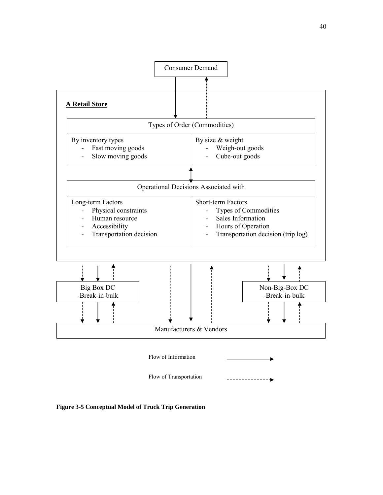

Flow of Transportation

------------

**Figure 3-5 Conceptual Model of Truck Trip Generation**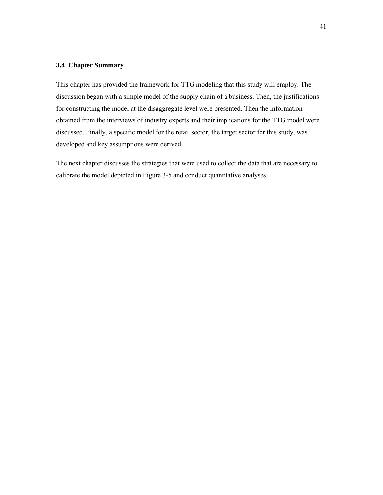# **3.4 Chapter Summary**

This chapter has provided the framework for TTG modeling that this study will employ. The discussion began with a simple model of the supply chain of a business. Then, the justifications for constructing the model at the disaggregate level were presented. Then the information obtained from the interviews of industry experts and their implications for the TTG model were discussed. Finally, a specific model for the retail sector, the target sector for this study, was developed and key assumptions were derived.

The next chapter discusses the strategies that were used to collect the data that are necessary to calibrate the model depicted in Figure 3-5 and conduct quantitative analyses.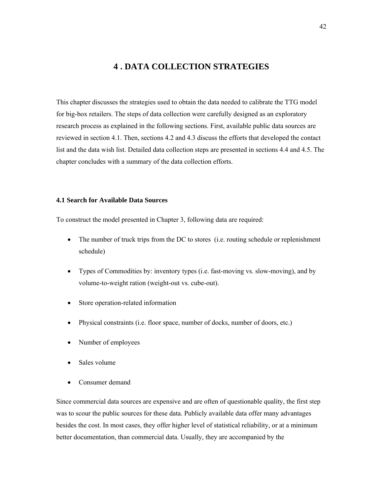# **4 . DATA COLLECTION STRATEGIES**

This chapter discusses the strategies used to obtain the data needed to calibrate the TTG model for big-box retailers. The steps of data collection were carefully designed as an exploratory research process as explained in the following sections. First, available public data sources are reviewed in section 4.1. Then, sections 4.2 and 4.3 discuss the efforts that developed the contact list and the data wish list. Detailed data collection steps are presented in sections 4.4 and 4.5. The chapter concludes with a summary of the data collection efforts.

## **4.1 Search for Available Data Sources**

To construct the model presented in Chapter 3, following data are required:

- The number of truck trips from the DC to stores (i.e. routing schedule or replenishment schedule)
- Types of Commodities by: inventory types (i.e. fast-moving vs. slow-moving), and by volume-to-weight ration (weight-out vs. cube-out).
- Store operation-related information
- Physical constraints (i.e. floor space, number of docks, number of doors, etc.)
- Number of employees
- Sales volume
- Consumer demand

Since commercial data sources are expensive and are often of questionable quality, the first step was to scour the public sources for these data. Publicly available data offer many advantages besides the cost. In most cases, they offer higher level of statistical reliability, or at a minimum better documentation, than commercial data. Usually, they are accompanied by the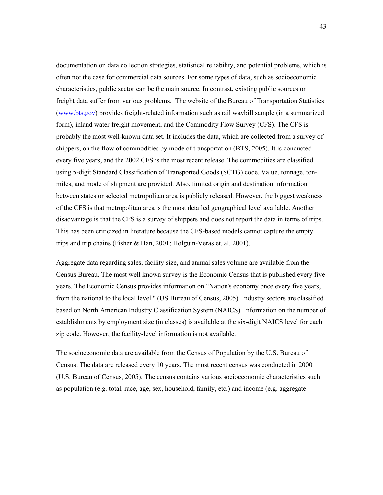documentation on data collection strategies, statistical reliability, and potential problems, which is often not the case for commercial data sources. For some types of data, such as socioeconomic characteristics, public sector can be the main source. In contrast, existing public sources on freight data suffer from various problems. The website of the Bureau of Transportation Statistics (www.bts.gov) provides freight-related information such as rail waybill sample (in a summarized form), inland water freight movement, and the Commodity Flow Survey (CFS). The CFS is probably the most well-known data set. It includes the data, which are collected from a survey of shippers, on the flow of commodities by mode of transportation (BTS, 2005). It is conducted every five years, and the 2002 CFS is the most recent release. The commodities are classified using 5-digit Standard Classification of Transported Goods (SCTG) code. Value, tonnage, tonmiles, and mode of shipment are provided. Also, limited origin and destination information between states or selected metropolitan area is publicly released. However, the biggest weakness of the CFS is that metropolitan area is the most detailed geographical level available. Another disadvantage is that the CFS is a survey of shippers and does not report the data in terms of trips. This has been criticized in literature because the CFS-based models cannot capture the empty trips and trip chains (Fisher & Han, 2001; Holguin-Veras et. al. 2001).

Aggregate data regarding sales, facility size, and annual sales volume are available from the Census Bureau. The most well known survey is the Economic Census that is published every five years. The Economic Census provides information on "Nation's economy once every five years, from the national to the local level." (US Bureau of Census, 2005) Industry sectors are classified based on North American Industry Classification System (NAICS). Information on the number of establishments by employment size (in classes) is available at the six-digit NAICS level for each zip code. However, the facility-level information is not available.

The socioeconomic data are available from the Census of Population by the U.S. Bureau of Census. The data are released every 10 years. The most recent census was conducted in 2000 (U.S. Bureau of Census, 2005). The census contains various socioeconomic characteristics such as population (e.g. total, race, age, sex, household, family, etc.) and income (e.g. aggregate

43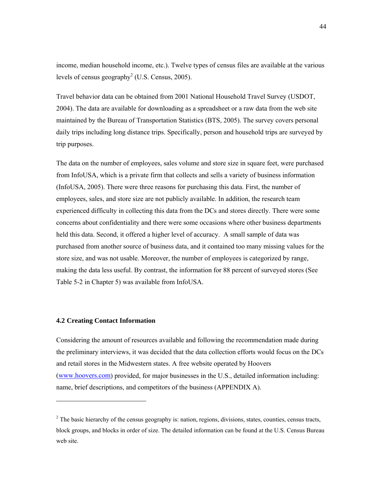income, median household income, etc.). Twelve types of census files are available at the various levels of census geography<sup>2</sup> (U.S. Census, 2005).

Travel behavior data can be obtained from 2001 National Household Travel Survey (USDOT, 2004). The data are available for downloading as a spreadsheet or a raw data from the web site maintained by the Bureau of Transportation Statistics (BTS, 2005). The survey covers personal daily trips including long distance trips. Specifically, person and household trips are surveyed by trip purposes.

The data on the number of employees, sales volume and store size in square feet, were purchased from InfoUSA, which is a private firm that collects and sells a variety of business information (InfoUSA, 2005). There were three reasons for purchasing this data. First, the number of employees, sales, and store size are not publicly available. In addition, the research team experienced difficulty in collecting this data from the DCs and stores directly. There were some concerns about confidentiality and there were some occasions where other business departments held this data. Second, it offered a higher level of accuracy. A small sample of data was purchased from another source of business data, and it contained too many missing values for the store size, and was not usable. Moreover, the number of employees is categorized by range, making the data less useful. By contrast, the information for 88 percent of surveyed stores (See Table 5-2 in Chapter 5) was available from InfoUSA.

## **4.2 Creating Contact Information**

l

Considering the amount of resources available and following the recommendation made during the preliminary interviews, it was decided that the data collection efforts would focus on the DCs and retail stores in the Midwestern states. A free website operated by Hoovers (www.hoovers.com) provided, for major businesses in the U.S., detailed information including: name, brief descriptions, and competitors of the business (APPENDIX A).

 $2^2$  The basic hierarchy of the census geography is: nation, regions, divisions, states, counties, census tracts, block groups, and blocks in order of size. The detailed information can be found at the U.S. Census Bureau web site.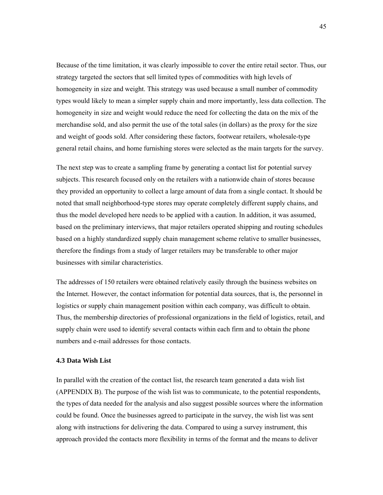Because of the time limitation, it was clearly impossible to cover the entire retail sector. Thus, our strategy targeted the sectors that sell limited types of commodities with high levels of homogeneity in size and weight. This strategy was used because a small number of commodity types would likely to mean a simpler supply chain and more importantly, less data collection. The homogeneity in size and weight would reduce the need for collecting the data on the mix of the merchandise sold, and also permit the use of the total sales (in dollars) as the proxy for the size and weight of goods sold. After considering these factors, footwear retailers, wholesale-type general retail chains, and home furnishing stores were selected as the main targets for the survey.

The next step was to create a sampling frame by generating a contact list for potential survey subjects. This research focused only on the retailers with a nationwide chain of stores because they provided an opportunity to collect a large amount of data from a single contact. It should be noted that small neighborhood-type stores may operate completely different supply chains, and thus the model developed here needs to be applied with a caution. In addition, it was assumed, based on the preliminary interviews, that major retailers operated shipping and routing schedules based on a highly standardized supply chain management scheme relative to smaller businesses, therefore the findings from a study of larger retailers may be transferable to other major businesses with similar characteristics.

The addresses of 150 retailers were obtained relatively easily through the business websites on the Internet. However, the contact information for potential data sources, that is, the personnel in logistics or supply chain management position within each company, was difficult to obtain. Thus, the membership directories of professional organizations in the field of logistics, retail, and supply chain were used to identify several contacts within each firm and to obtain the phone numbers and e-mail addresses for those contacts.

## **4.3 Data Wish List**

In parallel with the creation of the contact list, the research team generated a data wish list (APPENDIX B). The purpose of the wish list was to communicate, to the potential respondents, the types of data needed for the analysis and also suggest possible sources where the information could be found. Once the businesses agreed to participate in the survey, the wish list was sent along with instructions for delivering the data. Compared to using a survey instrument, this approach provided the contacts more flexibility in terms of the format and the means to deliver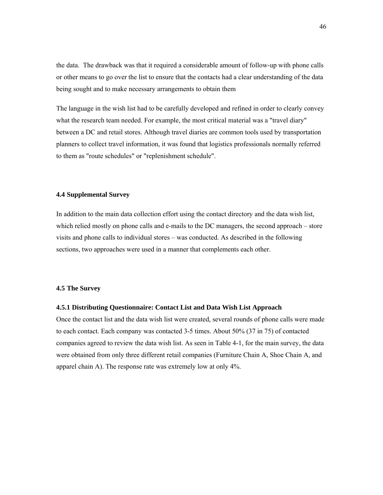the data. The drawback was that it required a considerable amount of follow-up with phone calls or other means to go over the list to ensure that the contacts had a clear understanding of the data being sought and to make necessary arrangements to obtain them

The language in the wish list had to be carefully developed and refined in order to clearly convey what the research team needed. For example, the most critical material was a "travel diary" between a DC and retail stores. Although travel diaries are common tools used by transportation planners to collect travel information, it was found that logistics professionals normally referred to them as "route schedules" or "replenishment schedule".

### **4.4 Supplemental Survey**

In addition to the main data collection effort using the contact directory and the data wish list, which relied mostly on phone calls and e-mails to the DC managers, the second approach – store visits and phone calls to individual stores – was conducted. As described in the following sections, two approaches were used in a manner that complements each other.

### **4.5 The Survey**

### **4.5.1 Distributing Questionnaire: Contact List and Data Wish List Approach**

Once the contact list and the data wish list were created, several rounds of phone calls were made to each contact. Each company was contacted 3-5 times. About 50% (37 in 75) of contacted companies agreed to review the data wish list. As seen in Table 4-1, for the main survey, the data were obtained from only three different retail companies (Furniture Chain A, Shoe Chain A, and apparel chain A). The response rate was extremely low at only 4%.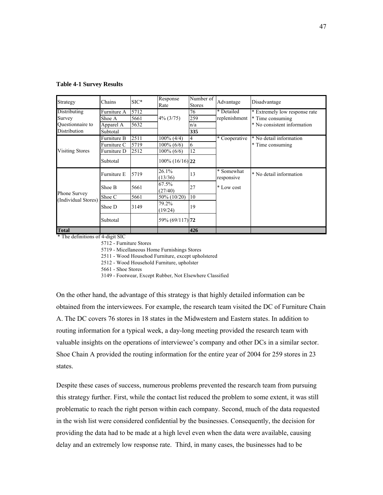| Strategy                                   | Chains      | $SIC^*$ | Response<br>Rate   | Number of<br><b>Stores</b> | Advantage                | Disadvantage                  |
|--------------------------------------------|-------------|---------|--------------------|----------------------------|--------------------------|-------------------------------|
| Distributing                               | Furniture A | 5712    |                    | 76                         | * Detailed               | * Extremely low response rate |
| Survey                                     | Shoe A      | 5661    | $4\%$ (3/75)       | 259                        | replenishment            | * Time consuming              |
| Questionnaire to                           | Apparel A   | 5632    |                    | n/a                        |                          | * No consistent information   |
| Distribution                               | Subtotal    |         |                    | 335                        |                          |                               |
|                                            | Furniture B | 2511    | $100\%$ (4/4)      | 4                          | * Cooperative            | * No detail information       |
|                                            | Furniture C | 5719    | $100\% (6/6)$      | 6                          |                          | * Time consuming              |
| <b>Visiting Stores</b>                     | Furniture D | 2512    | $100\% (6/6)$      | 12                         |                          |                               |
|                                            | Subtotal    |         | $100\%$ (16/16) 22 |                            |                          |                               |
|                                            | Furniture E | 5719    | 26.1%<br>(13/36)   | 13                         | * Somewhat<br>responsive | * No detail information       |
|                                            | Shoe B      | 5661    | 67.5%<br>(27/40)   | 27                         | * Low cost               |                               |
| <b>Phone Survey</b><br>(Individual Stores) | Shoe C      | 5661    | 50% (10/20)        | 10                         |                          |                               |
|                                            | Shoe D      | 3149    | 79.2%<br>(19/24)   | 19                         |                          |                               |
|                                            | Subtotal    |         | 59% (69/117) 72    |                            |                          |                               |
| <b>Total</b>                               |             |         |                    | 426                        |                          |                               |

#### **Table 4-1 Survey Results**

\* The definitions of 4-digit SIC

5712 - Furniture Stores

5719 - Micellaneous Home Furnishings Stores

2511 - Wood Househod Furniture, except upholstered

2512 - Wood Household Furniture, upholster

5661 - Shoe Stores

3149 - Footwear, Except Rubber, Not Elsewhere Classified

On the other hand, the advantage of this strategy is that highly detailed information can be obtained from the interviewees. For example, the research team visited the DC of Furniture Chain A. The DC covers 76 stores in 18 states in the Midwestern and Eastern states. In addition to routing information for a typical week, a day-long meeting provided the research team with valuable insights on the operations of interviewee's company and other DCs in a similar sector. Shoe Chain A provided the routing information for the entire year of 2004 for 259 stores in 23 states.

Despite these cases of success, numerous problems prevented the research team from pursuing this strategy further. First, while the contact list reduced the problem to some extent, it was still problematic to reach the right person within each company. Second, much of the data requested in the wish list were considered confidential by the businesses. Consequently, the decision for providing the data had to be made at a high level even when the data were available, causing delay and an extremely low response rate. Third, in many cases, the businesses had to be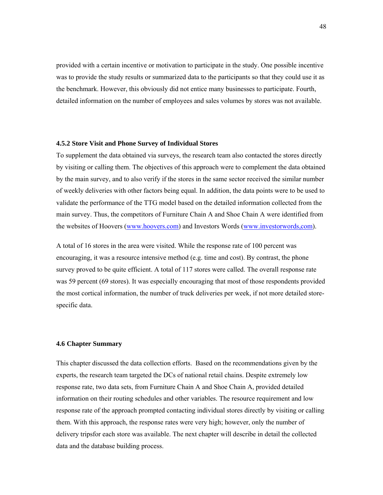provided with a certain incentive or motivation to participate in the study. One possible incentive was to provide the study results or summarized data to the participants so that they could use it as the benchmark. However, this obviously did not entice many businesses to participate. Fourth, detailed information on the number of employees and sales volumes by stores was not available.

### **4.5.2 Store Visit and Phone Survey of Individual Stores**

To supplement the data obtained via surveys, the research team also contacted the stores directly by visiting or calling them. The objectives of this approach were to complement the data obtained by the main survey, and to also verify if the stores in the same sector received the similar number of weekly deliveries with other factors being equal. In addition, the data points were to be used to validate the performance of the TTG model based on the detailed information collected from the main survey. Thus, the competitors of Furniture Chain A and Shoe Chain A were identified from the websites of Hoovers (www.hoovers.com) and Investors Words (www.investorwords.com).

A total of 16 stores in the area were visited. While the response rate of 100 percent was encouraging, it was a resource intensive method (e.g. time and cost). By contrast, the phone survey proved to be quite efficient. A total of 117 stores were called. The overall response rate was 59 percent (69 stores). It was especially encouraging that most of those respondents provided the most cortical information, the number of truck deliveries per week, if not more detailed storespecific data.

### **4.6 Chapter Summary**

This chapter discussed the data collection efforts. Based on the recommendations given by the experts, the research team targeted the DCs of national retail chains. Despite extremely low response rate, two data sets, from Furniture Chain A and Shoe Chain A, provided detailed information on their routing schedules and other variables. The resource requirement and low response rate of the approach prompted contacting individual stores directly by visiting or calling them. With this approach, the response rates were very high; however, only the number of delivery tripsfor each store was available. The next chapter will describe in detail the collected data and the database building process.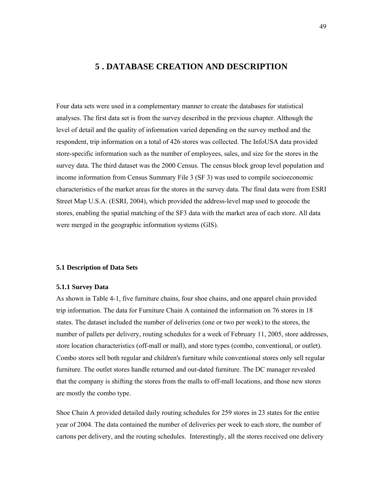# **5 . DATABASE CREATION AND DESCRIPTION**

Four data sets were used in a complementary manner to create the databases for statistical analyses. The first data set is from the survey described in the previous chapter. Although the level of detail and the quality of information varied depending on the survey method and the respondent, trip information on a total of 426 stores was collected. The InfoUSA data provided store-specific information such as the number of employees, sales, and size for the stores in the survey data. The third dataset was the 2000 Census. The census block group level population and income information from Census Summary File 3 (SF 3) was used to compile socioeconomic characteristics of the market areas for the stores in the survey data. The final data were from ESRI Street Map U.S.A. (ESRI, 2004), which provided the address-level map used to geocode the stores, enabling the spatial matching of the SF3 data with the market area of each store. All data were merged in the geographic information systems (GIS).

### **5.1 Description of Data Sets**

### **5.1.1 Survey Data**

As shown in Table 4-1, five furniture chains, four shoe chains, and one apparel chain provided trip information. The data for Furniture Chain A contained the information on 76 stores in 18 states. The dataset included the number of deliveries (one or two per week) to the stores, the number of pallets per delivery, routing schedules for a week of February 11, 2005, store addresses, store location characteristics (off-mall or mall), and store types (combo, conventional, or outlet). Combo stores sell both regular and children's furniture while conventional stores only sell regular furniture. The outlet stores handle returned and out-dated furniture. The DC manager revealed that the company is shifting the stores from the malls to off-mall locations, and those new stores are mostly the combo type.

Shoe Chain A provided detailed daily routing schedules for 259 stores in 23 states for the entire year of 2004. The data contained the number of deliveries per week to each store, the number of cartons per delivery, and the routing schedules. Interestingly, all the stores received one delivery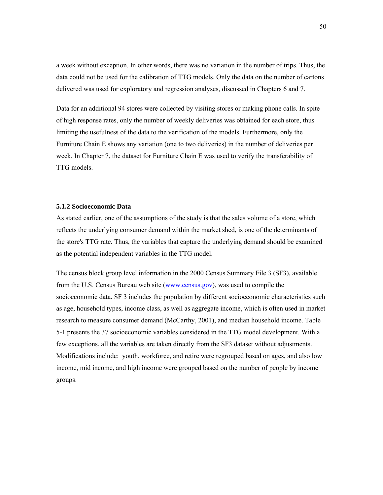a week without exception. In other words, there was no variation in the number of trips. Thus, the data could not be used for the calibration of TTG models. Only the data on the number of cartons delivered was used for exploratory and regression analyses, discussed in Chapters 6 and 7.

Data for an additional 94 stores were collected by visiting stores or making phone calls. In spite of high response rates, only the number of weekly deliveries was obtained for each store, thus limiting the usefulness of the data to the verification of the models. Furthermore, only the Furniture Chain E shows any variation (one to two deliveries) in the number of deliveries per week. In Chapter 7, the dataset for Furniture Chain E was used to verify the transferability of TTG models.

### **5.1.2 Socioeconomic Data**

As stated earlier, one of the assumptions of the study is that the sales volume of a store, which reflects the underlying consumer demand within the market shed, is one of the determinants of the store's TTG rate. Thus, the variables that capture the underlying demand should be examined as the potential independent variables in the TTG model.

The census block group level information in the 2000 Census Summary File 3 (SF3), available from the U.S. Census Bureau web site (www.census.gov), was used to compile the socioeconomic data. SF 3 includes the population by different socioeconomic characteristics such as age, household types, income class, as well as aggregate income, which is often used in market research to measure consumer demand (McCarthy, 2001), and median household income. Table 5-1 presents the 37 socioeconomic variables considered in the TTG model development. With a few exceptions, all the variables are taken directly from the SF3 dataset without adjustments. Modifications include: youth, workforce, and retire were regrouped based on ages, and also low income, mid income, and high income were grouped based on the number of people by income groups.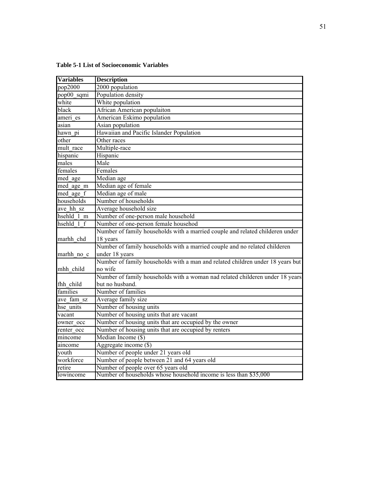| <b>Variables</b> | <b>Description</b>                                                             |
|------------------|--------------------------------------------------------------------------------|
| pop2000          | 2000 population                                                                |
| pop00_sqmi       | Population density                                                             |
| white            | White population                                                               |
| black            | African American populaiton                                                    |
| ameri es         | American Eskimo population                                                     |
| asian            | Asian population                                                               |
| hawn pi          | Hawaiian and Pacific Islander Population                                       |
| other            | Other races                                                                    |
| mult race        | Multiple-race                                                                  |
| hispanic         | Hispanic                                                                       |
| males            | Male                                                                           |
| females          | Females                                                                        |
| med age          | Median age                                                                     |
| med_age_m        | Median age of female                                                           |
| med age f        | Median age of male                                                             |
| households       | Number of households                                                           |
| ave hh sz        | Average household size                                                         |
| hsehld 1 m       | Number of one-person male household                                            |
| hsehld 1 f       | Number of one-person female househod                                           |
|                  | Number of family households with a married couple and related childeren under  |
| marhh chd        | 18 years                                                                       |
|                  | Number of family households with a married couple and no related childeren     |
| marhh no c       | under 18 years                                                                 |
|                  | Number of family households with a man and related children under 18 years but |
| mhh child        | no wife                                                                        |
|                  | Number of family households with a woman nad related childeren under 18 years  |
| fhh child        | but no husband.                                                                |
| families         | Number of families                                                             |
| ave fam sz       | Average family size                                                            |
| hse units        | Number of housing units                                                        |
| vacant           | Number of housing units that are vacant                                        |
| owner occ        | Number of housing units that are occupied by the owner                         |
| renter occ       | Number of housing units that are occupied by renters                           |
| mincome          | Median Income (\$)                                                             |
| aincome          | Aggregate income (\$)                                                          |
| youth            | Number of people under 21 years old                                            |
| workforce        | Number of people between 21 and 64 years old                                   |
| retire           | Number of people over 65 years old                                             |
| lowincome        | Number of households whose household income is less than \$35,000              |

**Table 5-1 List of Socioeconomic Variables**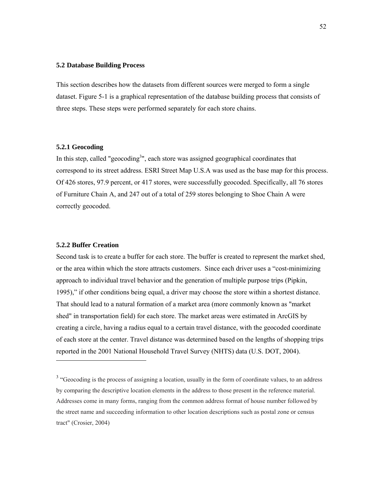### **5.2 Database Building Process**

This section describes how the datasets from different sources were merged to form a single dataset. Figure 5-1 is a graphical representation of the database building process that consists of three steps. These steps were performed separately for each store chains.

## **5.2.1 Geocoding**

In this step, called "geocoding<sup>3</sup>", each store was assigned geographical coordinates that correspond to its street address. ESRI Street Map U.S.A was used as the base map for this process. Of 426 stores, 97.9 percent, or 417 stores, were successfully geocoded. Specifically, all 76 stores of Furniture Chain A, and 247 out of a total of 259 stores belonging to Shoe Chain A were correctly geocoded.

## **5.2.2 Buffer Creation**

-

Second task is to create a buffer for each store. The buffer is created to represent the market shed, or the area within which the store attracts customers. Since each driver uses a "cost-minimizing approach to individual travel behavior and the generation of multiple purpose trips (Pipkin, 1995)," if other conditions being equal, a driver may choose the store within a shortest distance. That should lead to a natural formation of a market area (more commonly known as "market shed" in transportation field) for each store. The market areas were estimated in ArcGIS by creating a circle, having a radius equal to a certain travel distance, with the geocoded coordinate of each store at the center. Travel distance was determined based on the lengths of shopping trips reported in the 2001 National Household Travel Survey (NHTS) data (U.S. DOT, 2004).

<sup>&</sup>lt;sup>3</sup> "Geocoding is the process of assigning a location, usually in the form of coordinate values, to an address by comparing the descriptive location elements in the address to those present in the reference material. Addresses come in many forms, ranging from the common address format of house number followed by the street name and succeeding information to other location descriptions such as postal zone or census tract" (Crosier, 2004)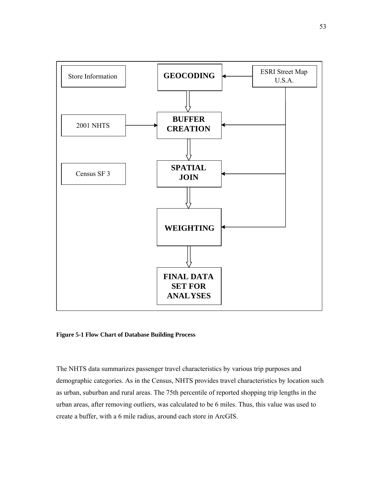

**Figure 5-1 Flow Chart of Database Building Process** 

The NHTS data summarizes passenger travel characteristics by various trip purposes and demographic categories. As in the Census, NHTS provides travel characteristics by location such as urban, suburban and rural areas. The 75th percentile of reported shopping trip lengths in the urban areas, after removing outliers, was calculated to be 6 miles. Thus, this value was used to create a buffer, with a 6 mile radius, around each store in ArcGIS.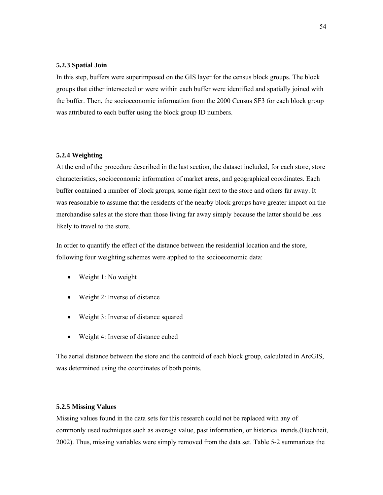### **5.2.3 Spatial Join**

In this step, buffers were superimposed on the GIS layer for the census block groups. The block groups that either intersected or were within each buffer were identified and spatially joined with the buffer. Then, the socioeconomic information from the 2000 Census SF3 for each block group was attributed to each buffer using the block group ID numbers.

### **5.2.4 Weighting**

At the end of the procedure described in the last section, the dataset included, for each store, store characteristics, socioeconomic information of market areas, and geographical coordinates. Each buffer contained a number of block groups, some right next to the store and others far away. It was reasonable to assume that the residents of the nearby block groups have greater impact on the merchandise sales at the store than those living far away simply because the latter should be less likely to travel to the store.

In order to quantify the effect of the distance between the residential location and the store, following four weighting schemes were applied to the socioeconomic data:

- Weight 1: No weight
- Weight 2: Inverse of distance
- Weight 3: Inverse of distance squared
- Weight 4: Inverse of distance cubed

The aerial distance between the store and the centroid of each block group, calculated in ArcGIS, was determined using the coordinates of both points.

## **5.2.5 Missing Values**

Missing values found in the data sets for this research could not be replaced with any of commonly used techniques such as average value, past information, or historical trends.(Buchheit, 2002). Thus, missing variables were simply removed from the data set. Table 5-2 summarizes the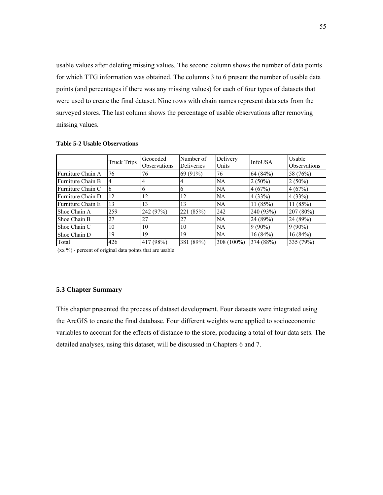usable values after deleting missing values. The second column shows the number of data points for which TTG information was obtained. The columns 3 to 6 present the number of usable data points (and percentages if there was any missing values) for each of four types of datasets that were used to create the final dataset. Nine rows with chain names represent data sets from the surveyed stores. The last column shows the percentage of usable observations after removing missing values.

|                   | <b>Truck Trips</b> | Geocoded<br>Observations | Number of<br><b>Deliveries</b> | Delivery<br>Units | InfoUSA   | Usable<br><b>Observations</b> |
|-------------------|--------------------|--------------------------|--------------------------------|-------------------|-----------|-------------------------------|
| Furniture Chain A | 76                 | 76                       | 69 (91%)                       | 76                | 64 (84%)  | 58 (76%)                      |
| Furniture Chain B |                    | 4                        | 4                              | NA                | $2(50\%)$ | $2(50\%)$                     |
| Furniture Chain C | Iб                 | 6                        | 6                              | NА                | 4(67%)    | 4(67%)                        |
| Furniture Chain D | 12                 | 12                       | 12                             | NA                | 4(33%)    | 4(33%)                        |
| Furniture Chain E | 13                 | 13                       | 13                             | NA                | 11(85%)   | 11(85%)                       |
| Shoe Chain A      | 259                | 242 (97%)                | 221 (85%)                      | 242               | 240 (93%) | 207 (80%)                     |
| Shoe Chain B      | 27                 | 27                       | 27                             | NA                | 24 (89%)  | 24 (89%)                      |
| Shoe Chain C      | 10                 | 10                       | 10                             | NA                | $9(90\%)$ | $9(90\%)$                     |
| Shoe Chain D      | 19                 | 19                       | 19                             | NA.               | 16(84%)   | 16(84%)                       |
| Total             | 426                | 417 (98%)                | 381 (89%)                      | $308(100\%)$      | 374 (88%) | 335 (79%)                     |

**Table 5-2 Usable Observations** 

(xx %) - percent of original data points that are usable

## **5.3 Chapter Summary**

This chapter presented the process of dataset development. Four datasets were integrated using the ArcGIS to create the final database. Four different weights were applied to socioeconomic variables to account for the effects of distance to the store, producing a total of four data sets. The detailed analyses, using this dataset, will be discussed in Chapters 6 and 7.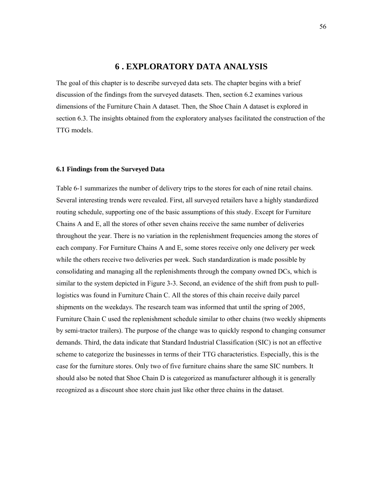# **6 . EXPLORATORY DATA ANALYSIS**

The goal of this chapter is to describe surveyed data sets. The chapter begins with a brief discussion of the findings from the surveyed datasets. Then, section 6.2 examines various dimensions of the Furniture Chain A dataset. Then, the Shoe Chain A dataset is explored in section 6.3. The insights obtained from the exploratory analyses facilitated the construction of the TTG models.

### **6.1 Findings from the Surveyed Data**

Table 6-1 summarizes the number of delivery trips to the stores for each of nine retail chains. Several interesting trends were revealed. First, all surveyed retailers have a highly standardized routing schedule, supporting one of the basic assumptions of this study. Except for Furniture Chains A and E, all the stores of other seven chains receive the same number of deliveries throughout the year. There is no variation in the replenishment frequencies among the stores of each company. For Furniture Chains A and E, some stores receive only one delivery per week while the others receive two deliveries per week. Such standardization is made possible by consolidating and managing all the replenishments through the company owned DCs, which is similar to the system depicted in Figure 3-3. Second, an evidence of the shift from push to pulllogistics was found in Furniture Chain C. All the stores of this chain receive daily parcel shipments on the weekdays. The research team was informed that until the spring of 2005, Furniture Chain C used the replenishment schedule similar to other chains (two weekly shipments by semi-tractor trailers). The purpose of the change was to quickly respond to changing consumer demands. Third, the data indicate that Standard Industrial Classification (SIC) is not an effective scheme to categorize the businesses in terms of their TTG characteristics. Especially, this is the case for the furniture stores. Only two of five furniture chains share the same SIC numbers. It should also be noted that Shoe Chain D is categorized as manufacturer although it is generally recognized as a discount shoe store chain just like other three chains in the dataset.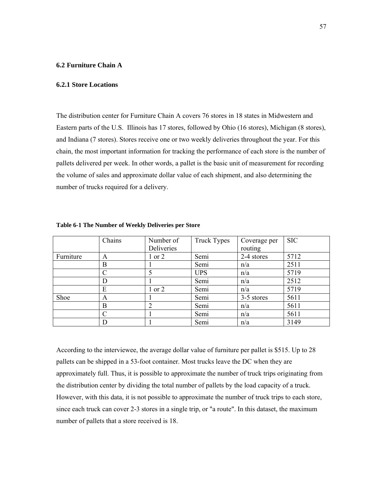## **6.2 Furniture Chain A**

### **6.2.1 Store Locations**

The distribution center for Furniture Chain A covers 76 stores in 18 states in Midwestern and Eastern parts of the U.S. Illinois has 17 stores, followed by Ohio (16 stores), Michigan (8 stores), and Indiana (7 stores). Stores receive one or two weekly deliveries throughout the year. For this chain, the most important information for tracking the performance of each store is the number of pallets delivered per week. In other words, a pallet is the basic unit of measurement for recording the volume of sales and approximate dollar value of each shipment, and also determining the number of trucks required for a delivery.

|           | Chains | Number of  | Truck Types | Coverage per | <b>SIC</b> |
|-----------|--------|------------|-------------|--------------|------------|
|           |        | Deliveries |             | routing      |            |
| Furniture | A      | $1$ or $2$ | Semi        | 2-4 stores   | 5712       |
|           | B      |            | Semi        | n/a          | 2511       |
|           | C      | 5          | <b>UPS</b>  | n/a          | 5719       |
|           | D      |            | Semi        | n/a          | 2512       |
|           | E      | $1$ or $2$ | Semi        | n/a          | 5719       |
| Shoe      | A      |            | Semi        | 3-5 stores   | 5611       |
|           | B      | 2          | Semi        | n/a          | 5611       |
|           | C      |            | Semi        | n/a          | 5611       |
|           |        |            | Semi        | n/a          | 3149       |

**Table 6-1 The Number of Weekly Deliveries per Store** 

According to the interviewee, the average dollar value of furniture per pallet is \$515. Up to 28 pallets can be shipped in a 53-foot container. Most trucks leave the DC when they are approximately full. Thus, it is possible to approximate the number of truck trips originating from the distribution center by dividing the total number of pallets by the load capacity of a truck. However, with this data, it is not possible to approximate the number of truck trips to each store, since each truck can cover 2-3 stores in a single trip, or "a route". In this dataset, the maximum number of pallets that a store received is 18.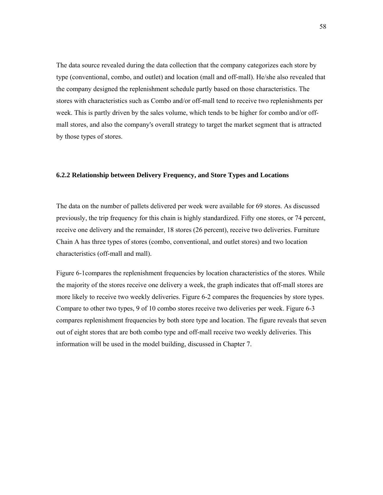The data source revealed during the data collection that the company categorizes each store by type (conventional, combo, and outlet) and location (mall and off-mall). He/she also revealed that the company designed the replenishment schedule partly based on those characteristics. The stores with characteristics such as Combo and/or off-mall tend to receive two replenishments per week. This is partly driven by the sales volume, which tends to be higher for combo and/or offmall stores, and also the company's overall strategy to target the market segment that is attracted by those types of stores.

## **6.2.2 Relationship between Delivery Frequency, and Store Types and Locations**

The data on the number of pallets delivered per week were available for 69 stores. As discussed previously, the trip frequency for this chain is highly standardized. Fifty one stores, or 74 percent, receive one delivery and the remainder, 18 stores (26 percent), receive two deliveries. Furniture Chain A has three types of stores (combo, conventional, and outlet stores) and two location characteristics (off-mall and mall).

Figure 6-1compares the replenishment frequencies by location characteristics of the stores. While the majority of the stores receive one delivery a week, the graph indicates that off-mall stores are more likely to receive two weekly deliveries. Figure 6-2 compares the frequencies by store types. Compare to other two types, 9 of 10 combo stores receive two deliveries per week. Figure 6-3 compares replenishment frequencies by both store type and location. The figure reveals that seven out of eight stores that are both combo type and off-mall receive two weekly deliveries. This information will be used in the model building, discussed in Chapter 7.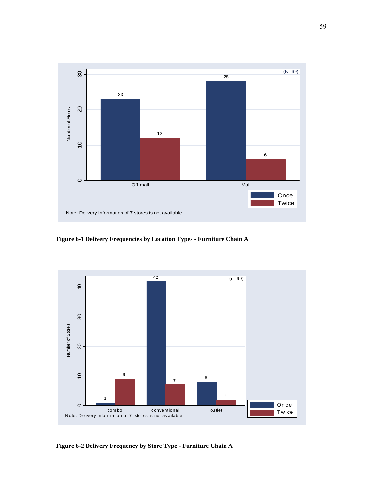

**Figure 6-1 Delivery Frequencies by Location Types - Furniture Chain A** 



**Figure 6-2 Delivery Frequency by Store Type - Furniture Chain A**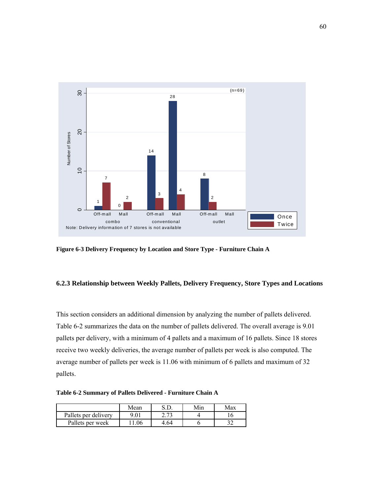

**Figure 6-3 Delivery Frequency by Location and Store Type - Furniture Chain A** 

# **6.2.3 Relationship between Weekly Pallets, Delivery Frequency, Store Types and Locations**

This section considers an additional dimension by analyzing the number of pallets delivered. Table 6-2 summarizes the data on the number of pallets delivered. The overall average is 9.01 pallets per delivery, with a minimum of 4 pallets and a maximum of 16 pallets. Since 18 stores receive two weekly deliveries, the average number of pallets per week is also computed. The average number of pallets per week is 11.06 with minimum of 6 pallets and maximum of 32 pallets.

**Table 6-2 Summary of Pallets Delivered - Furniture Chain A**

|                      | Mean |      | Min | Max |
|----------------------|------|------|-----|-----|
| Pallets per delivery |      | רי ר |     |     |
| Pallets per week     | 06   | 4.64 |     |     |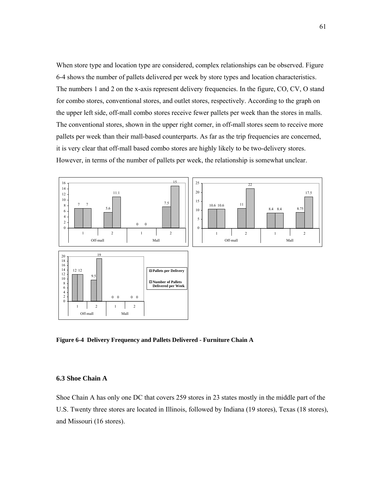When store type and location type are considered, complex relationships can be observed. Figure 6-4 shows the number of pallets delivered per week by store types and location characteristics. The numbers 1 and 2 on the x-axis represent delivery frequencies. In the figure, CO, CV, O stand for combo stores, conventional stores, and outlet stores, respectively. According to the graph on the upper left side, off-mall combo stores receive fewer pallets per week than the stores in malls. The conventional stores, shown in the upper right corner, in off-mall stores seem to receive more pallets per week than their mall-based counterparts. As far as the trip frequencies are concerned, it is very clear that off-mall based combo stores are highly likely to be two-delivery stores. However, in terms of the number of pallets per week, the relationship is somewhat unclear.



**Figure 6-4 Delivery Frequency and Pallets Delivered - Furniture Chain A** 

## **6.3 Shoe Chain A**

Shoe Chain A has only one DC that covers 259 stores in 23 states mostly in the middle part of the U.S. Twenty three stores are located in Illinois, followed by Indiana (19 stores), Texas (18 stores), and Missouri (16 stores).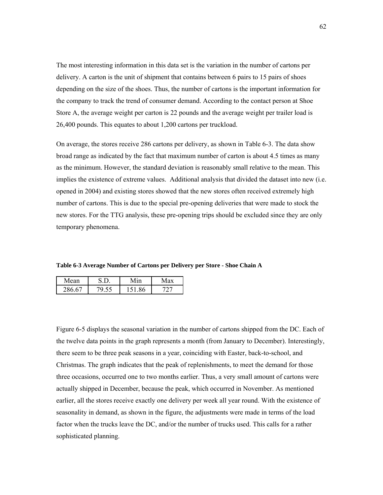The most interesting information in this data set is the variation in the number of cartons per delivery. A carton is the unit of shipment that contains between 6 pairs to 15 pairs of shoes depending on the size of the shoes. Thus, the number of cartons is the important information for the company to track the trend of consumer demand. According to the contact person at Shoe Store A, the average weight per carton is 22 pounds and the average weight per trailer load is 26,400 pounds. This equates to about 1,200 cartons per truckload.

On average, the stores receive 286 cartons per delivery, as shown in Table 6-3. The data show broad range as indicated by the fact that maximum number of carton is about 4.5 times as many as the minimum. However, the standard deviation is reasonably small relative to the mean. This implies the existence of extreme values. Additional analysis that divided the dataset into new (i.e. opened in 2004) and existing stores showed that the new stores often received extremely high number of cartons. This is due to the special pre-opening deliveries that were made to stock the new stores. For the TTG analysis, these pre-opening trips should be excluded since they are only temporary phenomena.

**Table 6-3 Average Number of Cartons per Delivery per Store - Shoe Chain A** 

|        |   | . |
|--------|---|---|
| $\sim$ | ∼ |   |

Figure 6-5 displays the seasonal variation in the number of cartons shipped from the DC. Each of the twelve data points in the graph represents a month (from January to December). Interestingly, there seem to be three peak seasons in a year, coinciding with Easter, back-to-school, and Christmas. The graph indicates that the peak of replenishments, to meet the demand for those three occasions, occurred one to two months earlier. Thus, a very small amount of cartons were actually shipped in December, because the peak, which occurred in November. As mentioned earlier, all the stores receive exactly one delivery per week all year round. With the existence of seasonality in demand, as shown in the figure, the adjustments were made in terms of the load factor when the trucks leave the DC, and/or the number of trucks used. This calls for a rather sophisticated planning.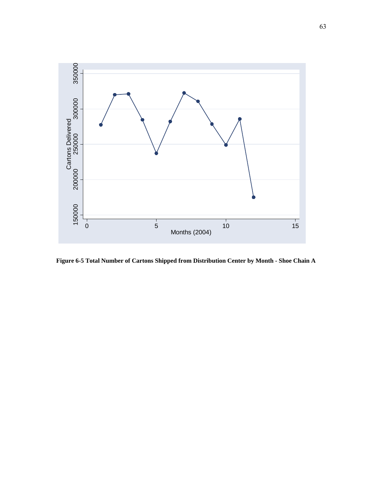

**Figure 6-5 Total Number of Cartons Shipped from Distribution Center by Month - Shoe Chain A**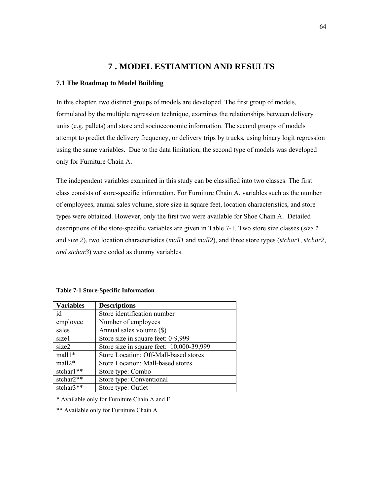# **7 . MODEL ESTIAMTION AND RESULTS**

## **7.1 The Roadmap to Model Building**

In this chapter, two distinct groups of models are developed. The first group of models, formulated by the multiple regression technique, examines the relationships between delivery units (e.g. pallets) and store and socioeconomic information. The second groups of models attempt to predict the delivery frequency, or delivery trips by trucks, using binary logit regression using the same variables. Due to the data limitation, the second type of models was developed only for Furniture Chain A.

The independent variables examined in this study can be classified into two classes. The first class consists of store-specific information. For Furniture Chain A, variables such as the number of employees, annual sales volume, store size in square feet, location characteristics, and store types were obtained. However, only the first two were available for Shoe Chain A. Detailed descriptions of the store-specific variables are given in Table 7-1. Two store size classes (*size 1* and *size 2*), two location characteristics (*mall1* and *mall2*), and three store types (*stchar1, stchar2, and stchar3*) were coded as dummy variables.

| <b>Variables</b> | <b>Descriptions</b>                      |
|------------------|------------------------------------------|
| id               | Store identification number              |
| employee         | Number of employees                      |
| sales            | Annual sales volume (\$)                 |
| size1            | Store size in square feet: 0-9,999       |
| size2            | Store size in square feet: 10,000-39,999 |
| mall1*           | Store Location: Off-Mall-based stores    |
| $mall2*$         | Store Location: Mall-based stores        |
| stchar1**        | Store type: Combo                        |
| stchar2**        | Store type: Conventional                 |
| stchar3**        | Store type: Outlet                       |

#### **Table 7-1 Store-Specific Information**

\* Available only for Furniture Chain A and E

\*\* Available only for Furniture Chain A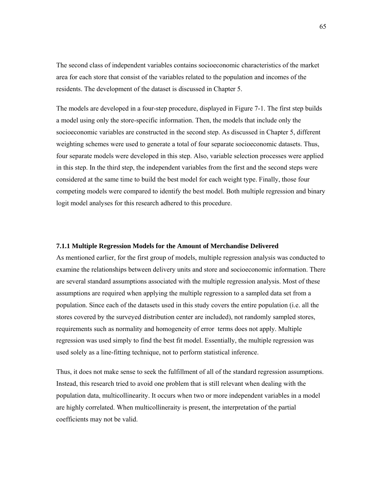The second class of independent variables contains socioeconomic characteristics of the market area for each store that consist of the variables related to the population and incomes of the residents. The development of the dataset is discussed in Chapter 5.

The models are developed in a four-step procedure, displayed in Figure 7-1. The first step builds a model using only the store-specific information. Then, the models that include only the socioeconomic variables are constructed in the second step. As discussed in Chapter 5, different weighting schemes were used to generate a total of four separate socioeconomic datasets. Thus, four separate models were developed in this step. Also, variable selection processes were applied in this step. In the third step, the independent variables from the first and the second steps were considered at the same time to build the best model for each weight type. Finally, those four competing models were compared to identify the best model. Both multiple regression and binary logit model analyses for this research adhered to this procedure.

### **7.1.1 Multiple Regression Models for the Amount of Merchandise Delivered**

As mentioned earlier, for the first group of models, multiple regression analysis was conducted to examine the relationships between delivery units and store and socioeconomic information. There are several standard assumptions associated with the multiple regression analysis. Most of these assumptions are required when applying the multiple regression to a sampled data set from a population. Since each of the datasets used in this study covers the entire population (i.e. all the stores covered by the surveyed distribution center are included), not randomly sampled stores, requirements such as normality and homogeneity of error terms does not apply. Multiple regression was used simply to find the best fit model. Essentially, the multiple regression was used solely as a line-fitting technique, not to perform statistical inference.

Thus, it does not make sense to seek the fulfillment of all of the standard regression assumptions. Instead, this research tried to avoid one problem that is still relevant when dealing with the population data, multicollinearity. It occurs when two or more independent variables in a model are highly correlated. When multicollineraity is present, the interpretation of the partial coefficients may not be valid.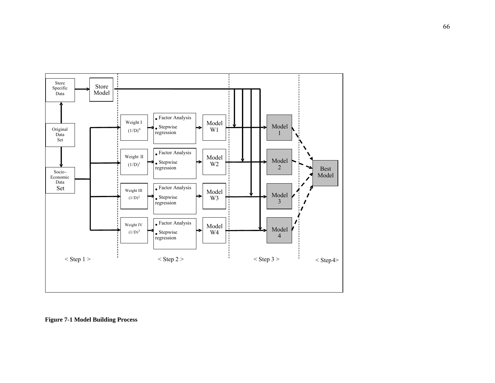

**Figure 7-1 Model Building Process**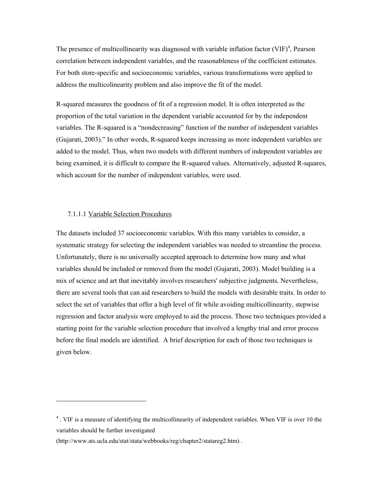The presence of multicollinearity was diagnosed with variable inflation factor  $(VIF)^4$ , Pearson correlation between independent variables, and the reasonableness of the coefficient estimates. For both store-specific and socioeconomic variables, various transformations were applied to address the multicolinearity problem and also improve the fit of the model.

R-squared measures the goodness of fit of a regression model. It is often interpreted as the proportion of the total variation in the dependent variable accounted for by the independent variables. The R-squared is a "nondecreasing" function of the number of independent variables (Gujarati, 2003)." In other words, R-squared keeps increasing as more independent variables are added to the model. Thus, when two models with different numbers of independent variables are being examined, it is difficult to compare the R-squared values. Alternatively, adjusted R-squares, which account for the number of independent variables, were used.

## 7.1.1.1 Variable Selection Procedures

-

The datasets included 37 socioeconomic variables. With this many variables to consider, a systematic strategy for selecting the independent variables was needed to streamline the process. Unfortunately, there is no universally accepted approach to determine how many and what variables should be included or removed from the model (Gujarati, 2003). Model building is a mix of science and art that inevitably involves researchers' subjective judgments. Nevertheless, there are several tools that can aid researchers to build the models with desirable traits. In order to select the set of variables that offer a high level of fit while avoiding multicollinearity, stepwise regression and factor analysis were employed to aid the process. Those two techniques provided a starting point for the variable selection procedure that involved a lengthy trial and error process before the final models are identified. A brief description for each of those two techniques is given below.

<sup>&</sup>lt;sup>4</sup>. VIF is a measure of identifying the multicollinearity of independent variables. When VIF is over 10 the variables should be further investigated

<sup>(</sup>http://www.ats.ucla.edu/stat/stata/webbooks/reg/chapter2/statareg2.htm) .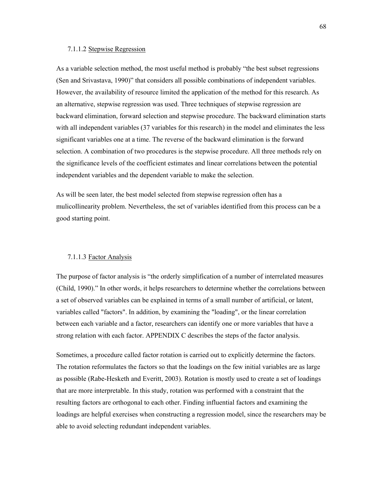### 7.1.1.2 Stepwise Regression

As a variable selection method, the most useful method is probably "the best subset regressions (Sen and Srivastava, 1990)" that considers all possible combinations of independent variables. However, the availability of resource limited the application of the method for this research. As an alternative, stepwise regression was used. Three techniques of stepwise regression are backward elimination, forward selection and stepwise procedure. The backward elimination starts with all independent variables (37 variables for this research) in the model and eliminates the less significant variables one at a time. The reverse of the backward elimination is the forward selection. A combination of two procedures is the stepwise procedure. All three methods rely on the significance levels of the coefficient estimates and linear correlations between the potential independent variables and the dependent variable to make the selection.

As will be seen later, the best model selected from stepwise regression often has a mulicollinearity problem. Nevertheless, the set of variables identified from this process can be a good starting point.

### 7.1.1.3 Factor Analysis

The purpose of factor analysis is "the orderly simplification of a number of interrelated measures (Child, 1990)." In other words, it helps researchers to determine whether the correlations between a set of observed variables can be explained in terms of a small number of artificial, or latent, variables called "factors". In addition, by examining the "loading", or the linear correlation between each variable and a factor, researchers can identify one or more variables that have a strong relation with each factor. APPENDIX C describes the steps of the factor analysis.

Sometimes, a procedure called factor rotation is carried out to explicitly determine the factors. The rotation reformulates the factors so that the loadings on the few initial variables are as large as possible (Rabe-Hesketh and Everitt, 2003). Rotation is mostly used to create a set of loadings that are more interpretable. In this study, rotation was performed with a constraint that the resulting factors are orthogonal to each other. Finding influential factors and examining the loadings are helpful exercises when constructing a regression model, since the researchers may be able to avoid selecting redundant independent variables.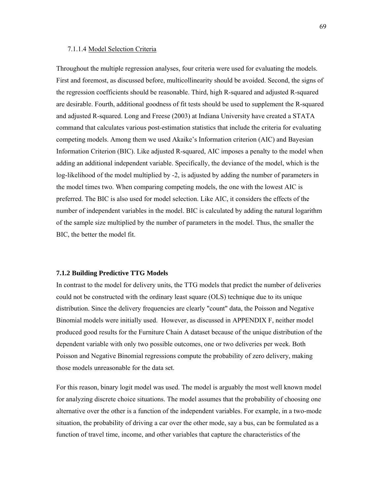#### 7.1.1.4 Model Selection Criteria

Throughout the multiple regression analyses, four criteria were used for evaluating the models. First and foremost, as discussed before, multicollinearity should be avoided. Second, the signs of the regression coefficients should be reasonable. Third, high R-squared and adjusted R-squared are desirable. Fourth, additional goodness of fit tests should be used to supplement the R-squared and adjusted R-squared. Long and Freese (2003) at Indiana University have created a STATA command that calculates various post-estimation statistics that include the criteria for evaluating competing models. Among them we used Akaike's Information criterion (AIC) and Bayesian Information Criterion (BIC). Like adjusted R-squared, AIC imposes a penalty to the model when adding an additional independent variable. Specifically, the deviance of the model, which is the log-likelihood of the model multiplied by -2, is adjusted by adding the number of parameters in the model times two. When comparing competing models, the one with the lowest AIC is preferred. The BIC is also used for model selection. Like AIC, it considers the effects of the number of independent variables in the model. BIC is calculated by adding the natural logarithm of the sample size multiplied by the number of parameters in the model. Thus, the smaller the BIC, the better the model fit.

### **7.1.2 Building Predictive TTG Models**

In contrast to the model for delivery units, the TTG models that predict the number of deliveries could not be constructed with the ordinary least square (OLS) technique due to its unique distribution. Since the delivery frequencies are clearly "count" data, the Poisson and Negative Binomial models were initially used. However, as discussed in APPENDIX F, neither model produced good results for the Furniture Chain A dataset because of the unique distribution of the dependent variable with only two possible outcomes, one or two deliveries per week. Both Poisson and Negative Binomial regressions compute the probability of zero delivery, making those models unreasonable for the data set.

For this reason, binary logit model was used. The model is arguably the most well known model for analyzing discrete choice situations. The model assumes that the probability of choosing one alternative over the other is a function of the independent variables. For example, in a two-mode situation, the probability of driving a car over the other mode, say a bus, can be formulated as a function of travel time, income, and other variables that capture the characteristics of the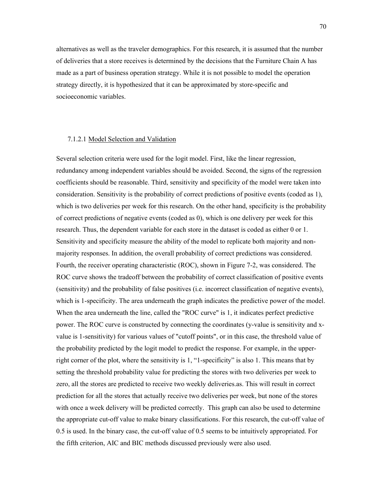alternatives as well as the traveler demographics. For this research, it is assumed that the number of deliveries that a store receives is determined by the decisions that the Furniture Chain A has made as a part of business operation strategy. While it is not possible to model the operation strategy directly, it is hypothesized that it can be approximated by store-specific and socioeconomic variables.

### 7.1.2.1 Model Selection and Validation

Several selection criteria were used for the logit model. First, like the linear regression, redundancy among independent variables should be avoided. Second, the signs of the regression coefficients should be reasonable. Third, sensitivity and specificity of the model were taken into consideration. Sensitivity is the probability of correct predictions of positive events (coded as 1), which is two deliveries per week for this research. On the other hand, specificity is the probability of correct predictions of negative events (coded as 0), which is one delivery per week for this research. Thus, the dependent variable for each store in the dataset is coded as either 0 or 1. Sensitivity and specificity measure the ability of the model to replicate both majority and nonmajority responses. In addition, the overall probability of correct predictions was considered. Fourth, the receiver operating characteristic (ROC), shown in Figure 7-2, was considered. The ROC curve shows the tradeoff between the probability of correct classification of positive events (sensitivity) and the probability of false positives (i.e. incorrect classification of negative events), which is 1-specificity. The area underneath the graph indicates the predictive power of the model. When the area underneath the line, called the "ROC curve" is 1, it indicates perfect predictive power. The ROC curve is constructed by connecting the coordinates (y-value is sensitivity and xvalue is 1-sensitivity) for various values of "cutoff points", or in this case, the threshold value of the probability predicted by the logit model to predict the response. For example, in the upperright corner of the plot, where the sensitivity is 1, "1-specificity" is also 1. This means that by setting the threshold probability value for predicting the stores with two deliveries per week to zero, all the stores are predicted to receive two weekly deliveries.as. This will result in correct prediction for all the stores that actually receive two deliveries per week, but none of the stores with once a week delivery will be predicted correctly. This graph can also be used to determine the appropriate cut-off value to make binary classifications. For this research, the cut-off value of 0.5 is used. In the binary case, the cut-off value of 0.5 seems to be intuitively appropriated. For the fifth criterion, AIC and BIC methods discussed previously were also used.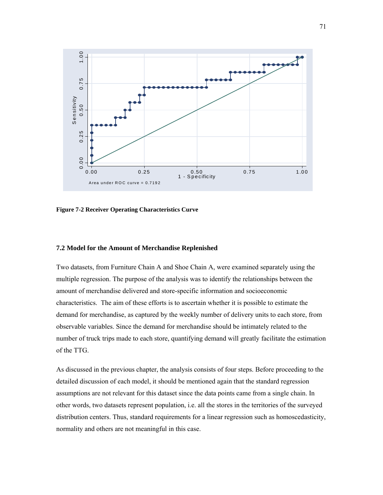

**Figure 7-2 Receiver Operating Characteristics Curve** 

## **7.2 Model for the Amount of Merchandise Replenished**

Two datasets, from Furniture Chain A and Shoe Chain A, were examined separately using the multiple regression. The purpose of the analysis was to identify the relationships between the amount of merchandise delivered and store-specific information and socioeconomic characteristics. The aim of these efforts is to ascertain whether it is possible to estimate the demand for merchandise, as captured by the weekly number of delivery units to each store, from observable variables. Since the demand for merchandise should be intimately related to the number of truck trips made to each store, quantifying demand will greatly facilitate the estimation of the TTG.

As discussed in the previous chapter, the analysis consists of four steps. Before proceeding to the detailed discussion of each model, it should be mentioned again that the standard regression assumptions are not relevant for this dataset since the data points came from a single chain. In other words, two datasets represent population, i.e. all the stores in the territories of the surveyed distribution centers. Thus, standard requirements for a linear regression such as homoscedasticity, normality and others are not meaningful in this case.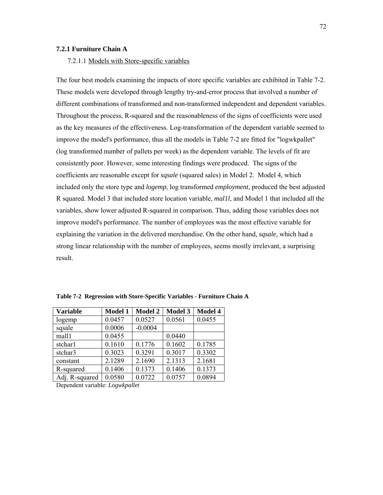### **7.2.1 Furniture Chain A**

7.2.1.1 Models with Store-specific variables

The four best models examining the impacts of store specific variables are exhibited in Table 7-2. These models were developed through lengthy try-and-error process that involved a number of different combinations of transformed and non-transformed independent and dependent variables. Throughout the process, R-squared and the reasonableness of the signs of coefficients were used as the key measures of the effectiveness. Log-transformation of the dependent variable seemed to improve the model's performance, thus all the models in Table 7-2 are fitted for "logwkpallet" (log transformed number of pallets per week) as the dependent variable. The levels of fit are consistently poor. However, some interesting findings were produced. The signs of the coefficients are reasonable except for *sqsale* (squared sales) in Model 2. Model 4, which included only the store type and *logemp*, log transformed *employment*, produced the best adjusted R squared. Model 3 that included store location variable, *mal1l*, and Model 1 that included all the variables, show lower adjusted R-squared in comparison. Thus, adding those variables does not improve model's performance. The number of employees was the most effective variable for explaining the variation in the delivered merchandise. On the other hand, *sqsale,* which had a strong linear relationship with the number of employees, seems mostly irrelevant, a surprising result.

| <b>Variable</b> | <b>Model 1</b> | <b>Model 2</b> | <b>Model 3</b> | <b>Model 4</b> |
|-----------------|----------------|----------------|----------------|----------------|
| logemp          | 0.0457         | 0.0527         | 0.0561         | 0.0455         |
| sqsale          | 0.0006         | $-0.0004$      |                |                |
| mall1           | 0.0455         |                | 0.0440         |                |
| stchar1         | 0.1610         | 0.1776         | 0.1602         | 0.1785         |
| stchar3         | 0.3023         | 0.3291         | 0.3017         | 0.3302         |
| constant        | 2.1289         | 2.1690         | 2.1313         | 2.1681         |
| R-squared       | 0.1406         | 0.1373         | 0.1406         | 0.1373         |
| Adj. R-squared  | 0.0580         | 0.0722         | 0.0757         | 0.0894         |

**Table 7-2 Regression with Store-Specific Variables - Furniture Chain A** 

Dependent variable: *Logwkpallet*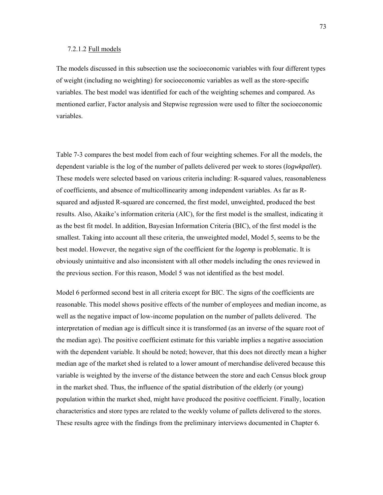The models discussed in this subsection use the socioeconomic variables with four different types of weight (including no weighting) for socioeconomic variables as well as the store-specific variables. The best model was identified for each of the weighting schemes and compared. As mentioned earlier, Factor analysis and Stepwise regression were used to filter the socioeconomic variables.

Table 7-3 compares the best model from each of four weighting schemes. For all the models, the dependent variable is the log of the number of pallets delivered per week to stores (*logwkpallet*). These models were selected based on various criteria including: R-squared values, reasonableness of coefficients, and absence of multicollinearity among independent variables. As far as Rsquared and adjusted R-squared are concerned, the first model, unweighted, produced the best results. Also, Akaike's information criteria (AIC), for the first model is the smallest, indicating it as the best fit model. In addition, Bayesian Information Criteria (BIC), of the first model is the smallest. Taking into account all these criteria, the unweighted model, Model 5, seems to be the best model. However, the negative sign of the coefficient for the *logemp* is problematic. It is obviously unintuitive and also inconsistent with all other models including the ones reviewed in the previous section. For this reason, Model 5 was not identified as the best model.

Model 6 performed second best in all criteria except for BIC. The signs of the coefficients are reasonable. This model shows positive effects of the number of employees and median income, as well as the negative impact of low-income population on the number of pallets delivered. The interpretation of median age is difficult since it is transformed (as an inverse of the square root of the median age). The positive coefficient estimate for this variable implies a negative association with the dependent variable. It should be noted; however, that this does not directly mean a higher median age of the market shed is related to a lower amount of merchandise delivered because this variable is weighted by the inverse of the distance between the store and each Census block group in the market shed. Thus, the influence of the spatial distribution of the elderly (or young) population within the market shed, might have produced the positive coefficient. Finally, location characteristics and store types are related to the weekly volume of pallets delivered to the stores. These results agree with the findings from the preliminary interviews documented in Chapter 6.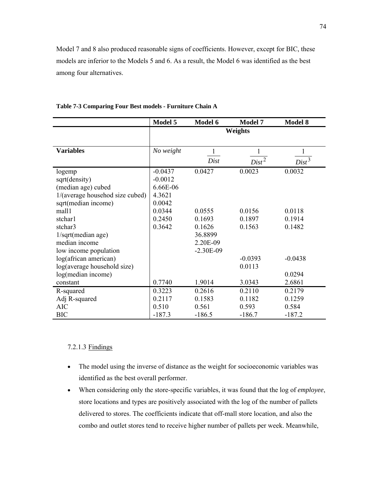Model 7 and 8 also produced reasonable signs of coefficients. However, except for BIC, these models are inferior to the Models 5 and 6. As a result, the Model 6 was identified as the best among four alternatives.

|                                 | Model 5   | Model 6     | Model 7   | Model 8   |  |
|---------------------------------|-----------|-------------|-----------|-----------|--|
|                                 | Weights   |             |           |           |  |
|                                 |           |             |           |           |  |
| <b>Variables</b>                | No weight | 1           | 1         | 1         |  |
|                                 |           | Dist        | $Dist^2$  | $Dist^3$  |  |
| logemp                          | $-0.0437$ | 0.0427      | 0.0023    | 0.0032    |  |
| sqrt(density)                   | $-0.0012$ |             |           |           |  |
| (median age) cubed              | 6.66E-06  |             |           |           |  |
| 1/(average househod size cubed) | 4.3621    |             |           |           |  |
| sqrt(median income)             | 0.0042    |             |           |           |  |
| mall1                           | 0.0344    | 0.0555      | 0.0156    | 0.0118    |  |
| stchar1                         | 0.2450    | 0.1693      | 0.1897    | 0.1914    |  |
| stchar3                         | 0.3642    | 0.1626      | 0.1563    | 0.1482    |  |
| $1/\sqrt{sqrt}$ (median age)    |           | 36.8899     |           |           |  |
| median income                   |           | 2.20E-09    |           |           |  |
| low income population           |           | $-2.30E-09$ |           |           |  |
| log(african american)           |           |             | $-0.0393$ | $-0.0438$ |  |
| log(average household size)     |           |             | 0.0113    |           |  |
| log(median income)              |           |             |           | 0.0294    |  |
| constant                        | 0.7740    | 1.9014      | 3.0343    | 2.6861    |  |
| R-squared                       | 0.3223    | 0.2616      | 0.2110    | 0.2179    |  |
| Adj R-squared                   | 0.2117    | 0.1583      | 0.1182    | 0.1259    |  |
| <b>AIC</b>                      | 0.510     | 0.561       | 0.593     | 0.584     |  |
| <b>BIC</b>                      | $-187.3$  | $-186.5$    | $-186.7$  | $-187.2$  |  |

#### **Table 7-3 Comparing Four Best models - Furniture Chain A**

# 7.2.1.3 Findings

- The model using the inverse of distance as the weight for socioeconomic variables was identified as the best overall performer.
- When considering only the store-specific variables, it was found that the log of *employee*, store locations and types are positively associated with the log of the number of pallets delivered to stores. The coefficients indicate that off-mall store location, and also the combo and outlet stores tend to receive higher number of pallets per week. Meanwhile,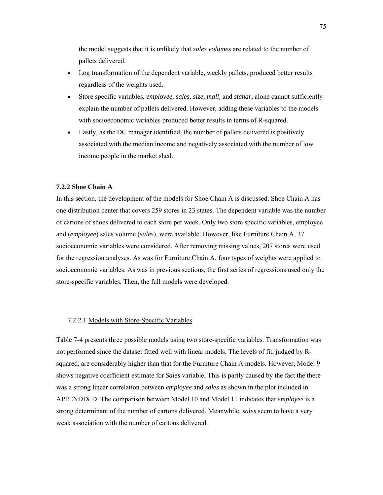the model suggests that it is unlikely that *sales volumes* are related to the number of pallets delivered.

- Log transformation of the dependent variable, weekly pallets, produced better results regardless of the weights used.
- Store specific variables, *employee, sales, size, mall,* and *stchar,* alone cannot sufficiently explain the number of pallets delivered. However, adding these variables to the models with socioeconomic variables produced better results in terms of R-squared.
- Lastly, as the DC manager identified, the number of pallets delivered is positively associated with the median income and negatively associated with the number of low income people in the market shed.

#### **7.2.2 Shoe Chain A**

In this section, the development of the models for Shoe Chain A is discussed. Shoe Chain A has one distribution center that covers 259 stores in 23 states. The dependent variable was the number of cartons of shoes delivered to each store per week. Only two store specific variables, employee and (*employee*) sales volume (*sales*), were available. However, like Furniture Chain A, 37 socioeconomic variables were considered. After removing missing values, 207 stores were used for the regression analyses. As was for Furniture Chain A, four types of weights were applied to socioeconomic variables. As was in previous sections, the first series of regressions used only the store-specific variables. Then, the full models were developed.

#### 7.2.2.1 Models with Store-Specific Variables

Table 7-4 presents three possible models using two store-specific variables. Transformation was not performed since the dataset fitted well with linear models. The levels of fit, judged by Rsquared, are considerably higher than that for the Furniture Chain A models. However, Model 9 shows negative coefficient estimate for *Sales* variable. This is partly caused by the fact the there was a strong linear correlation between *employee* and *sales* as shown in the plot included in APPENDIX D. The comparison between Model 10 and Model 11 indicates that *employee* is a strong determinant of the number of cartons delivered. Meanwhile, *sales* seem to have a very weak association with the number of cartons delivered.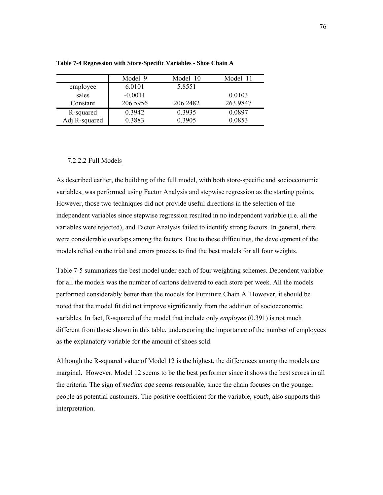|               | Model 9   | Model 10 | Model 11 |
|---------------|-----------|----------|----------|
| employee      | 6.0101    | 5.8551   |          |
| sales         | $-0.0011$ |          | 0.0103   |
| Constant      | 206.5956  | 206.2482 | 263.9847 |
| R-squared     | 0.3942    | 0.3935   | 0.0897   |
| Adj R-squared | 0.3883    | 0.3905   | 0.0853   |

**Table 7-4 Regression with Store-Specific Variables - Shoe Chain A** 

#### 7.2.2.2 Full Models

As described earlier, the building of the full model, with both store-specific and socioeconomic variables, was performed using Factor Analysis and stepwise regression as the starting points. However, those two techniques did not provide useful directions in the selection of the independent variables since stepwise regression resulted in no independent variable (i.e. all the variables were rejected), and Factor Analysis failed to identify strong factors. In general, there were considerable overlaps among the factors. Due to these difficulties, the development of the models relied on the trial and errors process to find the best models for all four weights.

Table 7-5 summarizes the best model under each of four weighting schemes. Dependent variable for all the models was the number of cartons delivered to each store per week. All the models performed considerably better than the models for Furniture Chain A. However, it should be noted that the model fit did not improve significantly from the addition of socioeconomic variables. In fact, R-squared of the model that include only *employee* (0.391) is not much different from those shown in this table, underscoring the importance of the number of employees as the explanatory variable for the amount of shoes sold.

Although the R-squared value of Model 12 is the highest, the differences among the models are marginal. However, Model 12 seems to be the best performer since it shows the best scores in all the criteria. The sign of *median age* seems reasonable, since the chain focuses on the younger people as potential customers. The positive coefficient for the variable, *youth*, also supports this interpretation.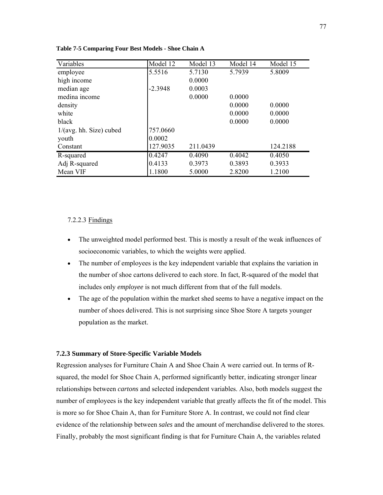| Variables               | Model 12  | Model 13 | Model 14 | Model 15 |
|-------------------------|-----------|----------|----------|----------|
| employee                | 5.5516    | 5.7130   | 5.7939   | 5.8009   |
| high income             |           | 0.0000   |          |          |
| median age              | $-2.3948$ | 0.0003   |          |          |
| medina income           |           | 0.0000   | 0.0000   |          |
| density                 |           |          | 0.0000   | 0.0000   |
| white                   |           |          | 0.0000   | 0.0000   |
| black                   |           |          | 0.0000   | 0.0000   |
| 1/(avg. hh. Size) cubed | 757.0660  |          |          |          |
| youth                   | 0.0002    |          |          |          |
| Constant                | 127.9035  | 211.0439 |          | 124.2188 |
| R-squared               | 0.4247    | 0.4090   | 0.4042   | 0.4050   |
| Adj R-squared           | 0.4133    | 0.3973   | 0.3893   | 0.3933   |
| Mean VIF                | 1.1800    | 5.0000   | 2.8200   | 1.2100   |

#### **Table 7-5 Comparing Four Best Models - Shoe Chain A**

# 7.2.2.3 Findings

- The unweighted model performed best. This is mostly a result of the weak influences of socioeconomic variables, to which the weights were applied.
- The number of employees is the key independent variable that explains the variation in the number of shoe cartons delivered to each store. In fact, R-squared of the model that includes only *employee* is not much different from that of the full models.
- The age of the population within the market shed seems to have a negative impact on the number of shoes delivered. This is not surprising since Shoe Store A targets younger population as the market.

#### **7.2.3 Summary of Store-Specific Variable Models**

Regression analyses for Furniture Chain A and Shoe Chain A were carried out. In terms of Rsquared, the model for Shoe Chain A, performed significantly better, indicating stronger linear relationships between *cartons* and selected independent variables. Also, both models suggest the number of employees is the key independent variable that greatly affects the fit of the model. This is more so for Shoe Chain A, than for Furniture Store A. In contrast, we could not find clear evidence of the relationship between *sales* and the amount of merchandise delivered to the stores. Finally, probably the most significant finding is that for Furniture Chain A, the variables related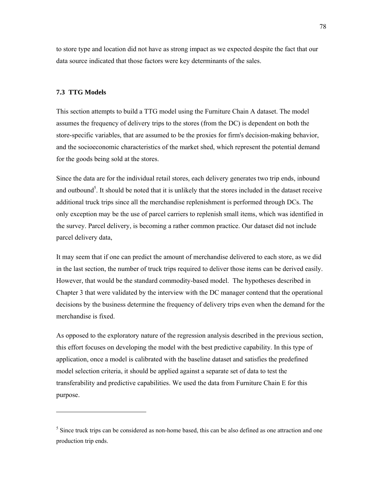to store type and location did not have as strong impact as we expected despite the fact that our data source indicated that those factors were key determinants of the sales.

#### **7.3 TTG Models**

-

This section attempts to build a TTG model using the Furniture Chain A dataset. The model assumes the frequency of delivery trips to the stores (from the DC) is dependent on both the store-specific variables, that are assumed to be the proxies for firm's decision-making behavior, and the socioeconomic characteristics of the market shed, which represent the potential demand for the goods being sold at the stores.

Since the data are for the individual retail stores, each delivery generates two trip ends, inbound and outbound<sup>5</sup>. It should be noted that it is unlikely that the stores included in the dataset receive additional truck trips since all the merchandise replenishment is performed through DCs. The only exception may be the use of parcel carriers to replenish small items, which was identified in the survey. Parcel delivery, is becoming a rather common practice. Our dataset did not include parcel delivery data,

It may seem that if one can predict the amount of merchandise delivered to each store, as we did in the last section, the number of truck trips required to deliver those items can be derived easily. However, that would be the standard commodity-based model. The hypotheses described in Chapter 3 that were validated by the interview with the DC manager contend that the operational decisions by the business determine the frequency of delivery trips even when the demand for the merchandise is fixed.

As opposed to the exploratory nature of the regression analysis described in the previous section, this effort focuses on developing the model with the best predictive capability. In this type of application, once a model is calibrated with the baseline dataset and satisfies the predefined model selection criteria, it should be applied against a separate set of data to test the transferability and predictive capabilities. We used the data from Furniture Chain E for this purpose.

<sup>&</sup>lt;sup>5</sup> Since truck trips can be considered as non-home based, this can be also defined as one attraction and one production trip ends.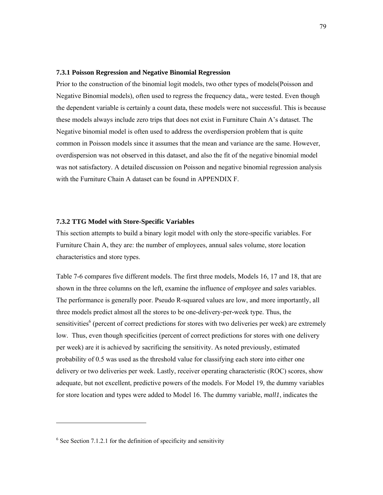#### **7.3.1 Poisson Regression and Negative Binomial Regression**

Prior to the construction of the binomial logit models, two other types of models(Poisson and Negative Binomial models), often used to regress the frequency data,, were tested. Even though the dependent variable is certainly a count data, these models were not successful. This is because these models always include zero trips that does not exist in Furniture Chain A's dataset. The Negative binomial model is often used to address the overdispersion problem that is quite common in Poisson models since it assumes that the mean and variance are the same. However, overdispersion was not observed in this dataset, and also the fit of the negative binomial model was not satisfactory. A detailed discussion on Poisson and negative binomial regression analysis with the Furniture Chain A dataset can be found in APPENDIX F.

#### **7.3.2 TTG Model with Store-Specific Variables**

This section attempts to build a binary logit model with only the store-specific variables. For Furniture Chain A, they are: the number of employees, annual sales volume, store location characteristics and store types.

Table 7-6 compares five different models. The first three models, Models 16, 17 and 18, that are shown in the three columns on the left, examine the influence of *employee* and *sales* variables. The performance is generally poor. Pseudo R-squared values are low, and more importantly, all three models predict almost all the stores to be one-delivery-per-week type. Thus, the sensitivities<sup>6</sup> (percent of correct predictions for stores with two deliveries per week) are extremely low. Thus, even though specificities (percent of correct predictions for stores with one delivery per week) are it is achieved by sacrificing the sensitivity. As noted previously, estimated probability of 0.5 was used as the threshold value for classifying each store into either one delivery or two deliveries per week. Lastly, receiver operating characteristic (ROC) scores, show adequate, but not excellent, predictive powers of the models. For Model 19, the dummy variables for store location and types were added to Model 16. The dummy variable, *mall1*, indicates the

-

 $6$  See Section 7.1.2.1 for the definition of specificity and sensitivity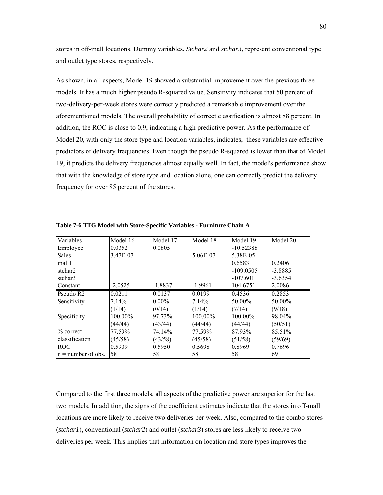stores in off-mall locations. Dummy variables, *Stchar2* and *stchar3*, represent conventional type and outlet type stores, respectively.

As shown, in all aspects, Model 19 showed a substantial improvement over the previous three models. It has a much higher pseudo R-squared value. Sensitivity indicates that 50 percent of two-delivery-per-week stores were correctly predicted a remarkable improvement over the aforementioned models. The overall probability of correct classification is almost 88 percent. In addition, the ROC is close to 0.9, indicating a high predictive power. As the performance of Model 20, with only the store type and location variables, indicates, these variables are effective predictors of delivery frequencies. Even though the pseudo R-squared is lower than that of Model 19, it predicts the delivery frequencies almost equally well. In fact, the model's performance show that with the knowledge of store type and location alone, one can correctly predict the delivery frequency for over 85 percent of the stores.

| Variables             | Model 16  | Model 17  | Model 18  | Model 19    | Model 20  |
|-----------------------|-----------|-----------|-----------|-------------|-----------|
| Employee              | 0.0352    | 0.0805    |           | $-10.52388$ |           |
| <b>Sales</b>          | 3.47E-07  |           | 5.06E-07  | 5.38E-05    |           |
| mall1                 |           |           |           | 0.6583      | 0.2406    |
| stchar2               |           |           |           | $-109.0505$ | $-3.8885$ |
| stchar3               |           |           |           | $-107.6011$ | $-3.6354$ |
| Constant              | $-2.0525$ | $-1.8837$ | $-1.9961$ | 104.6751    | 2.0086    |
| Pseudo R <sub>2</sub> | 0.0211    | 0.0137    | 0.0199    | 0.4536      | 0.2853    |
| Sensitivity           | 7.14%     | $0.00\%$  | 7.14%     | 50.00%      | 50.00%    |
|                       | (1/14)    | (0/14)    | (1/14)    | (7/14)      | (9/18)    |
| Specificity           | 100.00%   | 97.73%    | 100.00%   | 100.00%     | 98.04%    |
|                       | (44/44)   | (43/44)   | (44/44)   | (44/44)     | (50/51)   |
| $%$ correct           | 77.59%    | 74.14%    | 77.59%    | 87.93%      | 85.51%    |
| classification        | (45/58)   | (43/58)   | (45/58)   | (51/58)     | (59/69)   |
| ROC.                  | 0.5909    | 0.5950    | 0.5698    | 0.8969      | 0.7696    |
| $n =$ number of obs.  | 58        | 58        | 58        | 58          | 69        |

**Table 7-6 TTG Model with Store-Specific Variables - Furniture Chain A** 

Compared to the first three models, all aspects of the predictive power are superior for the last two models. In addition, the signs of the coefficient estimates indicate that the stores in off-mall locations are more likely to receive two deliveries per week. Also, compared to the combo stores (*stchar1*), conventional (*stchar2*) and outlet (*stchar3*) stores are less likely to receive two deliveries per week. This implies that information on location and store types improves the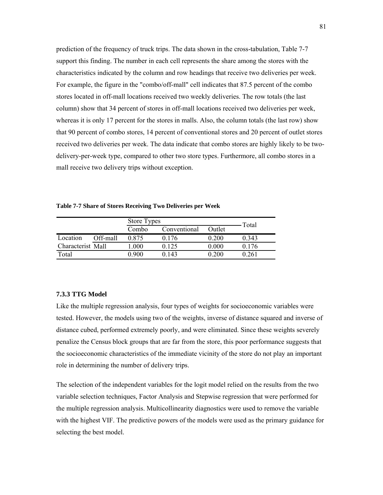prediction of the frequency of truck trips. The data shown in the cross-tabulation, Table 7-7 support this finding. The number in each cell represents the share among the stores with the characteristics indicated by the column and row headings that receive two deliveries per week. For example, the figure in the "combo/off-mall" cell indicates that 87.5 percent of the combo stores located in off-mall locations received two weekly deliveries. The row totals (the last column) show that 34 percent of stores in off-mall locations received two deliveries per week, whereas it is only 17 percent for the stores in malls. Also, the column totals (the last row) show that 90 percent of combo stores, 14 percent of conventional stores and 20 percent of outlet stores received two deliveries per week. The data indicate that combo stores are highly likely to be twodelivery-per-week type, compared to other two store types. Furthermore, all combo stores in a mall receive two delivery trips without exception.

| Table 7-7 Share of Stores Receiving Two Deliveries per Week |  |
|-------------------------------------------------------------|--|
|-------------------------------------------------------------|--|

|                   |          | Store Types |              | Total  |       |
|-------------------|----------|-------------|--------------|--------|-------|
|                   |          | Combo       | Conventional | Outlet |       |
| Location          | Off-mall | 0.875       | 0.176        | 0.200  | 0 343 |
| Characterist Mall |          | 1.000       | 0.125        | 0.000  | 0.176 |
| Total             |          | 0.900       | 0 143        | 0.200  | 0.261 |

#### **7.3.3 TTG Model**

Like the multiple regression analysis, four types of weights for socioeconomic variables were tested. However, the models using two of the weights, inverse of distance squared and inverse of distance cubed, performed extremely poorly, and were eliminated. Since these weights severely penalize the Census block groups that are far from the store, this poor performance suggests that the socioeconomic characteristics of the immediate vicinity of the store do not play an important role in determining the number of delivery trips.

The selection of the independent variables for the logit model relied on the results from the two variable selection techniques, Factor Analysis and Stepwise regression that were performed for the multiple regression analysis. Multicollinearity diagnostics were used to remove the variable with the highest VIF. The predictive powers of the models were used as the primary guidance for selecting the best model.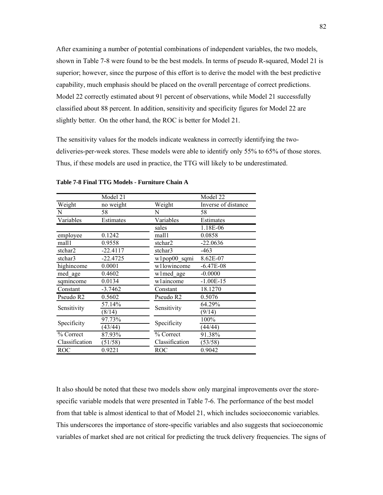After examining a number of potential combinations of independent variables, the two models, shown in Table 7-8 were found to be the best models. In terms of pseudo R-squared, Model 21 is superior; however, since the purpose of this effort is to derive the model with the best predictive capability, much emphasis should be placed on the overall percentage of correct predictions. Model 22 correctly estimated about 91 percent of observations, while Model 21 successfully classified about 88 percent. In addition, sensitivity and specificity figures for Model 22 are slightly better. On the other hand, the ROC is better for Model 21.

The sensitivity values for the models indicate weakness in correctly identifying the twodeliveries-per-week stores. These models were able to identify only 55% to 65% of those stores. Thus, if these models are used in practice, the TTG will likely to be underestimated.

|                | Model 21   |                | Model 22            |
|----------------|------------|----------------|---------------------|
| Weight         | no weight  | Weight         | Inverse of distance |
| N              | 58         | N              | 58                  |
| Variables      | Estimates  | Variables      | Estimates           |
|                |            | sales          | 1.18E-06            |
| employee       | 0.1242     | mall1          | 0.0858              |
| mall1          | 0.9558     | stchar2        | $-22.0636$          |
| stchar2        | $-22.4117$ | stchar3        | $-463$              |
| stchar3        | $-22.4725$ | wlpop00 sqmi   | 8.62E-07            |
| highincome     | 0.0001     | wllowincome    | $-6.47E-08$         |
| med_age        | 0.4602     | wlmed age      | $-0.0000$           |
| sqmincome      | 0.0134     | wlaincome      | $-1.00E-15$         |
| Constant       | $-3.7462$  | Constant       | 18.1270             |
| Pseudo R2      | 0.5602     | Pseudo R2      | 0.5076              |
| Sensitivity    | 57.14%     | Sensitivity    | 64.29%              |
|                | (8/14)     |                | (9/14)              |
|                | 97.73%     |                | 100%                |
| Specificity    | (43/44)    | Specificity    | (44/44)             |
| % Correct      | 87.93%     | % Correct      | 91.38%              |
| Classification | (51/58)    | Classification | (53/58)             |
| ROC            | 0.9221     | ROC            | 0.9042              |

**Table 7-8 Final TTG Models - Furniture Chain A** 

It also should be noted that these two models show only marginal improvements over the storespecific variable models that were presented in Table 7-6. The performance of the best model from that table is almost identical to that of Model 21, which includes socioeconomic variables. This underscores the importance of store-specific variables and also suggests that socioeconomic variables of market shed are not critical for predicting the truck delivery frequencies. The signs of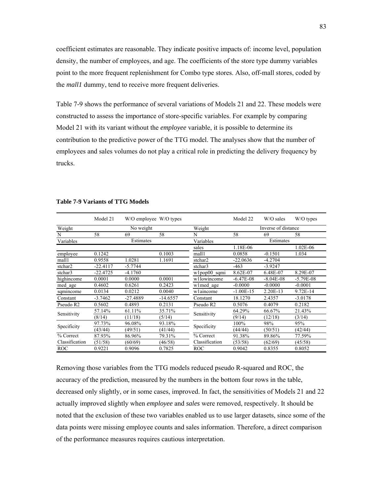coefficient estimates are reasonable. They indicate positive impacts of: income level, population density, the number of employees, and age. The coefficients of the store type dummy variables point to the more frequent replenishment for Combo type stores. Also, off-mall stores, coded by the *mall1* dummy, tend to receive more frequent deliveries.

Table 7-9 shows the performance of several variations of Models 21 and 22. These models were constructed to assess the importance of store-specific variables. For example by comparing Model 21 with its variant without the *employee* variable, it is possible to determine its contribution to the predictive power of the TTG model. The analyses show that the number of employees and sales volumes do not play a critical role in predicting the delivery frequency by trucks.

|                       | Model 21   |            | W/O employee W/O types |                | Model 22    | W/O sales           | W/O types     |
|-----------------------|------------|------------|------------------------|----------------|-------------|---------------------|---------------|
| Weight                |            | No weight  |                        | Weight         |             | Inverse of distance |               |
| N                     | 58         | 69         | 58                     | N              | 58          | 69                  | 58            |
| Variables             |            | Estimates  |                        | Variables      | Estimates   |                     |               |
|                       |            |            |                        | sales          | 1.18E-06    |                     | 1.02E-06      |
| employee              | 0.1242     |            | 0.1003                 | mall1          | 0.0858      | $-0.1501$           | 1.034         |
| mall1                 | 0.9558     | 1.0281     | 1.1691                 | stchar2        | $-22.0636$  | $-4.2704$           |               |
| stchar2               | $-22.4117$ | $-5.7744$  |                        | stchar3        | $-463$      | $-3.9247$           |               |
| stchar3               | $-22.4725$ | $-4.1760$  |                        | w1pop00 sqmi   | 8.62E-07    | 6.48E-07            | 8.29E-07      |
| highincome            | 0.0001     | 0.0000     | 0.0001                 | w1lowincome    | $-6.47E-08$ | $-8.04E - 08$       | $-5.79E - 08$ |
| med age               | 0.4602     | 0.6261     | 0.2423                 | wlmed age      | $-0.0000$   | $-0.0000$           | $-0.0001$     |
| sqmincome             | 0.0134     | 0.0212     | 0.0040                 | wlaincome      | $-1.00E-15$ | 2.20E-13            | 9.72E-14      |
| Constant              | $-3.7462$  | $-27.4889$ | $-14.6557$             | Constant       | 18.1270     | 2.4357              | $-3.0178$     |
| Pseudo R <sub>2</sub> | 0.5602     | 0.4893     | 0.2131                 | Pseudo R2      | 0.5076      | 0.4079              | 0.2182        |
|                       | 57.14%     | 61.11%     | 35.71%                 |                | 64.29%      | 66.67%              | 21.43%        |
| Sensitivity           | (8/14)     | (11/18)    | (5/14)                 | Sensitivity    | (9/14)      | (12/18)             | (3/14)        |
|                       | 97.73%     | 96.08%     | 93.18%                 |                | 100%        | 98%                 | 95%           |
| Specificity           | (43/44)    | (49/51)    | (41/44)                | Specificity    | (44/44)     | (50/51)             | (42/44)       |
| % Correct             | 87.93%     | 86.96%     | 79.31%                 | % Correct      | 91.38%      | 89.86%              | 77.59%        |
| Classification        | (51/58)    | (60/69)    | (46/58)                | Classification | (53/58)     | (62/69)             | (45/58)       |
| <b>ROC</b>            | 0.9221     | 0.9096     | 0.7825                 | <b>ROC</b>     | 0.9042      | 0.8355              | 0.8052        |

#### **Table 7-9 Variants of TTG Models**

Removing those variables from the TTG models reduced pseudo R-squared and ROC, the accuracy of the prediction, measured by the numbers in the bottom four rows in the table, decreased only slightly, or in some cases, improved. In fact, the sensitivities of Models 21 and 22 actually improved slightly when *employee* and *sales* were removed, respectively. It should be noted that the exclusion of these two variables enabled us to use larger datasets, since some of the data points were missing employee counts and sales information. Therefore, a direct comparison of the performance measures requires cautious interpretation.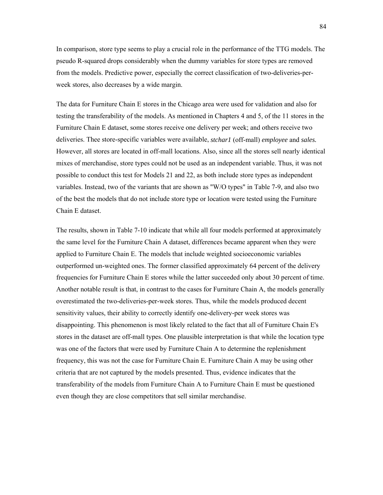In comparison, store type seems to play a crucial role in the performance of the TTG models. The pseudo R-squared drops considerably when the dummy variables for store types are removed from the models. Predictive power, especially the correct classification of two-deliveries-perweek stores, also decreases by a wide margin.

The data for Furniture Chain E stores in the Chicago area were used for validation and also for testing the transferability of the models. As mentioned in Chapters 4 and 5, of the 11 stores in the Furniture Chain E dataset, some stores receive one delivery per week; and others receive two deliveries. Thee store-specific variables were available, *stchar1* (off-mall) *employee* and *sales.*  However, all stores are located in off-mall locations. Also, since all the stores sell nearly identical mixes of merchandise, store types could not be used as an independent variable. Thus, it was not possible to conduct this test for Models 21 and 22, as both include store types as independent variables. Instead, two of the variants that are shown as "W/O types" in Table 7-9, and also two of the best the models that do not include store type or location were tested using the Furniture Chain E dataset.

The results, shown in Table 7-10 indicate that while all four models performed at approximately the same level for the Furniture Chain A dataset, differences became apparent when they were applied to Furniture Chain E. The models that include weighted socioeconomic variables outperformed un-weighted ones. The former classified approximately 64 percent of the delivery frequencies for Furniture Chain E stores while the latter succeeded only about 30 percent of time. Another notable result is that, in contrast to the cases for Furniture Chain A, the models generally overestimated the two-deliveries-per-week stores. Thus, while the models produced decent sensitivity values, their ability to correctly identify one-delivery-per week stores was disappointing. This phenomenon is most likely related to the fact that all of Furniture Chain E's stores in the dataset are off-mall types. One plausible interpretation is that while the location type was one of the factors that were used by Furniture Chain A to determine the replenishment frequency, this was not the case for Furniture Chain E. Furniture Chain A may be using other criteria that are not captured by the models presented. Thus, evidence indicates that the transferability of the models from Furniture Chain A to Furniture Chain E must be questioned even though they are close competitors that sell similar merchandise.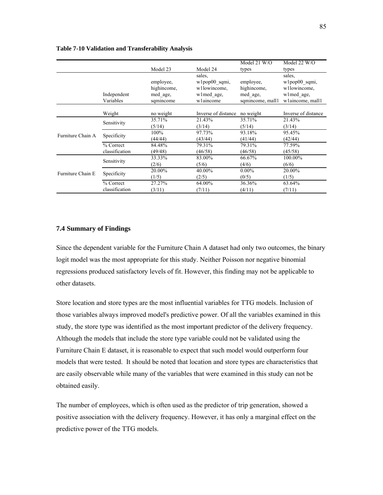|                   |                |             |                     | Model 21 W/O     | Model 22 W/O        |
|-------------------|----------------|-------------|---------------------|------------------|---------------------|
|                   |                | Model 23    | Model 24            | types            | types               |
|                   |                |             | sales.              |                  | sales.              |
|                   |                | employee,   | w1pop00 sqmi,       | employee,        | w1pop00 sqmi,       |
|                   |                | highincome, | w1lowincome.        | highincome,      | w1lowincome.        |
|                   | Independent    | med age,    | wlmed age,          | med age,         | wlmed age,          |
|                   | Variables      | sqmincome   | wlaincome           | sqmincome, mall1 | wlaincome, mall1    |
|                   |                |             |                     |                  |                     |
|                   | Weight         | no weight   | Inverse of distance | no weight        | Inverse of distance |
|                   | Sensitivity    | 35.71%      | 21.43%              | 35.71%           | 21.43%              |
|                   |                | (5/14)      | (3/14)              | (5/14)           | (3/14)              |
| Furniture Chain A | Specificity    | 100%        | 97.73%              | 93.18%           | 95.45%              |
|                   |                | (44/44)     | (43/44)             | (41/44)          | (42/44)             |
|                   | % Correct      | 84.48%      | 79.31%              | 79.31%           | 77.59%              |
|                   | classification | (49/48)     | (46/58)             | (46/58)          | (45/58)             |
|                   | Sensitivity    | 33.33%      | 83.00%              | 66.67%           | 100.00%             |
|                   |                | (2/6)       | (5/6)               | (4/6)            | (6/6)               |
| Furniture Chain E | Specificity    | 20.00%      | 40.00%              | $0.00\%$         | 20.00%              |
|                   |                | (1/5)       | (2/5)               | (0/5)            | (1/5)               |
|                   | % Correct      | 27.27%      | 64.00%              | 36.36%           | 63.64%              |
|                   | classification | (3/11)      | (7/11)              | (4/11)           | (7/11)              |

#### **Table 7-10 Validation and Transferability Analysis**

# **7.4 Summary of Findings**

Since the dependent variable for the Furniture Chain A dataset had only two outcomes, the binary logit model was the most appropriate for this study. Neither Poisson nor negative binomial regressions produced satisfactory levels of fit. However, this finding may not be applicable to other datasets.

Store location and store types are the most influential variables for TTG models. Inclusion of those variables always improved model's predictive power. Of all the variables examined in this study, the store type was identified as the most important predictor of the delivery frequency. Although the models that include the store type variable could not be validated using the Furniture Chain E dataset, it is reasonable to expect that such model would outperform four models that were tested. It should be noted that location and store types are characteristics that are easily observable while many of the variables that were examined in this study can not be obtained easily.

The number of employees, which is often used as the predictor of trip generation, showed a positive association with the delivery frequency. However, it has only a marginal effect on the predictive power of the TTG models.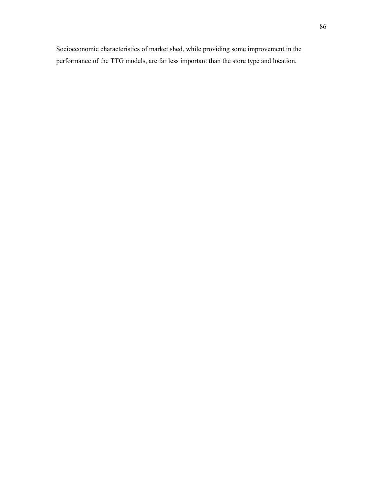Socioeconomic characteristics of market shed, while providing some improvement in the performance of the TTG models, are far less important than the store type and location.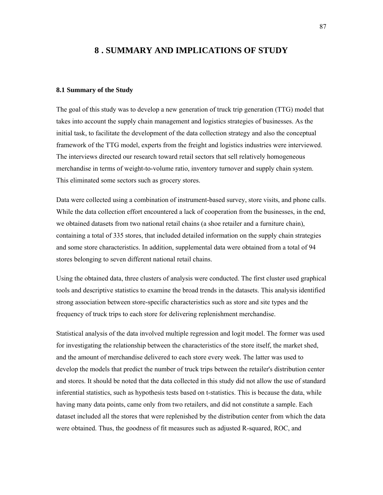# **8 . SUMMARY AND IMPLICATIONS OF STUDY**

#### **8.1 Summary of the Study**

The goal of this study was to develop a new generation of truck trip generation (TTG) model that takes into account the supply chain management and logistics strategies of businesses. As the initial task, to facilitate the development of the data collection strategy and also the conceptual framework of the TTG model, experts from the freight and logistics industries were interviewed. The interviews directed our research toward retail sectors that sell relatively homogeneous merchandise in terms of weight-to-volume ratio, inventory turnover and supply chain system. This eliminated some sectors such as grocery stores.

Data were collected using a combination of instrument-based survey, store visits, and phone calls. While the data collection effort encountered a lack of cooperation from the businesses, in the end, we obtained datasets from two national retail chains (a shoe retailer and a furniture chain), containing a total of 335 stores, that included detailed information on the supply chain strategies and some store characteristics. In addition, supplemental data were obtained from a total of 94 stores belonging to seven different national retail chains.

Using the obtained data, three clusters of analysis were conducted. The first cluster used graphical tools and descriptive statistics to examine the broad trends in the datasets. This analysis identified strong association between store-specific characteristics such as store and site types and the frequency of truck trips to each store for delivering replenishment merchandise.

Statistical analysis of the data involved multiple regression and logit model. The former was used for investigating the relationship between the characteristics of the store itself, the market shed, and the amount of merchandise delivered to each store every week. The latter was used to develop the models that predict the number of truck trips between the retailer's distribution center and stores. It should be noted that the data collected in this study did not allow the use of standard inferential statistics, such as hypothesis tests based on t-statistics. This is because the data, while having many data points, came only from two retailers, and did not constitute a sample. Each dataset included all the stores that were replenished by the distribution center from which the data were obtained. Thus, the goodness of fit measures such as adjusted R-squared, ROC, and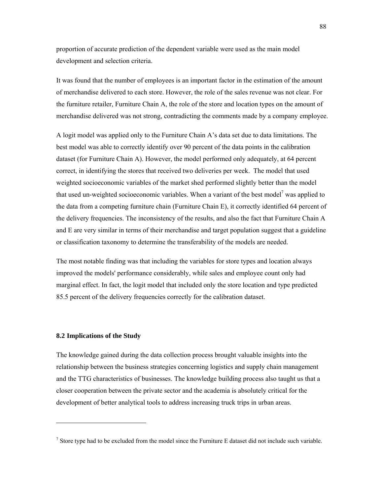proportion of accurate prediction of the dependent variable were used as the main model development and selection criteria.

It was found that the number of employees is an important factor in the estimation of the amount of merchandise delivered to each store. However, the role of the sales revenue was not clear. For the furniture retailer, Furniture Chain A, the role of the store and location types on the amount of merchandise delivered was not strong, contradicting the comments made by a company employee.

A logit model was applied only to the Furniture Chain A's data set due to data limitations. The best model was able to correctly identify over 90 percent of the data points in the calibration dataset (for Furniture Chain A). However, the model performed only adequately, at 64 percent correct, in identifying the stores that received two deliveries per week. The model that used weighted socioeconomic variables of the market shed performed slightly better than the model that used un-weighted socioeconomic variables. When a variant of the best model<sup>7</sup> was applied to the data from a competing furniture chain (Furniture Chain E), it correctly identified 64 percent of the delivery frequencies. The inconsistency of the results, and also the fact that Furniture Chain A and E are very similar in terms of their merchandise and target population suggest that a guideline or classification taxonomy to determine the transferability of the models are needed.

The most notable finding was that including the variables for store types and location always improved the models' performance considerably, while sales and employee count only had marginal effect. In fact, the logit model that included only the store location and type predicted 85.5 percent of the delivery frequencies correctly for the calibration dataset.

#### **8.2 Implications of the Study**

l

The knowledge gained during the data collection process brought valuable insights into the relationship between the business strategies concerning logistics and supply chain management and the TTG characteristics of businesses. The knowledge building process also taught us that a closer cooperation between the private sector and the academia is absolutely critical for the development of better analytical tools to address increasing truck trips in urban areas.

<sup>&</sup>lt;sup>7</sup> Store type had to be excluded from the model since the Furniture E dataset did not include such variable.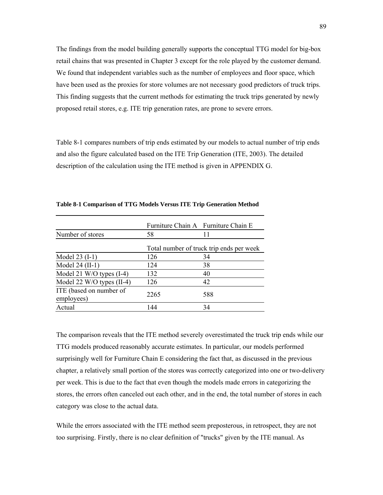The findings from the model building generally supports the conceptual TTG model for big-box retail chains that was presented in Chapter 3 except for the role played by the customer demand. We found that independent variables such as the number of employees and floor space, which have been used as the proxies for store volumes are not necessary good predictors of truck trips. This finding suggests that the current methods for estimating the truck trips generated by newly proposed retail stores, e.g. ITE trip generation rates, are prone to severe errors.

Table 8-1 compares numbers of trip ends estimated by our models to actual number of trip ends and also the figure calculated based on the ITE Trip Generation (ITE, 2003). The detailed description of the calculation using the ITE method is given in APPENDIX G.

|                                       |      | Furniture Chain A Furniture Chain E      |
|---------------------------------------|------|------------------------------------------|
| Number of stores                      | 58   | 11                                       |
|                                       |      | Total number of truck trip ends per week |
| Model $23$ (I-1)                      | 126  | 34                                       |
| Model $24$ (II-1)                     | 124  | 38                                       |
| Model 21 W/O types $(I-4)$            | 132  | 40                                       |
| Model 22 W/O types (II-4)             | 126  | 42                                       |
| ITE (based on number of<br>employees) | 2265 | 588                                      |
| Actual                                | 144  | 34                                       |

**Table 8-1 Comparison of TTG Models Versus ITE Trip Generation Method** 

The comparison reveals that the ITE method severely overestimated the truck trip ends while our TTG models produced reasonably accurate estimates. In particular, our models performed surprisingly well for Furniture Chain E considering the fact that, as discussed in the previous chapter, a relatively small portion of the stores was correctly categorized into one or two-delivery per week. This is due to the fact that even though the models made errors in categorizing the stores, the errors often canceled out each other, and in the end, the total number of stores in each category was close to the actual data.

While the errors associated with the ITE method seem preposterous, in retrospect, they are not too surprising. Firstly, there is no clear definition of "trucks" given by the ITE manual. As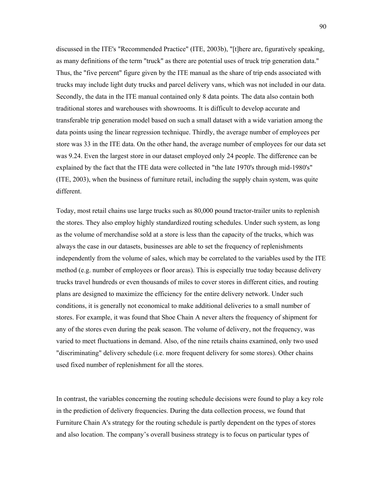discussed in the ITE's "Recommended Practice" (ITE, 2003b), "[t]here are, figuratively speaking, as many definitions of the term "truck" as there are potential uses of truck trip generation data." Thus, the "five percent" figure given by the ITE manual as the share of trip ends associated with trucks may include light duty trucks and parcel delivery vans, which was not included in our data. Secondly, the data in the ITE manual contained only 8 data points. The data also contain both traditional stores and warehouses with showrooms. It is difficult to develop accurate and transferable trip generation model based on such a small dataset with a wide variation among the data points using the linear regression technique. Thirdly, the average number of employees per store was 33 in the ITE data. On the other hand, the average number of employees for our data set was 9.24. Even the largest store in our dataset employed only 24 people. The difference can be explained by the fact that the ITE data were collected in "the late 1970's through mid-1980's" (ITE, 2003), when the business of furniture retail, including the supply chain system, was quite different.

Today, most retail chains use large trucks such as 80,000 pound tractor-trailer units to replenish the stores. They also employ highly standardized routing schedules. Under such system, as long as the volume of merchandise sold at a store is less than the capacity of the trucks, which was always the case in our datasets, businesses are able to set the frequency of replenishments independently from the volume of sales, which may be correlated to the variables used by the ITE method (e.g. number of employees or floor areas). This is especially true today because delivery trucks travel hundreds or even thousands of miles to cover stores in different cities, and routing plans are designed to maximize the efficiency for the entire delivery network. Under such conditions, it is generally not economical to make additional deliveries to a small number of stores. For example, it was found that Shoe Chain A never alters the frequency of shipment for any of the stores even during the peak season. The volume of delivery, not the frequency, was varied to meet fluctuations in demand. Also, of the nine retails chains examined, only two used "discriminating" delivery schedule (i.e. more frequent delivery for some stores). Other chains used fixed number of replenishment for all the stores.

In contrast, the variables concerning the routing schedule decisions were found to play a key role in the prediction of delivery frequencies. During the data collection process, we found that Furniture Chain A's strategy for the routing schedule is partly dependent on the types of stores and also location. The company's overall business strategy is to focus on particular types of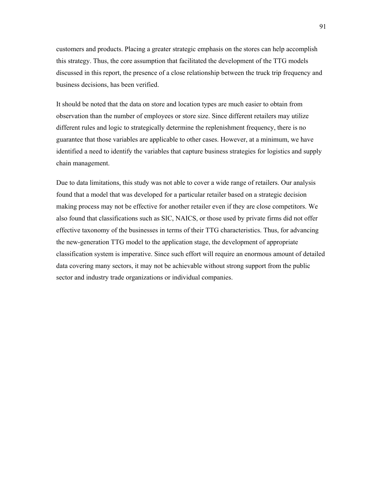customers and products. Placing a greater strategic emphasis on the stores can help accomplish this strategy. Thus, the core assumption that facilitated the development of the TTG models discussed in this report, the presence of a close relationship between the truck trip frequency and business decisions, has been verified.

It should be noted that the data on store and location types are much easier to obtain from observation than the number of employees or store size. Since different retailers may utilize different rules and logic to strategically determine the replenishment frequency, there is no guarantee that those variables are applicable to other cases. However, at a minimum, we have identified a need to identify the variables that capture business strategies for logistics and supply chain management.

Due to data limitations, this study was not able to cover a wide range of retailers. Our analysis found that a model that was developed for a particular retailer based on a strategic decision making process may not be effective for another retailer even if they are close competitors. We also found that classifications such as SIC, NAICS, or those used by private firms did not offer effective taxonomy of the businesses in terms of their TTG characteristics. Thus, for advancing the new-generation TTG model to the application stage, the development of appropriate classification system is imperative. Since such effort will require an enormous amount of detailed data covering many sectors, it may not be achievable without strong support from the public sector and industry trade organizations or individual companies.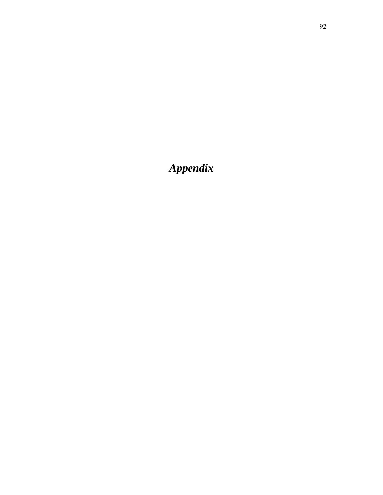*Appendix*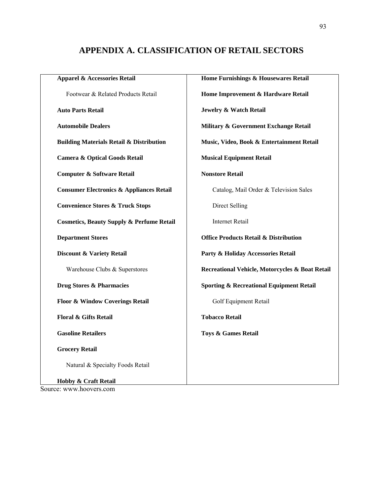# **APPENDIX A. CLASSIFICATION OF RETAIL SECTORS**

| <b>Apparel &amp; Accessories Retail</b>              | Home Furnishings & Housewares Retail                |
|------------------------------------------------------|-----------------------------------------------------|
| Footwear & Related Products Retail                   | Home Improvement & Hardware Retail                  |
| <b>Auto Parts Retail</b>                             | <b>Jewelry &amp; Watch Retail</b>                   |
| <b>Automobile Dealers</b>                            | Military & Government Exchange Retail               |
| <b>Building Materials Retail &amp; Distribution</b>  | Music, Video, Book & Entertainment Retail           |
| <b>Camera &amp; Optical Goods Retail</b>             | <b>Musical Equipment Retail</b>                     |
| <b>Computer &amp; Software Retail</b>                | <b>Nonstore Retail</b>                              |
| <b>Consumer Electronics &amp; Appliances Retail</b>  | Catalog, Mail Order & Television Sales              |
| <b>Convenience Stores &amp; Truck Stops</b>          | Direct Selling                                      |
| <b>Cosmetics, Beauty Supply &amp; Perfume Retail</b> | <b>Internet Retail</b>                              |
| <b>Department Stores</b>                             | <b>Office Products Retail &amp; Distribution</b>    |
|                                                      |                                                     |
| Discount & Variety Retail                            | Party & Holiday Accessories Retail                  |
| Warehouse Clubs & Superstores                        | Recreational Vehicle, Motorcycles & Boat Retail     |
| <b>Drug Stores &amp; Pharmacies</b>                  | <b>Sporting &amp; Recreational Equipment Retail</b> |
| Floor & Window Coverings Retail                      | Golf Equipment Retail                               |
| Floral & Gifts Retail                                | <b>Tobacco Retail</b>                               |
| <b>Gasoline Retailers</b>                            | Toys & Games Retail                                 |
| <b>Grocery Retail</b>                                |                                                     |
| Natural & Specialty Foods Retail                     |                                                     |

Source: www.hoovers.com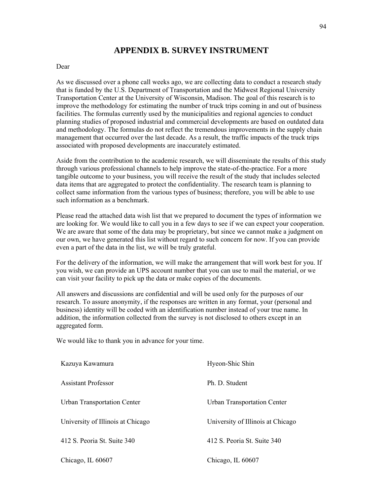# **APPENDIX B. SURVEY INSTRUMENT**

#### Dear

As we discussed over a phone call weeks ago, we are collecting data to conduct a research study that is funded by the U.S. Department of Transportation and the Midwest Regional University Transportation Center at the University of Wisconsin, Madison. The goal of this research is to improve the methodology for estimating the number of truck trips coming in and out of business facilities. The formulas currently used by the municipalities and regional agencies to conduct planning studies of proposed industrial and commercial developments are based on outdated data and methodology. The formulas do not reflect the tremendous improvements in the supply chain management that occurred over the last decade. As a result, the traffic impacts of the truck trips associated with proposed developments are inaccurately estimated.

Aside from the contribution to the academic research, we will disseminate the results of this study through various professional channels to help improve the state-of-the-practice. For a more tangible outcome to your business, you will receive the result of the study that includes selected data items that are aggregated to protect the confidentiality. The research team is planning to collect same information from the various types of business; therefore, you will be able to use such information as a benchmark.

Please read the attached data wish list that we prepared to document the types of information we are looking for. We would like to call you in a few days to see if we can expect your cooperation. We are aware that some of the data may be proprietary, but since we cannot make a judgment on our own, we have generated this list without regard to such concern for now. If you can provide even a part of the data in the list, we will be truly grateful.

For the delivery of the information, we will make the arrangement that will work best for you. If you wish, we can provide an UPS account number that you can use to mail the material, or we can visit your facility to pick up the data or make copies of the documents.

All answers and discussions are confidential and will be used only for the purposes of our research. To assure anonymity, if the responses are written in any format, your (personal and business) identity will be coded with an identification number instead of your true name. In addition, the information collected from the survey is not disclosed to others except in an aggregated form.

We would like to thank you in advance for your time.

| Kazuya Kawamura                    | Hyeon-Shic Shin                    |
|------------------------------------|------------------------------------|
| <b>Assistant Professor</b>         | Ph. D. Student                     |
| <b>Urban Transportation Center</b> | <b>Urban Transportation Center</b> |
| University of Illinois at Chicago  | University of Illinois at Chicago  |
| 412 S. Peoria St. Suite 340        | 412 S. Peoria St. Suite 340        |
| Chicago, IL 60607                  | Chicago, IL 60607                  |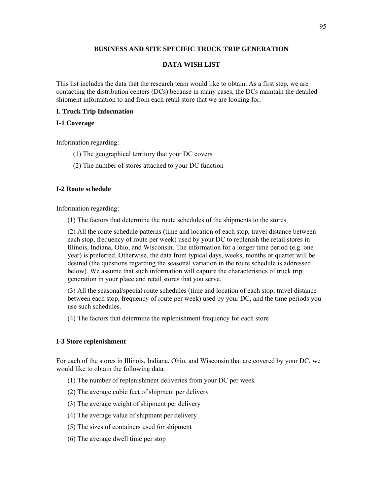## **BUSINESS AND SITE SPECIFIC TRUCK TRIP GENERATION**

# **DATA WISH LIST**

This list includes the data that the research team would like to obtain. As a first step, we are contacting the distribution centers (DCs) because in many cases, the DCs maintain the detailed shipment information to and from each retail store that we are looking for.

## **I. Truck Trip Information**

### **I-1 Coverage**

Information regarding:

- (1) The geographical territory that your DC covers
- (2) The number of stores attached to your DC function

# **I-2 Route schedule**

Information regarding:

(1) The factors that determine the route schedules of the shipments to the stores

(2) All the route schedule patterns (time and location of each stop, travel distance between each stop, frequency of route per week) used by your DC to replenish the retail stores in Illinois, Indiana, Ohio, and Wisconsin. The information for a longer time period (e.g. one year) is preferred. Otherwise, the data from typical days, weeks, months or quarter will be desired (the questions regarding the seasonal variation in the route schedule is addressed below). We assume that such information will capture the characteristics of truck trip generation in your place and retail stores that you serve.

(3) All the seasonal/special route schedules (time and location of each stop, travel distance between each stop, frequency of route per week) used by your DC, and the time periods you use such schedules.

(4) The factors that determine the replenishment frequency for each store

## **I-3 Store replenishment**

For each of the stores in Illinois, Indiana, Ohio, and Wisconsin that are covered by your DC, we would like to obtain the following data.

- (1) The number of replenishment deliveries from your DC per week
- (2) The average cubic feet of shipment per delivery
- (3) The average weight of shipment per delivery
- (4) The average value of shipment per delivery
- (5) The sizes of containers used for shipment
- (6) The average dwell time per stop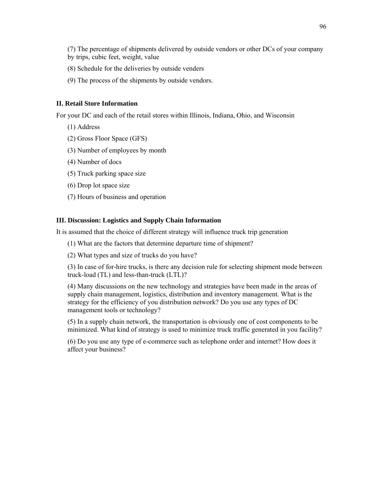(7) The percentage of shipments delivered by outside vendors or other DCs of your company by trips, cubic feet, weight, value

- (8) Schedule for the deliveries by outside venders
- (9) The process of the shipments by outside vendors.

#### **II. Retail Store Information**

For your DC and each of the retail stores within Illinois, Indiana, Ohio, and Wisconsin

- (1) Address
- (2) Gross Floor Space (GFS)
- (3) Number of employees by month
- (4) Number of docs
- (5) Truck parking space size
- (6) Drop lot space size
- (7) Hours of business and operation

## **III. Discussion: Logistics and Supply Chain Information**

It is assumed that the choice of different strategy will influence truck trip generation

(1) What are the factors that determine departure time of shipment?

(2) What types and size of trucks do you have?

(3) In case of for-hire trucks, is there any decision rule for selecting shipment mode between truck-load (TL) and less-than-truck (LTL)?

(4) Many discussions on the new technology and strategies have been made in the areas of supply chain management, logistics, distribution and inventory management. What is the strategy for the efficiency of you distribution network? Do you use any types of DC management tools or technology?

(5) In a supply chain network, the transportation is obviously one of cost components to be minimized. What kind of strategy is used to minimize truck traffic generated in you facility?

(6) Do you use any type of e-commerce such as telephone order and internet? How does it affect your business?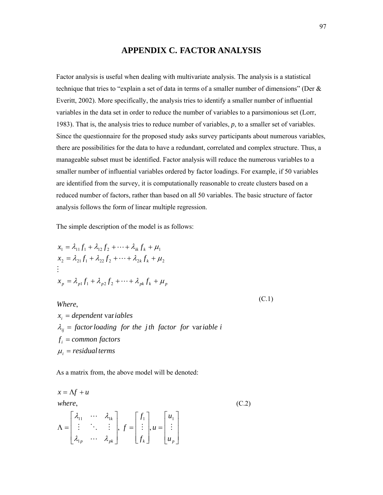# **APPENDIX C. FACTOR ANALYSIS**

Factor analysis is useful when dealing with multivariate analysis. The analysis is a statistical technique that tries to "explain a set of data in terms of a smaller number of dimensions" (Der  $\&$ Everitt, 2002). More specifically, the analysis tries to identify a smaller number of influential variables in the data set in order to reduce the number of variables to a parsimonious set (Lorr, 1983). That is, the analysis tries to reduce number of variables, *p*, to a smaller set of variables. Since the questionnaire for the proposed study asks survey participants about numerous variables, there are possibilities for the data to have a redundant, correlated and complex structure. Thus, a manageable subset must be identified. Factor analysis will reduce the numerous variables to a smaller number of influential variables ordered by factor loadings. For example, if 50 variables are identified from the survey, it is computationally reasonable to create clusters based on a reduced number of factors, rather than based on all 50 variables. The basic structure of factor analysis follows the form of linear multiple regression.

The simple description of the model is as follows:

$$
x_1 = \lambda_{11} f_1 + \lambda_{12} f_2 + \dots + \lambda_{ik} f_k + \mu_1
$$
  
\n
$$
x_2 = \lambda_{21} f_1 + \lambda_{22} f_2 + \dots + \lambda_{2k} f_k + \mu_2
$$
  
\n
$$
\vdots
$$
  
\n
$$
x_p = \lambda_{p1} f_1 + \lambda_{p2} f_2 + \dots + \lambda_{pk} f_k + \mu_p
$$

*Where* ,

(C.1)

 $\mu_i$  = residual terms  $f_i = common factors$  $\lambda_{ij}$  = factor loading for the jth factor for variable *i*  $x_i = dependent$  *variables* 

As a matrix from, the above model will be denoted:

 $\overline{\phantom{a}}$  $\overline{\phantom{a}}$  $\overline{\phantom{a}}$ ⎦ ⎤  $\mathsf{L}$  $\mathsf{L}$  $\mathsf{L}$ ⎣  $\mathsf{L}$ =  $\overline{\phantom{a}}$  $\overline{\phantom{a}}$  $\overline{\phantom{a}}$ ⎦  $\overline{\phantom{a}}$  $\mathsf{I}$  $\mathsf I$  $\mathsf{I}$ ⎣  $\mathsf{L}$ =  $\overline{\phantom{a}}$  $\overline{\phantom{a}}$  $\overline{\phantom{a}}$ ⎦  $\overline{\phantom{a}}$  $\mathsf{I}$  $\mathsf{I}$  $\mathsf I$ ⎣  $\mathsf{L}$  $\Lambda =$  $x = \Delta f + u$ *p*  $\begin{bmatrix} \nu_{pk} \end{bmatrix}$   $\begin{bmatrix} J_k \end{bmatrix}$   $\begin{bmatrix} u_p \end{bmatrix}$ *k u u u f f*  $f = |$   $\vdots$   $|, u = |$   $\vdots$ *where* ,  $\ddots$  $\mathbb{R}^n \times \mathbb{R}^n \times \mathbb{R}^n$  $\cdots$   $\lambda_{1k}$   $\vert$   $f_1$   $\vert$   $u_1$ 1 11  $v_1$ ,  $f = \vert \vdots \vert$ λ λ  $\lambda_{1}$  ...  $\lambda_{1}$ (C.2)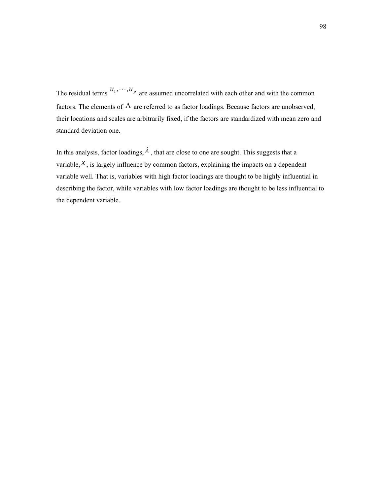The residual terms  $u_1, \dots, u_p$  are assumed uncorrelated with each other and with the common factors. The elements of  $\Lambda$  are referred to as factor loadings. Because factors are unobserved, their locations and scales are arbitrarily fixed, if the factors are standardized with mean zero and standard deviation one.

In this analysis, factor loadings,  $\lambda$ , that are close to one are sought. This suggests that a variable,  $x$ , is largely influence by common factors, explaining the impacts on a dependent variable well. That is, variables with high factor loadings are thought to be highly influential in describing the factor, while variables with low factor loadings are thought to be less influential to the dependent variable.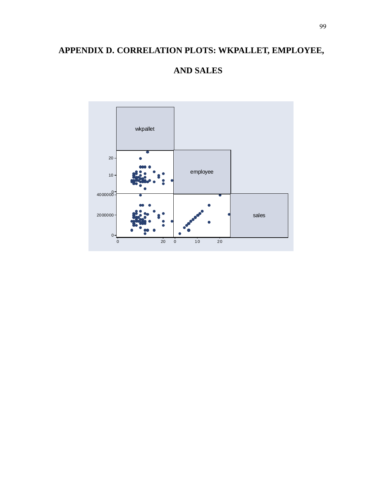# **APPENDIX D. CORRELATION PLOTS: WKPALLET, EMPLOYEE,**

# wkpallet employee sales  $\overline{0}$  20 0 4000000  $10<sub>1</sub>$ 20  $\overline{0}$  10 20  $0 2000000$

# **AND SALES**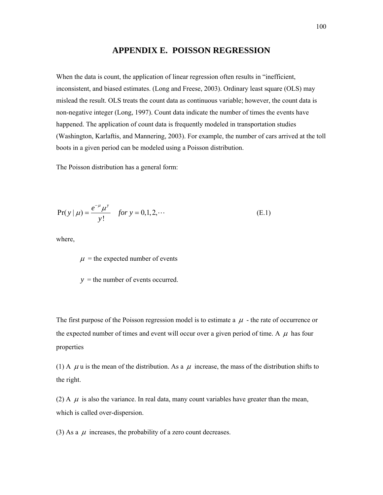# **APPENDIX E. POISSON REGRESSION**

When the data is count, the application of linear regression often results in "inefficient, inconsistent, and biased estimates. (Long and Freese, 2003). Ordinary least square (OLS) may mislead the result. OLS treats the count data as continuous variable; however, the count data is non-negative integer (Long, 1997). Count data indicate the number of times the events have happened. The application of count data is frequently modeled in transportation studies (Washington, Karlaftis, and Mannering, 2003). For example, the number of cars arrived at the toll boots in a given period can be modeled using a Poisson distribution.

The Poisson distribution has a general form:

$$
Pr(y | \mu) = \frac{e^{-\mu} \mu^y}{y!} \quad \text{for } y = 0, 1, 2, \dots
$$
 (E.1)

where,

 $\mu$  = the expected number of events

*y* = the number of events occurred.

The first purpose of the Poisson regression model is to estimate a  $\mu$  - the rate of occurrence or the expected number of times and event will occur over a given period of time. A  $\mu$  has four properties

(1) A  $\mu$  u is the mean of the distribution. As a  $\mu$  increase, the mass of the distribution shifts to the right.

(2) A  $\mu$  is also the variance. In real data, many count variables have greater than the mean, which is called over-dispersion.

(3) As a  $\mu$  increases, the probability of a zero count decreases.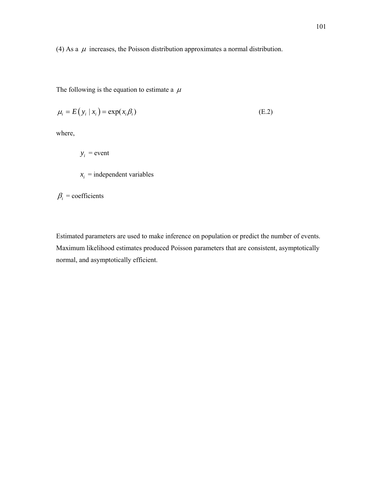(4) As a  $\mu$  increases, the Poisson distribution approximates a normal distribution.

The following is the equation to estimate a  $\mu$ 

$$
\mu_i = E(y_i \mid x_i) = \exp(x_i \beta_i) \tag{E.2}
$$

where,

$$
y_i
$$
 = event  
 $x_i$  = independent variables

# $\beta_i$  = coefficients

Estimated parameters are used to make inference on population or predict the number of events. Maximum likelihood estimates produced Poisson parameters that are consistent, asymptotically normal, and asymptotically efficient.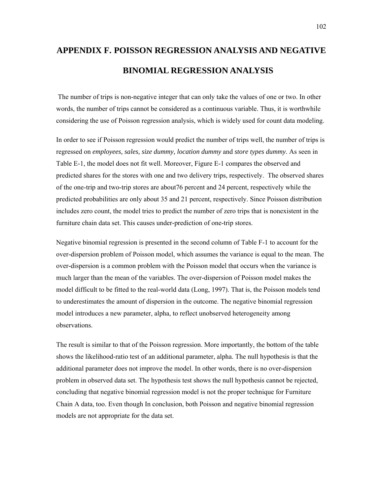# **APPENDIX F. POISSON REGRESSION ANALYSIS AND NEGATIVE BINOMIAL REGRESSION ANALYSIS**

 The number of trips is non-negative integer that can only take the values of one or two. In other words, the number of trips cannot be considered as a continuous variable. Thus, it is worthwhile considering the use of Poisson regression analysis, which is widely used for count data modeling.

In order to see if Poisson regression would predict the number of trips well, the number of trips is regressed on *employees, sales, size dummy, location dummy* and *store types dummy*. As seen in Table E-1, the model does not fit well. Moreover, Figure E-1 compares the observed and predicted shares for the stores with one and two delivery trips, respectively. The observed shares of the one-trip and two-trip stores are about76 percent and 24 percent, respectively while the predicted probabilities are only about 35 and 21 percent, respectively. Since Poisson distribution includes zero count, the model tries to predict the number of zero trips that is nonexistent in the furniture chain data set. This causes under-prediction of one-trip stores.

Negative binomial regression is presented in the second column of Table F-1 to account for the over-dispersion problem of Poisson model, which assumes the variance is equal to the mean. The over-dispersion is a common problem with the Poisson model that occurs when the variance is much larger than the mean of the variables. The over-dispersion of Poisson model makes the model difficult to be fitted to the real-world data (Long, 1997). That is, the Poisson models tend to underestimates the amount of dispersion in the outcome. The negative binomial regression model introduces a new parameter, alpha, to reflect unobserved heterogeneity among observations.

The result is similar to that of the Poisson regression. More importantly, the bottom of the table shows the likelihood-ratio test of an additional parameter, alpha. The null hypothesis is that the additional parameter does not improve the model. In other words, there is no over-dispersion problem in observed data set. The hypothesis test shows the null hypothesis cannot be rejected, concluding that negative binomial regression model is not the proper technique for Furniture Chain A data, too. Even though In conclusion, both Poisson and negative binomial regression models are not appropriate for the data set.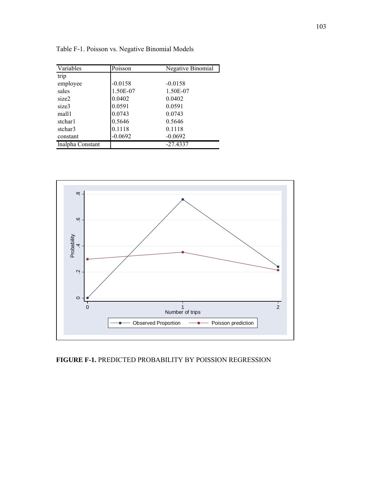| Variables        | Poisson   | Negative Binomial |
|------------------|-----------|-------------------|
| trip             |           |                   |
| employee         | $-0.0158$ | $-0.0158$         |
| sales            | 1.50E-07  | 1.50E-07          |
| size2            | 0.0402    | 0.0402            |
| size3            | 0.0591    | 0.0591            |
| mall1            | 0.0743    | 0.0743            |
| stchar1          | 0.5646    | 0.5646            |
| stchar3          | 0.1118    | 0.1118            |
| constant         | $-0.0692$ | $-0.0692$         |
| Inalpha Constant |           | $-27.4337$        |

Table F-1. Poisson vs. Negative Binomial Models



**FIGURE F-1.** PREDICTED PROBABILITY BY POISSION REGRESSION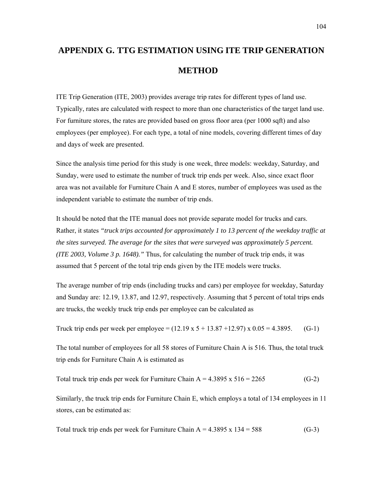# **APPENDIX G. TTG ESTIMATION USING ITE TRIP GENERATION METHOD**

ITE Trip Generation (ITE, 2003) provides average trip rates for different types of land use. Typically, rates are calculated with respect to more than one characteristics of the target land use. For furniture stores, the rates are provided based on gross floor area (per 1000 sqft) and also employees (per employee). For each type, a total of nine models, covering different times of day and days of week are presented.

Since the analysis time period for this study is one week, three models: weekday, Saturday, and Sunday, were used to estimate the number of truck trip ends per week. Also, since exact floor area was not available for Furniture Chain A and E stores, number of employees was used as the independent variable to estimate the number of trip ends.

It should be noted that the ITE manual does not provide separate model for trucks and cars. Rather, it states *"truck trips accounted for approximately 1 to 13 percent of the weekday traffic at the sites surveyed. The average for the sites that were surveyed was approximately 5 percent. (ITE 2003, Volume 3 p. 1648)."* Thus, for calculating the number of truck trip ends, it was assumed that 5 percent of the total trip ends given by the ITE models were trucks.

The average number of trip ends (including trucks and cars) per employee for weekday, Saturday and Sunday are: 12.19, 13.87, and 12.97, respectively. Assuming that 5 percent of total trips ends are trucks, the weekly truck trip ends per employee can be calculated as

Truck trip ends per week per employee =  $(12.19 \times 5 + 13.87 + 12.97) \times 0.05 = 4.3895$ . (G-1)

The total number of employees for all 58 stores of Furniture Chain A is 516. Thus, the total truck trip ends for Furniture Chain A is estimated as

Total truck trip ends per week for Furniture Chain A = 
$$
4.3895 \times 516 = 2265
$$
 (G-2)

Similarly, the truck trip ends for Furniture Chain E, which employs a total of 134 employees in 11 stores, can be estimated as:

Total truck trip ends per week for Furniture Chain  $A = 4.3895 \times 134 = 588$  (G-3)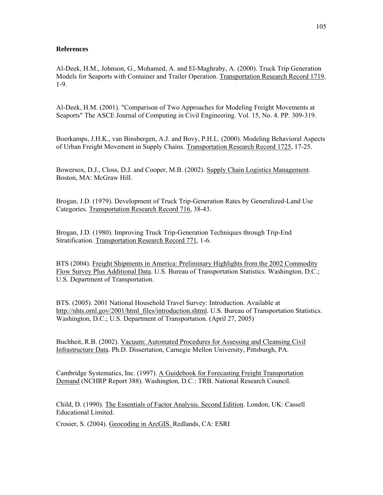#### **References**

Al-Deek, H.M., Johnson, G., Mohamed, A. and El-Maghraby, A. (2000). Truck Trip Generation Models for Seaports with Container and Trailer Operation. Transportation Research Record 1719, 1-9.

Al-Deek, H.M. (2001). "Comparison of Two Approaches for Modeling Freight Movements at Seaports" The ASCE Journal of Computing in Civil Engineering. Vol. 15, No. 4. PP. 309-319.

Boerkamps, J.H.K., van Binsbergen, A.J. and Bovy, P.H.L. (2000). Modeling Behavioral Aspects of Urban Freight Movement in Supply Chains. Transportation Research Record 1725, 17-25.

Bowersox, D.J., Closs, D.J. and Cooper, M.B. (2002). Supply Chain Logistics Management. Boston, MA: McGraw Hill.

Brogan, J.D. (1979). Development of Truck Trip-Generation Rates by Generalized-Land Use Categories. Transportation Research Record 716, 38-43.

Brogan, J.D. (1980). Improving Truck Trip-Generation Techniques through Trip-End Stratification. Transportation Research Record 771, 1-6.

BTS (2004). Freight Shipments in America: Preliminary Highlights from the 2002 Commodity Flow Survey Plus Additional Data. U.S. Bureau of Transportation Statistics. Washington, D.C.; U.S. Department of Transportation.

BTS. (2005). 2001 National Household Travel Survey: Introduction. Available at http://nhts.ornl.gov/2001/html\_files/introduction.shtml. U.S. Bureau of Transportation Statistics. Washington, D.C.; U.S. Department of Transportation. (April 27, 2005)

Buchheit, R.B. (2002). Vacuum: Automated Procedures for Assessing and Cleansing Civil Infrastructure Data. Ph.D. Dissertation, Carnegie Mellon University, Pittsburgh, PA.

Cambridge Systematics, Inc. (1997). A Guidebook for Forecasting Freight Transportation Demand (NCHRP Report 388). Washington, D.C.: TRB. National Research Council.

Child, D. (1990). The Essentials of Factor Analysis. Second Edition. London, UK: Cassell Educational Limited.

Crosier, S. (2004). Geocoding in ArcGIS. Redlands, CA: ESRI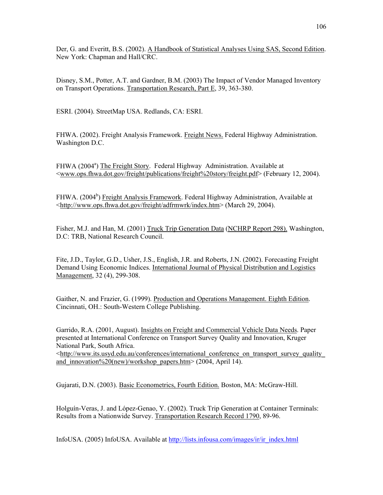Der, G. and Everitt, B.S. (2002). A Handbook of Statistical Analyses Using SAS, Second Edition. New York: Chapman and Hall/CRC.

Disney, S.M., Potter, A.T. and Gardner, B.M. (2003) The Impact of Vendor Managed Inventory on Transport Operations. Transportation Research, Part E, 39, 363-380.

ESRI. (2004). StreetMap USA. Redlands, CA: ESRI.

FHWA. (2002). Freight Analysis Framework. Freight News. Federal Highway Administration. Washington D.C.

FHWA (2004<sup>a</sup>) The Freight Story. Federal Highway Administration. Available at <www.ops.fhwa.dot.gov/freight/publications/freight%20story/freight.pdf> (February 12, 2004).

FHWA. (2004<sup>b</sup>) Freight Analysis Framework. Federal Highway Administration, Available at <http://www.ops.fhwa.dot.gov/freight/adfrmwrk/index.htm> (March 29, 2004).

Fisher, M.J. and Han, M. (2001) Truck Trip Generation Data (NCHRP Report 298). Washington, D.C: TRB, National Research Council.

Fite, J.D., Taylor, G.D., Usher, J.S., English, J.R. and Roberts, J.N. (2002). Forecasting Freight Demand Using Economic Indices. International Journal of Physical Distribution and Logistics Management, 32 (4), 299-308.

Gaither, N. and Frazier, G. (1999). Production and Operations Management. Eighth Edition. Cincinnati, OH.: South-Western College Publishing.

Garrido, R.A. (2001, August). Insights on Freight and Commercial Vehicle Data Needs. Paper presented at International Conference on Transport Survey Quality and Innovation, Kruger National Park, South Africa.  $\langle \text{http://www.its.usyd.edu.au/conferences/intermational conference on transport survey quality}$ and innovation%20(new)/workshop\_papers.htm> (2004, April 14).

Gujarati, D.N. (2003). Basic Econometrics, Fourth Edition. Boston, MA: McGraw-Hill.

Holguín-Veras, J. and Lόpez-Genao, Y. (2002). Truck Trip Generation at Container Terminals: Results from a Nationwide Survey. Transportation Research Record 1790, 89-96.

InfoUSA. (2005) InfoUSA. Available at http://lists.infousa.com/images/ir/ir\_index.html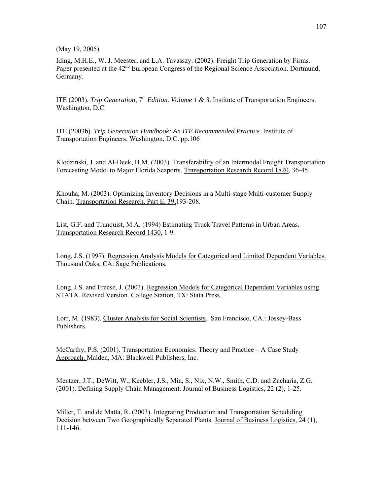(May 19, 2005)

Iding, M.H.E., W. J. Meester, and L.A. Tavasszy. (2002). Freight Trip Generation by Firms. Paper presented at the 42<sup>nd</sup> European Congress of the Regional Science Association. Dortmund, Germany.

ITE (2003). *Trip Generation*,  $7<sup>th</sup> Edition. Volume 1 & 3$ . Institute of Transportation Engineers. Washington, D.C.

ITE (2003b). *Trip Generation Handbook: An ITE Recommended Practice.* Institute of Transportation Engineers. Washington, D.C. pp.106

Klodzinski, J. and Al-Deek, H.M. (2003). Transferability of an Intermodal Freight Transportation Forecasting Model to Major Florida Seaports. Transportation Research Record 1820, 36-45.

Khouha, M. (2003). Optimizing Inventory Decisions in a Multi-stage Multi-customer Supply Chain. Transportation Research, Part E, 39,193-208.

List, G.F. and Trunquist, M.A. (1994) Estimating Truck Travel Patterns in Urban Areas. Transportation Research Record 1430, 1-9.

Long, J.S. (1997). Regression Analysis Models for Categorical and Limited Dependent Variables. Thousand Oaks, CA: Sage Publications.

Long, J.S. and Freese, J. (2003). Regression Models for Categorical Dependent Variables using STATA. Revised Version. College Station, TX: Stata Press.

Lorr, M. (1983). Cluster Analysis for Social Scientists. San Francisco, CA.: Jossey-Bass Publishers.

McCarthy, P.S. (2001). Transportation Economics: Theory and Practice – A Case Study Approach. Malden, MA: Blackwell Publishers, Inc.

Mentzer, J.T., DeWitt, W., Keebler, J.S., Min, S., Nix, N.W., Smith, C.D. and Zacharia, Z.G. (2001). Defining Supply Chain Management. Journal of Business Logistics, 22 (2), 1-25.

Miller, T. and de Matta, R. (2003). Integrating Production and Transportation Scheduling Decision between Two Geographically Separated Plants. Journal of Business Logistics, 24 (1), 111-146.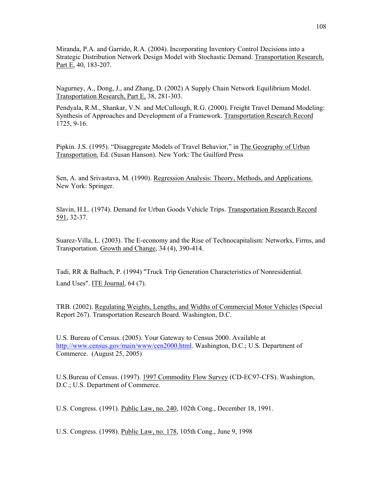Miranda, P.A. and Garrido, R.A. (2004). Incorporating Inventory Control Decisions into a Strategic Distribution Network Design Model with Stochastic Demand. Transportation Research, Part E, 40, 183-207.

Nagurney, A., Dong, J., and Zhang, D. (2002) A Supply Chain Network Equilibrium Model. Transportation Research, Part E, 38, 281-303.

Pendyala, R.M., Shankar, V.N. and McCullough, R.G. (2000). Freight Travel Demand Modeling: Synthesis of Approaches and Development of a Framework. Transportation Research Record 1725, 9-16.

Pipkin. J.S. (1995). "Disaggregate Models of Travel Behavior," in The Geography of Urban Transportation. Ed. (Susan Hanson). New York: The Guilford Press

Sen, A. and Srivastava, M. (1990). Regression Analysis: Theory, Methods, and Applications. New York: Springer.

Slavin, H.L. (1974). Demand for Urban Goods Vehicle Trips. Transportation Research Record 591, 32-37.

Suarez-Villa, L. (2003). The E-economy and the Rise of Technocapitalism: Networks, Firms, and Transportation. Growth and Change, 34 (4), 390-414.

Tadi, RR & Balbach, P. (1994) "Truck Trip Generation Characteristics of Nonresidential. Land Uses". ITE Journal, 64 (7).

TRB. (2002). Regulating Weights, Lengths, and Widths of Commercial Motor Vehicles (Special Report 267). Transportation Research Board. Washington, D.C.

U.S. Bureau of Census. (2005). Your Gateway to Census 2000. Available at http://www.census.gov/main/www/cen2000.html. Washington, D.C.; U.S. Department of Commerce. (August 25, 2005)

U.S.Bureau of Census. (1997). 1997 Commodity Flow Survey (CD-EC97-CFS). Washington, D.C.; U.S. Department of Commerce.

U.S. Congress. (1991). Public Law, no. 240, 102th Cong., December 18, 1991.

U.S. Congress. (1998). Public Law, no. 178, 105th Cong., June 9, 1998